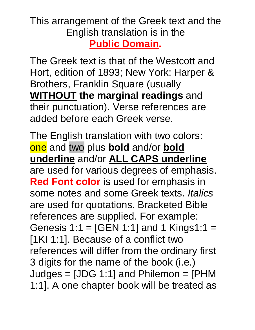### This arrangement of the Greek text and the English translation is in the **Public Domain.**

The Greek text is that of the Westcott and Hort, edition of 1893; New York: Harper & Brothers, Franklin Square (usually **WITHOUT the marginal readings** and their punctuation). Verse references are added before each Greek verse.

The English translation with two colors: one and two plus **bold** and/or **bold underline** and/or **ALL CAPS underline** are used for various degrees of emphasis. **Red Font color** is used for emphasis in some notes and some Greek texts. *Italics* are used for quotations. Bracketed Bible references are supplied. For example: Genesis 1:1 = [GEN 1:1] and 1 Kings1:1 = [1KI 1:1]. Because of a conflict two references will differ from the ordinary first 3 digits for the name of the book (i.e.) Judges = [JDG 1:1] and Philemon = [PHM 1:1]. A one chapter book will be treated as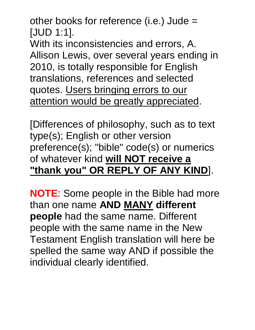other books for reference (i.e.) Jude = [JUD 1:1].

With its inconsistencies and errors, A. Allison Lewis, over several years ending in 2010, is totally responsible for English translations, references and selected quotes. Users bringing errors to our attention would be greatly appreciated.

[Differences of philosophy, such as to text type(s); English or other version preference(s); "bible" code(s) or numerics of whatever kind **will NOT receive a "thank you" OR REPLY OF ANY KIND**].

**NOTE**: Some people in the Bible had more than one name **AND MANY different people** had the same name. Different people with the same name in the New Testament English translation will here be spelled the same way AND if possible the individual clearly identified.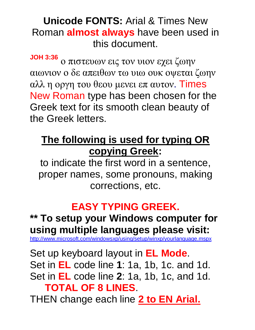### **Unicode FONTS:** Arial & Times New Roman **almost always** have been used in this document.

**JOH 3:36** ο πιστευων εις τον υιον εχει ζωην αιωνιον ο δε απειθων τω υιω ουκ οψεται ζωην αλλ η οργη του θεου μενει επ αυτον. Times New Roman type has been chosen for the Greek text for its smooth clean beauty of the Greek letters.

# **The following is used for typing OR copying Greek:**

to indicate the first word in a sentence, proper names, some pronouns, making corrections, etc.

# **EASY TYPING GREEK.**

### **\*\* To setup your Windows computer for using multiple languages please visit:**

http://www.microsoft.com/windowsxp/using/setup/winxp/yourlanguage.m

Set up keyboard layout in **EL Mode**. Set in **EL** code line **1**: 1a, 1b, 1c. and 1d. Set in **EL** code line **2**: 1a, 1b, 1c, and 1d. **TOTAL OF 8 LINES**.

THEN change each line **2 to EN Arial.**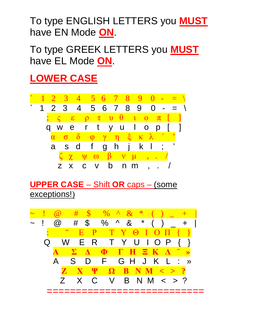To type ENGLISH LETTERS you **MUST** have EN Mode **ON**.

To type GREEK LETTERS you **MUST** have EL Mode **ON**.

# **LOWER CASE**



**UPPER CASE** – Shift **OR** caps – (some exceptions!)

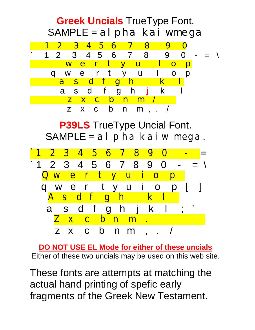#### **Greek Uncials** TrueType Font.  $SAMPLE = aI$  pha kai wmega 1 2 3 4 5 6 7 8 9 0  $1 2 3 4 5 6 7 8 9 0 - = \sqrt{2}$  w e r t y u I o p q w e r t y u I o p a s d f g h k a s d f g h **j** k l z x c b n m z x c b n m , . / **P39LS** TrueType Uncial Font.  $SAMPLE = al$  pha kai wmega. 3 4 5 6 7 8 9 0  $2 3 4 5 6 7 8 9 0 -$  Q w e r t y u i o p q w e r t y u i o p A s d f g h k l a s d f g h j k Z x c b n m z x c b n m , . /

**DO NOT USE EL Mode for either of these uncials**  Either of these two uncials may be used on this web site.

These fonts are attempts at matching the actual hand printing of spefic early fragments of the Greek New Testament.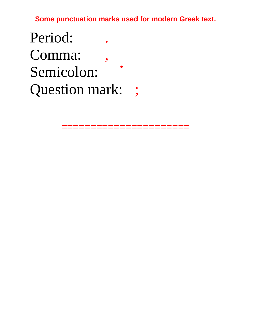**Some punctuation marks used for modern Greek text.** 

Period: Comma: Semicolon: • Question mark: ;

=======================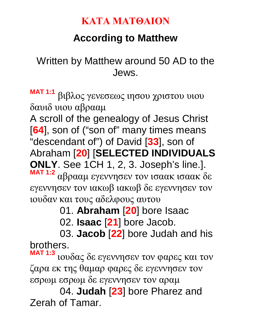#### **ΚΑΤΑ ΜΑΤΘΑΙΟΝ**

# **According to Matthew**

### Written by Matthew around 50 AD to the Jews.

**MAT 1:1** βιβλος γενεσεως ιησου χριστου υιου δαυιδ υιου αβρααμ

A scroll of the genealogy of Jesus Christ [**64**], son of ("son of" many times means "descendant of") of David [**33**], son of Abraham [**20**] [**SELECTED INDIVIDUALS ONLY**. See 1CH 1, 2, 3. Joseph's line.].

**MAT 1:2** αβρααμ εγεννησεν τον ισαακ ισαακ δε εγεννησεν τον ιακωβ ιακωβ δε εγεννησεν τον ιουδαν και τους αδελφους αυτου

01. **Abraham** [**20**] bore Isaac

02. **Isaac** [**21**] bore Jacob.

03. **Jacob** [**22**] bore Judah and his brothers.

**MAT 1:3** ιουδας δε εγεννησεν τον φαρες και τον ζαρα εκ της θαμαρ φαρες δε εγεννησεν τον εσρωμ εσρωμ δε εγεννησεν τον αραμ

04. **Judah** [**23**] bore Pharez and Zerah of Tamar.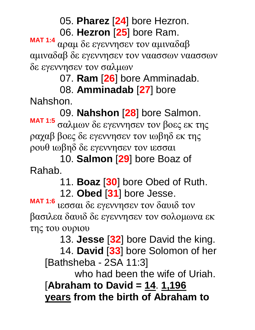05. **Pharez** [**24**] bore Hezron.

06. **Hezron** [**25**] bore Ram.

**MAT 1:4** αραμ δε εγεννησεν τον αμιναδαβ αμιναδαβ δε εγεννησεν τον ναασσων ναασσων δε εγεννησεν τον σαλμων

07. **Ram** [**26**] bore Amminadab.

08. **Amminadab** [**27**] bore

Nahshon.

09. **Nahshon** [**28**] bore Salmon. **MAT 1:5** σαλμων δε εγεννησεν τον βοες εκ της ραχαβ βοες δε εγεννησεν τον ιωβηδ εκ της ρουθ ιωβηδ δε εγεννησεν τον ιεσσαι

10. **Salmon** [**29**] bore Boaz of Rahab.

11. **Boaz** [**30**] bore Obed of Ruth.

12. **Obed** [**31**] bore Jesse.

**MAT 1:6** ιεσσαι δε εγεννησεν τον δαυιδ τον βασιλεα δαυιδ δε εγεννησεν τον σολομωνα εκ της του ουριου

13. **Jesse** [**32**] bore David the king.

14. **David** [**33**] bore Solomon of her [Bathsheba - 2SA 11:3]

who had been the wife of Uriah.

[**Abraham to David = 14**. **1,196 years from the birth of Abraham to**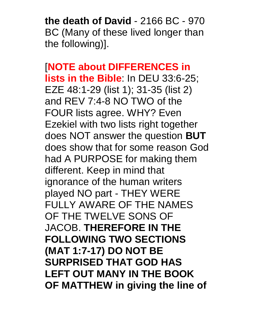**the death of David** - 2166 BC - 970 BC (Many of these lived longer than the following)].

[**NOTE about DIFFERENCES in lists in the Bible**: In DEU 33:6-25; EZE 48:1-29 (list 1); 31-35 (list 2) and REV 7:4-8 NO TWO of the FOUR lists agree. WHY? Even Ezekiel with two lists right together does NOT answer the question **BUT** does show that for some reason God had A PURPOSE for making them different. Keep in mind that ignorance of the human writers played NO part - THEY WERE FULLY AWARE OF THE NAMES OF THE TWELVE SONS OF JACOB. **THEREFORE IN THE FOLLOWING TWO SECTIONS (MAT 1:7-17) DO NOT BE SURPRISED THAT GOD HAS LEFT OUT MANY IN THE BOOK OF MATTHEW in giving the line of**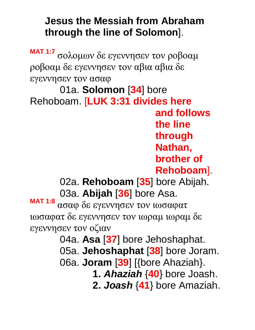# **Jesus the Messiah from Abraham through the line of Solomon**].

**MAT 1:7** σολομων δε εγεννησεν τον ροβοαμ ροβοαμ δε εγεννησεν τον αβια αβια δε εγεννησεν τον ασαφ

01a. **Solomon** [**34**] bore Rehoboam. [**LUK 3:31 divides here and follows the line through Nathan, brother of Rehoboam**].

> 02a. **Rehoboam** [**35**] bore Abijah. 03a. **Abijah** [**36**] bore Asa.

**MAT 1:8** ασαφ δε εγεννησεν τον ιωσαφατ ιωσαφατ δε εγεννησεν τον ιωραμ ιωραμ δε εγεννησεν τον οζιαν

04a. **Asa** [**37**] bore Jehoshaphat.

05a. **Jehoshaphat** [**38**] bore Joram.

06a. **Joram** [**39**] [{bore Ahaziah}.

**1.** *Ahaziah* {**40**} bore Joash.

**2.** *Joash* {**41**} bore Amaziah.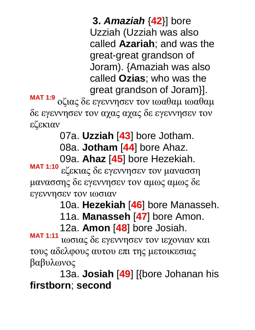**3.** *Amaziah* {**42**}] bore Uzziah (Uzziah was also called **Azariah**; and was the great-great grandson of Joram). {Amaziah was also called **Ozias**; who was the great grandson of Joram}]. **MAT 1:9** οζιας δε εγεννησεν τον ιωαθαμ ιωαθαμ δε εγεννησεν τον αχας αχας δε εγεννησεν τον εζεκιαν

07a. **Uzziah** [**43**] bore Jotham.

08a. **Jotham** [**44**] bore Ahaz.

09a. **Ahaz** [**45**] bore Hezekiah.

**MAT 1:10** εζεκιας δε εγεννησεν τον μανασση μανασσης δε εγεννησεν τον αμως αμως δε εγεννησεν τον ιωσιαν

10a. **Hezekiah** [**46**] bore Manasseh.

11a. **Manasseh** [**47**] bore Amon.

12a. **Amon** [**48**] bore Josiah.

**MAT 1:11** ιωσιας δε εγεννησεν τον ιεχονιαν και τους αδελφους αυτου επι της μετοικεσιας βαβυλωνος

13a. **Josiah** [**49**] [{bore Johanan his **firstborn**; **second**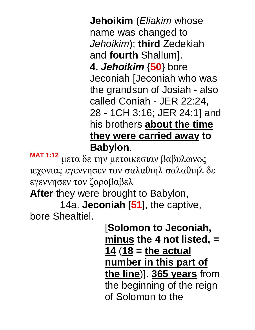**Jehoikim** (*Eliakim* whose name was changed to *Jehoikim*); **third** Zedekiah and **fourth** Shallum]. **4.** *Jehoikim* {**50**} bore Jeconiah [Jeconiah who was the grandson of Josiah - also called Coniah - JER 22:24, 28 - 1CH 3:16; JER 24:1] and his brothers **about the time they were carried away to Babylon**.

**MAT 1:12** μετα δε την μετοικεσιαν βαβυλωνος ιεχονιας εγεννησεν τον σαλαθιηλ σαλαθιηλ δε εγεννησεν τον ζοροβαβελ

**After** they were brought to Babylon,

14a. **Jeconiah** [**51**], the captive, bore Shealtiel.

> [**Solomon to Jeconiah, minus the 4 not listed, = 14** (**18 = the actual number in this part of the line**)]. **365 years** from the beginning of the reign of Solomon to the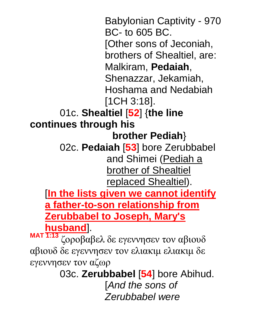Babylonian Captivity - 970 BC- to 605 BC. [Other sons of Jeconiah, brothers of Shealtiel, are: Malkiram, **Pedaiah**, Shenazzar, Jekamiah, Hoshama and Nedabiah [1CH 3:18]. 01c. **Shealtiel** [**52**] {**the line continues through his brother Pediah**} 02c. **Pedaiah** [**53**] bore Zerubbabel and Shimei (Pediah a **brother of Shealtiel** replaced Shealtiel). [**In the lists given we cannot identify a father-to-son relationship from Zerubbabel to Joseph, Mary's husband**]. **MAT 1:13** ζοροβαβελ δε εγεννησεν τον αβιουδ αβιουδ δε εγεννησεν τον ελιακιμ ελιακιμ δε εγεννησεν τον αζωρ 03c. **Zerubbabel** [**54**] bore Abihud. [*And the sons of Zerubbabel were*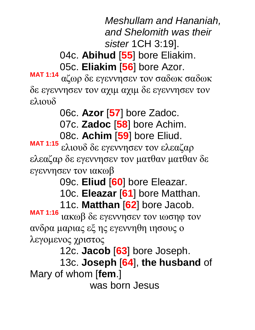*Meshullam and Hananiah, and Shelomith was their sister* 1CH 3:19].

04c. **Abihud** [**55**] bore Eliakim. 05c. **Eliakim** [**56**] bore Azor.

**MAT 1:14** αζωρ δε εγεννησεν τον σαδωκ σαδωκ δε εγεννησεν τον αχιμ αχιμ δε εγεννησεν τον ελιουδ

06c. **Azor** [**57**] bore Zadoc.

07c. **Zadoc** [**58**] bore Achim.

08c. **Achim** [**59**] bore Eliud.

**MAT 1:15** ελιουδ δε εγεννησεν τον ελεαζαρ ελεαζαρ δε εγεννησεν τον ματθαν ματθαν δε εγεννησεν τον ιακωβ

09c. **Eliud** [**60**] bore Eleazar.

10c. **Eleazar** [**61**] bore Matthan.

11c. **Matthan** [**62**] bore Jacob.

**MAT 1:16** ιακωβ δε εγεννησεν τον ιωσηφ τον ανδρα μαριας εξ ης εγεννηθη ιησους ο λεγομενος χριστος

12c. **Jacob** [**63**] bore Joseph.

13c. **Joseph** [**64**], **the husband** of Mary of whom [**fem**.]

was born Jesus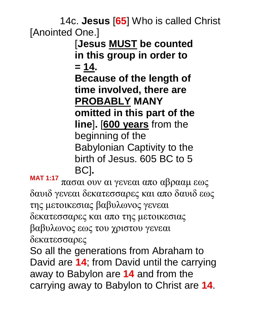14c. **Jesus** [**65**] Who is called Christ [Anointed One.]

[**Jesus MUST be counted in this group in order to = 14.** 

**Because of the length of time involved, there are PROBABLY MANY omitted in this part of the** 

**line**]**.** [**600 years** from the beginning of the Babylonian Captivity to the birth of Jesus. 605 BC to 5 BC]**.** 

**MAT 1:17** πασαι ουν αι γενεαι απο αβρααμ εως δαυιδ γενεαι δεκατεσσαρες και απο δαυιδ εως της μετοικεσιας βαβυλωνος γενεαι δεκατεσσαρες και απο της μετοικεσιας βαβυλωνος εως του χριστου γενεαι δεκατεσσαρες So all the generations from Abraham to

David are **14**; from David until the carrying away to Babylon are **14** and from the carrying away to Babylon to Christ are **14**.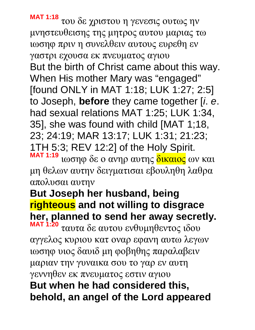**MAT 1:18** του δε χριστου η γενεσις ουτως ην μνηστευθεισης της μητρος αυτου μαριας τω ιωσηφ πριν η συνελθειν αυτους ευρεθη εν γαστρι εχουσα εκ πνευματος αγιου But the birth of Christ came about this way. When His mother Mary was "engaged" [found ONLY in MAT 1:18; LUK 1:27; 2:5] to Joseph, **before** they came together [*i*. *e*. had sexual relations MAT 1:25; LUK 1:34, 35], she was found with child [MAT 1;18, 23; 24:19; MAR 13:17; LUK 1:31; 21:23; 1TH 5:3; REV 12:2] of the Holy Spirit. **MAT 1:19** ιωσηφ δε ο ανηρ αυτης δικαιος ων και

μη θελων αυτην δειγματισαι εβουληθη λαθρα απολυσαι αυτην

# **But Joseph her husband, being righteous and not willing to disgrace her, planned to send her away secretly.**

**MAT 1:20** ταυτα δε αυτου ενθυμηθεντος ιδου αγγελος κυριου κατ οναρ εφανη αυτω λεγων ιωσηφ υιος δαυιδ μη φοβηθης παραλαβειν μαριαν την γυναικα σου το γαρ εν αυτη γεννηθεν εκ πνευματος εστιν αγιου **But when he had considered this, behold, an angel of the Lord appeared**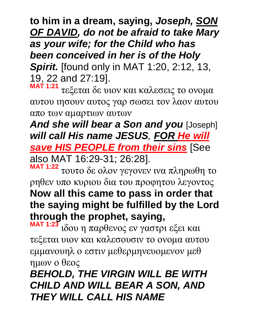**to him in a dream, saying,** *Joseph, SON OF DAVID, do not be afraid to take Mary as your wife; for the Child who has been conceived in her is of the Holy Spirit.* [found only in MAT 1:20, 2:12, 13, 19, 22 and 27:19].

**MAT 1:21** τεξεται δε υιον και καλεσεις το ονομα αυτου ιησουν αυτος γαρ σωσει τον λαον αυτου απο των αμαρτιων αυτων

*And she will bear a Son and you* [Joseph] *will call His name JESUS, FOR He will save HIS PEOPLE from their sins* [See

also MAT 16:29-31; 26:28].

**MAT 1:22** τουτο δε ολον γεγονεν ινα πληρωθη το ρηθεν υπο κυριου δια του προφητου λεγοντος **Now all this came to pass in order that the saying might be fulfilled by the Lord through the prophet, saying,** 

**MAT 1:23** ιδου η παρθενος εν γαστρι εξει και τεξεται υιον και καλεσουσιν το ονομα αυτου εμμανουηλ ο εστιν μεθερμηνευομενον μεθ ημων ο θεος

*BEHOLD, THE VIRGIN WILL BE WITH CHILD AND WILL BEAR A SON, AND THEY WILL CALL HIS NAME*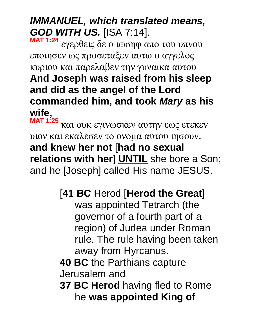# *IMMANUEL, which translated means, GOD WITH US.* [ISA 7:14].

**MAT 1:24** εγερθεις δε ο ιωσηφ απο του υπνου εποιησεν ως προσεταξεν αυτω ο αγγελος κυριου και παρελαβεν την γυναικα αυτου **And Joseph was raised from his sleep and did as the angel of the Lord commanded him, and took** *Mary* **as his wife,** 

**MAT 1:25** και ουκ εγινωσκεν αυτην εως ετεκεν υιον και εκαλεσεν το ονομα αυτου ιησουν. **and knew her not** [**had no sexual relations with her**] **UNTIL** she bore a Son; and he [Joseph] called His name JESUS.

# [**41 BC** Herod [**Herod the Great**]

was appointed Tetrarch (the governor of a fourth part of a region) of Judea under Roman rule. The rule having been taken away from Hyrcanus.

### **40 BC** the Parthians capture Jerusalem and

**37 BC Herod** having fled to Rome he **was appointed King of**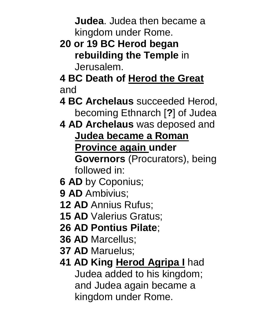**Judea**. Judea then became a kingdom under Rome.

- **20 or 19 BC Herod began rebuilding the Temple** in Jerusalem.
- **4 BC Death of Herod the Great** and
- **4 BC Archelaus** succeeded Herod, becoming Ethnarch [**?**] of Judea
- **4 AD Archelaus** was deposed and **Judea became a Roman Province again under** 
	- **Governors** (Procurators), being followed in:
- **6 AD** by Coponius;
- **9 AD** Ambivius;
- **12 AD** Annius Rufus;
- **15 AD** Valerius Gratus;
- **26 AD Pontius Pilate**;
- **36 AD** Marcellus;
- **37 AD** Maruelus;
- **41 AD King Herod Agripa I** had Judea added to his kingdom; and Judea again became a kingdom under Rome.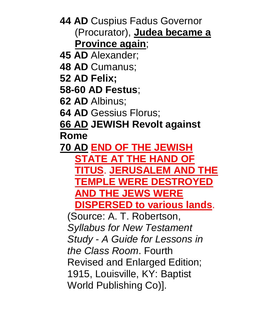**44 AD** Cuspius Fadus Governor (Procurator), **Judea became a Province again**;

- **45 AD** Alexander;
- **48 AD** Cumanus;
- **52 AD Felix;**
- **58-60 AD Festus**;
- **62 AD** Albinus;
- **64 AD** Gessius Florus;

**66 AD JEWISH Revolt against Rome** 

**70 AD END OF THE JEWISH STATE AT THE HAND OF TITUS**. **JERUSALEM AND THE TEMPLE WERE DESTROYED AND THE JEWS WERE DISPERSED to various lands**.

(Source: A. T. Robertson, *Syllabus for New Testament Study* - *A Guide for Lessons in the Class Room*. Fourth Revised and Enlarged Edition; 1915, Louisville, KY: Baptist World Publishing Co)].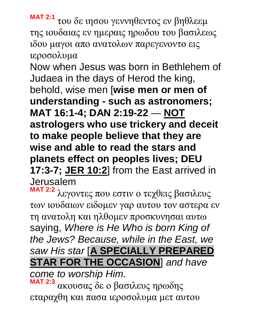**MAT 2:1** του δε ιησου γεννηθεντος εν βηθλεεμ της ιουδαιας εν ημεραις ηρωδου του βασιλεως ιδου μαγοι απο ανατολων παρεγενοντο εις ιεροσολυμα

Now when Jesus was born in Bethlehem of Judaea in the days of Herod the king, behold, wise men [**wise men or men of understanding - such as astronomers; MAT 16:1-4; DAN 2:19-22** — **NOT astrologers who use trickery and deceit to make people believe that they are wise and able to read the stars and planets effect on peoples lives; DEU 17:3-7; JER 10:2**] from the East arrived in Jerusalem

**MAT 2:2** λεγοντες που εστιν ο τεχθεις βασιλευς των ιουδαιων ειδομεν γαρ αυτου τον αστερα εν τη ανατολη και ηλθομεν προσκυνησαι αυτω saying, *Where is He Who is born King of the Jews? Because, while in the East, we saw His star* [**A SPECIALLY PREPARED STAR FOR THE OCCASION**] *and have* 

*come to worship Him*. **MAT 2:3**

ακουσας δε ο βασιλευς ηρωδης εταραχθη και πασα ιεροσολυμα μετ αυτου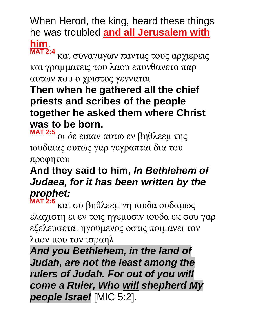When Herod, the king, heard these things he was troubled **and all Jerusalem with him**. **MAT 2:4**

και συναγαγων παντας τους αρχιερεις και γραμματεις του λαου επυνθανετο παρ αυτων που ο χριστος γενναται

### **Then when he gathered all the chief priests and scribes of the people together he asked them where Christ was to be born.**

**MAT 2:5** οι δε ειπαν αυτω εν βηθλεεμ της ιουδαιας ουτως γαρ γεγραπται δια του προφητου

### **And they said to him,** *In Bethlehem of Judaea, for it has been written by the prophet:*

**MAT 2:6** και συ βηθλεεμ γη ιουδα ουδαμως ελαχιστη ει εν τοις ηγεμοσιν ιουδα εκ σου γαρ εξελευσεται ηγουμενος οστις ποιμανει τον λαον μου τον ισραηλ

*And you Bethlehem, in the land of Judah, are not the least among the rulers of Judah. For out of you will come a Ruler, Who will shepherd My people Israel* [MIC 5:2].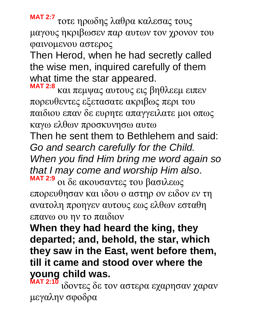**MAT 2:7** τοτε ηρωδης λαθρα καλεσας τους μαγους ηκριβωσεν παρ αυτων τον χρονον του φαινομενου αστερος

Then Herod, when he had secretly called the wise men, inquired carefully of them what time the star appeared.

**MAT 2:8** και πεμψας αυτους εις βηθλεεμ ειπεν πορευθεντες εξετασατε ακριβως περι του παιδιου επαν δε ευρητε απαγγειλατε μοι οπως καγω ελθων προσκυνησω αυτω Then he sent them to Bethlehem and said: *Go and search carefully for the Child. When you find Him bring me word again so that I may come and worship Him also*.

**MAT 2:9** οι δε ακουσαντες του βασιλεως επορευθησαν και ιδου ο αστηρ ον ειδον εν τη ανατολη προηγεν αυτους εως ελθων εσταθη επανω ου ην το παιδιον

**When they had heard the king, they departed; and, behold, the star, which they saw in the East, went before them, till it came and stood over where the young child was.** 

**MAT 2:10** ιδοντες δε τον αστερα εχαρησαν χαραν μεγαλην σφοδρα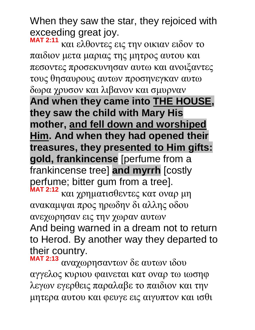When they saw the star, they rejoiced with exceeding great joy.

**MAT 2:11** και ελθοντες εις την οικιαν ειδον το παιδιον μετα μαριας της μητρος αυτου και πεσοντες προσεκυνησαν αυτω και ανοιξαντες τους θησαυρους αυτων προσηνεγκαν αυτω δωρα χρυσον και λιβανον και σμυρναν **And when they came into THE HOUSE, they saw the child with Mary His mother, and fell down and worshiped Him. And when they had opened their treasures, they presented to Him gifts: gold, frankincense** [perfume from a frankincense tree] **and myrrh** [costly perfume; bitter gum from a tree]. **MAT 2:12** και χρηματισθεντες κατ οναρ μη ανακαμψαι προς ηρωδην δι αλλης οδου ανεχωρησαν εις την χωραν αυτων

And being warned in a dream not to return to Herod. By another way they departed to their country.

**MAT 2:13** αναχωρησαντων δε αυτων ιδου αγγελος κυριου φαινεται κατ οναρ τω ιωσηφ λεγων εγερθεις παραλαβε το παιδιον και την μητερα αυτου και φευγε εις αιγυπτον και ισθι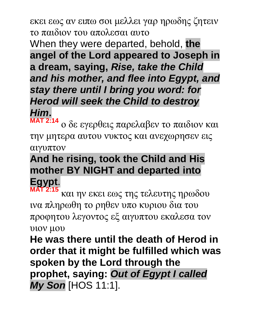εκει εως αν ειπω σοι μελλει γαρ ηρωδης ζητειν το παιδιον του απολεσαι αυτο

When they were departed, behold, **the angel of the Lord appeared to Joseph in a dream, saying,** *Rise, take the Child and his mother, and flee into Egypt, and stay there until I bring you word: for Herod will seek the Child to destroy Him***.**

**MAT 2:14** ο δε εγερθεις παρελαβεν το παιδιον και την μητερα αυτου νυκτος και ανεχωρησεν εις αιγυπτον

# **And he rising, took the Child and His mother BY NIGHT and departed into Egypt**.

**MAT 2:15** και ην εκει εως της τελευτης ηρωδου ινα πληρωθη το ρηθεν υπο κυριου δια του προφητου λεγοντος εξ αιγυπτου εκαλεσα τον υιον μου

**He was there until the death of Herod in order that it might be fulfilled which was spoken by the Lord through the prophet, saying:** *Out of Egypt I called My Son* [HOS 11:1].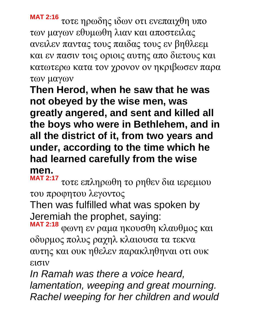**MAT 2:16** τοτε ηρωδης ιδων οτι ενεπαιχθη υπο των μαγων εθυμωθη λιαν και αποστειλας ανειλεν παντας τους παιδας τους εν βηθλεεμ και εν πασιν τοις οριοις αυτης απο διετους και κατωτερω κατα τον χρονον ον ηκριβωσεν παρα των μαγων

**Then Herod, when he saw that he was not obeyed by the wise men, was greatly angered, and sent and killed all the boys who were in Bethlehem, and in all the district of it, from two years and under, according to the time which he had learned carefully from the wise men.** 

**MAT 2:17** τοτε επληρωθη το ρηθεν δια ιερεμιου του προφητου λεγοντος

Then was fulfilled what was spoken by Jeremiah the prophet, saying:

**MAT 2:18** φωνη εν ραμα ηκουσθη κλαυθμος και οδυρμος πολυς ραχηλ κλαιουσα τα τεκνα αυτης και ουκ ηθελεν παρακληθηναι οτι ουκ εισιν

*In Ramah was there a voice heard, lamentation, weeping and great mourning. Rachel weeping for her children and would*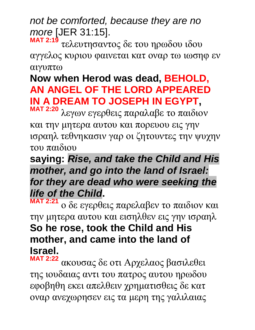*not be comforted, because they are no more* [JER 31:15].

**MAT 2:19** τελευτησαντος δε του ηρωδου ιδου αγγελος κυριου φαινεται κατ οναρ τω ιωσηφ εν αιγυπτω

# **Now when Herod was dead, BEHOLD, AN ANGEL OF THE LORD APPEARED IN A DREAM TO JOSEPH IN EGYPT,**

**MAT 2:20** λεγων εγερθεις παραλαβε το παιδιον και την μητερα αυτου και πορευου εις γην ισραηλ τεθνηκασιν γαρ οι ζητουντες την ψυχην του παιδιου

### **saying:** *Rise, and take the Child and His mother, and go into the land of Israel: for they are dead who were seeking the life of the Child***.**

**MAT 2:21** ο δε εγερθεις παρελαβεν το παιδιον και την μητερα αυτου και εισηλθεν εις γην ισραηλ **So he rose, took the Child and His mother, and came into the land of Israel.** 

**MAT 2:22** ακουσας δε οτι Αρχελαος βασιλεθει της ιουδαιας αντι του πατρος αυτου ηρωδου εφοβηθη εκει απελθειν χρηματισθεις δε κατ οναρ ανεχωρησεν εις τα μερη της γαλιλαιας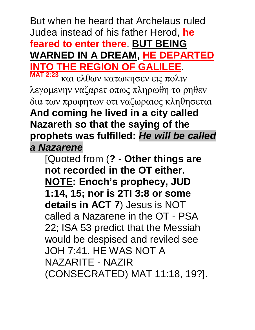But when he heard that Archelaus ruled Judea instead of his father Herod, **he feared to enter there**. **BUT BEING WARNED IN A DREAM, HE DEPARTED INTO THE REGION OF GALILEE**.

**MAT 2:23** και ελθων κατωκησεν εις πολιν λεγομενην ναζαρετ οπως πληρωθη το ρηθεν δια των προφητων οτι ναζωραιος κληθησεται **And coming he lived in a city called Nazareth so that the saying of the prophets was fulfilled:** *He will be called a Nazarene*

[Quoted from (**? - Other things are not recorded in the OT either. NOTE: Enoch's prophecy, JUD 1:14, 15; nor is 2TI 3:8 or some details in ACT 7**) Jesus is NOT called a Nazarene in the OT - PSA 22; ISA 53 predict that the Messiah would be despised and reviled see JOH 7:41. HE WAS NOT A NAZARITE - NAZIR (CONSECRATED) MAT 11:18, 19?].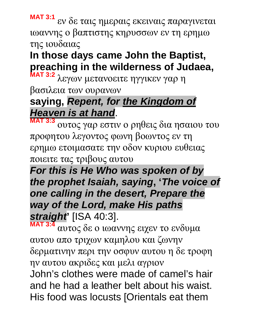**MAT 3:1** εν δε ταις ημεραις εκειναις παραγινεται ιωαννης ο βαπτιστης κηρυσσων εν τη ερημω της ιουδαιας

# **In those days came John the Baptist, preaching in the wilderness of Judaea,**

**MAT 3:2** λεγων μετανοειτε ηγγικεν γαρ η βασιλεια των ουρανων

# **saying,** *Repent, for the Kingdom of Heaven is at hand*.

**MAT 3:3** ουτος γαρ εστιν ο ρηθεις δια ησαιου του προφητου λεγοντος φωνη βοωντος εν τη ερημω ετοιμασατε την οδον κυριου ευθειας ποιειτε τας τριβους αυτου

*For this is He Who was spoken of by the prophet Isaiah, saying***, '***The voice of one calling in the desert, Prepare the way of the Lord, make His paths straight***'** [ISA 40:3].

**MAT 3:4** αυτος δε ο ιωαννης ειχεν το ενδυμα αυτου απο τριχων καμηλου και ζωνην δερματινην περι την οσφυν αυτου η δε τροφη ην αυτου ακριδες και μελι αγριον John's clothes were made of camel's hair and he had a leather belt about his waist. His food was locusts [Orientals eat them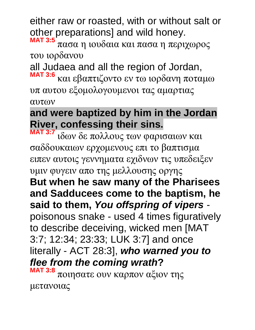either raw or roasted, with or without salt or other preparations] and wild honey.

**MAT 3:5** πασα η ιουδαια και πασα η περιχωρος του ιορδανου

all Judaea and all the region of Jordan, **MAT 3:6** και εβαπτιζοντο εν τω ιορδανη ποταμω

υπ αυτου εξομολογουμενοι τας αμαρτιας αυτων

# **and were baptized by him in the Jordan River, confessing their sins.**

**MAT 3:7** ιδων δε πολλους των φαρισαιων και σαδδουκαιων ερχομενους επι το βαπτισμα ειπεν αυτοις γεννηματα εχιδνων τις υπεδειξεν υμιν φυγειν απο της μελλουσης οργης **But when he saw many of the Pharisees and Sadducees come to the baptism, he said to them,** *You offspring of vipers* poisonous snake - used 4 times figuratively to describe deceiving, wicked men [MAT 3:7; 12:34; 23:33; LUK 3:7] and once literally - ACT 28:3], *who warned you to flee from the coming wrath***? MAT 3:8** ποιησατε ουν καρπον αξιον της

μετανοιας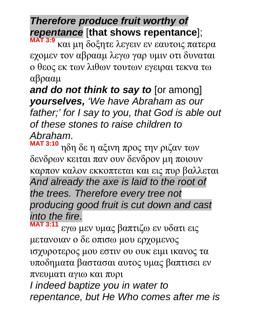# *Therefore produce fruit worthy of repentance* [**that shows repentance**];

**MAT 3:9** και μη δοξητε λεγειν εν εαυτοις πατερα εχομεν τον αβρααμ λεγω γαρ υμιν οτι δυναται ο θεος εκ των λιθων τουτων εγειραι τεκνα τω αβρααμ

*and do not think to say to* [or among] *yourselves, 'We have Abraham as our father;' for I say to you, that God is able out of these stones to raise children to Abraham*.

**MAT 3:10** ηδη δε η αξινη προς την ριζαν των δενδρων κειται παν ουν δενδρον μη ποιουν καρπον καλον εκκοπτεται και εις πυρ βαλλεται *And already the axe is laid to the root of the trees. Therefore every tree not producing good fruit is cut down and cast into the fire*. **MAT 3:11**

εγω μεν υμας βαπτιζω εν υδατι εις μετανοιαν ο δε οπισω μου ερχομενος ισχυροτερος μου εστιν ου ουκ ειμι ικανος τα υποδηματα βαστασαι αυτος υμας βαπτισει εν πνευματι αγιω και πυρι

*I indeed baptize you in water to repentance, but He Who comes after me is*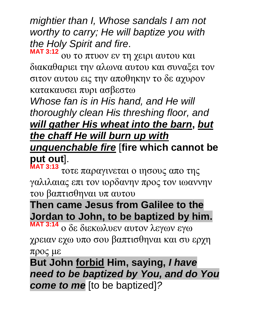*mightier than I, Whose sandals I am not worthy to carry; He will baptize you with the Holy Spirit and fire*.

**MAT 3:12** ου το πτυον εν τη χειρι αυτου και διακαθαριει την αλωνα αυτου και συναξει τον σιτον αυτου εις την αποθηκην το δε αχυρον κατακαυσει πυρι ασβεστω

*Whose fan is in His hand, and He will thoroughly clean His threshing floor, and will gather His wheat into the barn***,** *but the chaff He will burn up with unquenchable fire* [**fire which cannot be put out**].

**MAT 3:13** τοτε παραγινεται ο ιησους απο της γαλιλαιας επι τον ιορδανην προς τον ιωαννην του βαπτισθηναι υπ αυτου

# **Then came Jesus from Galilee to the Jordan to John, to be baptized by him.**

**MAT 3:14** ο δε διεκωλυεν αυτον λεγων εγω χρειαν εχω υπο σου βαπτισθηναι και συ ερχη προς με

**But John forbid Him, saying,** *I have need to be baptized by You, and do You come to me* [to be baptized]*?*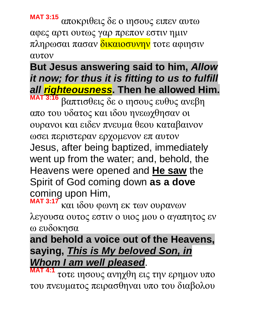**MAT 3:15** αποκριθεις δε ο ιησους ειπεν αυτω αφες αρτι ουτως γαρ πρεπον εστιν ημιν πληρωσαι πασαν δικαιοσυνην τοτε αφιησιν αυτον

# **But Jesus answering said to him,** *Allow it now; for thus it is fitting to us to fulfill all righteousness***. Then he allowed Him.**

**MAT 3:16** βαπτισθεις δε ο ιησους ευθυς ανεβη απο του υδατος και ιδου ηνεωχθησαν οι ουρανοι και ειδεν πνευμα θεου καταβαινον ωσει περιστεραν ερχομενον επ αυτον Jesus, after being baptized, immediately went up from the water; and, behold, the Heavens were opened and **He saw** the Spirit of God coming down **as a dove** coming upon Him,

**MAT 3:17** και ιδου φωνη εκ των ουρανων λεγουσα ουτος εστιν ο υιος μου ο αγαπητος εν ω ευδοκησα

# **and behold a voice out of the Heavens, saying,** *This is My beloved Son, in Whom I am well pleased*.

**MAT 4:1** τοτε ιησους ανηχθη εις την ερημον υπο του πνευματος πειρασθηναι υπο του διαβολου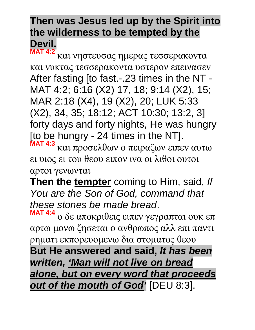#### **Then was Jesus led up by the Spirit into the wilderness to be tempted by the Devil. MAT 4:2**

και νηστευσας ημερας τεσσερακοντα και νυκτας τεσσερακοντα υστερον επεινασεν After fasting [to fast.-.23 times in the NT -MAT 4:2; 6:16 (X2) 17, 18; 9:14 (X2), 15; MAR 2:18 (X4), 19 (X2), 20; LUK 5:33 (X2), 34, 35; 18:12; ACT 10:30; 13:2, 3] forty days and forty nights, He was hungry [to be hungry - 24 times in the NT].

**MAT 4:3** και προσελθων ο πειραζων ειπεν αυτω ει υιος ει του θεου ειπον ινα οι λιθοι ουτοι αρτοι γενωνται

**Then the tempter** coming to Him, said, *If You are the Son of God, command that these stones be made bread*.

**MAT 4:4** ο δε αποκριθεις ειπεν γεγραπται ουκ επ αρτω μονω ζησεται ο ανθρωπος αλλ επι παντι ρηματι εκπορευομενω δια στοματος θεου

**But He answered and said,** *It has been written, 'Man will not live on bread alone, but on every word that proceeds out of the mouth of God'* [DEU 8:3].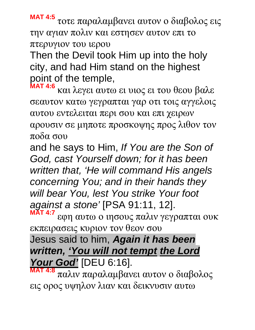**MAT 4:5** τοτε παραλαμβανει αυτον ο διαβολος εις την αγιαν πολιν και εστησεν αυτον επι το πτερυγιον του ιερου

Then the Devil took Him up into the holy city, and had Him stand on the highest point of the temple,

**MAT 4:6** και λεγει αυτω ει υιος ει του θεου βαλε σεαυτον κατω γεγραπται γαρ οτι τοις αγγελοις αυτου εντελειται περι σου και επι χειρων αρουσιν σε μηποτε προσκοψης προς λιθον τον ποδα σου

and he says to Him, *If You are the Son of God, cast Yourself down; for it has been written that, 'He will command His angels concerning You; and in their hands they will bear You, lest You strike Your foot against a stone'* [PSA 91:11, 12]. **MAT 4:7**

εφη αυτω ο ιησους παλιν γεγραπται ουκ εκπειρασεις κυριον τον θεον σου Jesus said to him, *Again it has been written, 'You will not tempt the Lord Your God'* [DEU 6:16].

**MAT 4:8** παλιν παραλαμβανει αυτον ο διαβολος εις ορος υψηλον λιαν και δεικνυσιν αυτω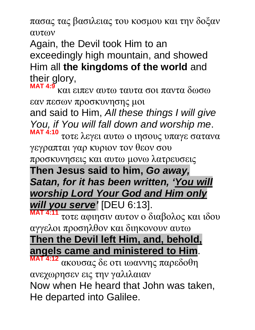πασας τας βασιλειας του κοσμου και την δοξαν αυτων

Again, the Devil took Him to an exceedingly high mountain, and showed Him all **the kingdoms of the world** and their glory,

**MAT 4:9** και ειπεν αυτω ταυτα σοι παντα δωσω εαν πεσων προσκυνησης μοι

and said to Him, *All these things I will give You, if You will fall down and worship me*. **MAT 4:10**

τοτε λεγει αυτω ο ιησους υπαγε σατανα γεγραπται γαρ κυριον τον θεον σου προσκυνησεις και αυτω μονω λατρευσεις **Then Jesus said to him,** *Go away, Satan, for it has been written, 'You will worship Lord Your God and Him only will you serve'* [DEU 6:13].

**MAT 4:11** τοτε αφιησιν αυτον ο διαβολος και ιδου αγγελοι προσηλθον και διηκονουν αυτω **Then the Devil left Him, and, behold, angels came and ministered to Him**. **MAT 4:12**

ακουσας δε οτι ιωαννης παρεδοθη ανεχωρησεν εις την γαλιλαιαν Now when He heard that John was taken, He departed into Galilee.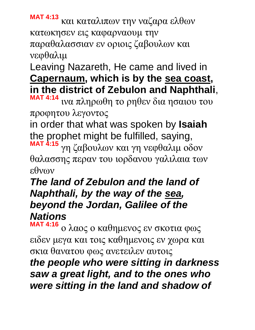**MAT 4:13** και καταλιπων την ναζαρα ελθων κατωκησεν εις καφαρναουμ την παραθαλασσιαν εν οριοις ζαβουλων και νεφθαλιμ

## Leaving Nazareth, He came and lived in **Capernaum, which is by the sea coast, in the district of Zebulon and Naphthali**,

**MAT 4:14** ινα πληρωθη το ρηθεν δια ησαιου του προφητου λεγοντος

in order that what was spoken by **Isaiah** the prophet might be fulfilled, saying, **MAT 4:15** γη ζαβουλων και γη νεφθαλιμ οδον θαλασσης περαν του ιορδανου γαλιλαια των

εθνων

#### *The land of Zebulon and the land of Naphthali, by the way of the sea, beyond the Jordan, Galilee of the Nations*

**MAT 4:16** ο λαος ο καθημενος εν σκοτια φως ειδεν μεγα και τοις καθημενοις εν χωρα και σκια θανατου φως ανετειλεν αυτοις

### *the people who were sitting in darkness saw a great light, and to the ones who were sitting in the land and shadow of*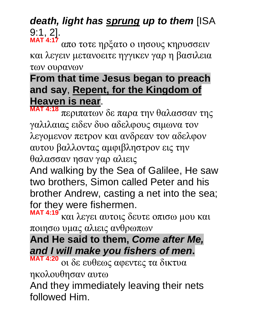#### *death, light has sprung up to them* [ISA 9:1, 2]. **MAT 4:17**

απο τοτε ηρξατο ο ιησους κηρυσσειν και λεγειν μετανοειτε ηγγικεν γαρ η βασιλεια των ουρανων

## **From that time Jesus began to preach and say**, **Repent, for the Kingdom of Heaven is near**.

**MAT 4:18** περιπατων δε παρα την θαλασσαν της γαλιλαιας ειδεν δυο αδελφους σιμωνα τον λεγομενον πετρον και ανδρεαν τον αδελφον αυτου βαλλοντας αμφιβληστρον εις την θαλασσαν ησαν γαρ αλιεις

And walking by the Sea of Galilee, He saw two brothers, Simon called Peter and his brother Andrew, casting a net into the sea; for they were fishermen.

**MAT 4:19** και λεγει αυτοις δευτε οπισω μου και ποιησω υμας αλιεις ανθρωπων

**And He said to them,** *Come after Me, and I will make you fishers of men***.** 

**MAT 4:20** οι δε ευθεως αφεντες τα δικτυα ηκολουθησαν αυτω

And they immediately leaving their nets followed Him.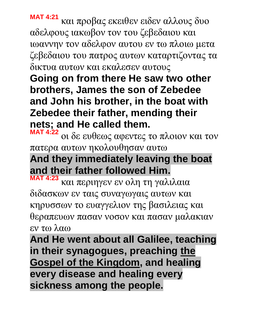**MAT 4:21** και προβας εκειθεν ειδεν αλλους δυο αδελφους ιακωβον τον του ζεβεδαιου και ιωαννην τον αδελφον αυτου εν τω πλοιω μετα ζεβεδαιου του πατρος αυτων καταρτιζοντας τα δικτυα αυτων και εκαλεσεν αυτους

**Going on from there He saw two other brothers, James the son of Zebedee and John his brother, in the boat with Zebedee their father, mending their nets; and He called them.** 

**MAT 4:22** οι δε ευθεως αφεντες το πλοιον και τον πατερα αυτων ηκολουθησαν αυτω

**And they immediately leaving the boat and their father followed Him.** 

**MAT 4:23** και περιηγεν εν ολη τη γαλιλαια διδασκων εν ταις συναγωγαις αυτων και κηρυσσων το ευαγγελιον της βασιλειας και θεραπευων πασαν νοσον και πασαν μαλακιαν εν τω λαω

**And He went about all Galilee, teaching in their synagogues, preaching the Gospel of the Kingdom, and healing every disease and healing every sickness among the people.**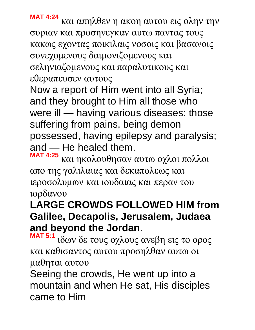**MAT 4:24** και απηλθεν η ακοη αυτου εις ολην την συριαν και προσηνεγκαν αυτω παντας τους κακως εχοντας ποικιλαις νοσοις και βασανοις συνεχομενους δαιμονιζομενους και σεληνιαζομενους και παραλυτικους και εθεραπευσεν αυτους

Now a report of Him went into all Syria; and they brought to Him all those who were ill — having various diseases: those suffering from pains, being demon possessed, having epilepsy and paralysis; and — He healed them.

**MAT 4:25** και ηκολουθησαν αυτω οχλοι πολλοι απο της γαλιλαιας και δεκαπολεως και ιεροσολυμων και ιουδαιας και περαν του ιορδανου

### **LARGE CROWDS FOLLOWED HIM from Galilee, Decapolis, Jerusalem, Judaea and beyond the Jordan**.

**MAT 5:1** ιδων δε τους οχλους ανεβη εις το ορος και καθισαντος αυτου προσηλθαν αυτω οι μαθηται αυτου

Seeing the crowds, He went up into a mountain and when He sat, His disciples came to Him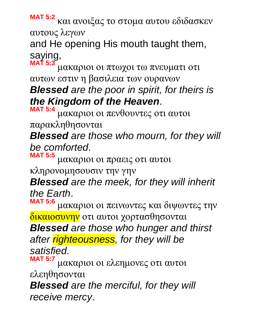**MAT 5:2** και ανοιξας το στομα αυτου εδιδασκεν αυτους λεγων

and He opening His mouth taught them, saying, **MAT 5:3**

μακαριοι οι πτωχοι τω πνευματι οτι αυτων εστιν η βασιλεια των ουρανων *Blessed are the poor in spirit, for theirs is the Kingdom of the Heaven*.

**MAT 5:4** μακαριοι οι πενθουντες οτι αυτοι

παρακληθησονται

*Blessed are those who mourn, for they will be comforted*.

**MAT 5:5** μακαριοι οι πραεις οτι αυτοι

κληρονομησουσιν την γην

*Blessed are the meek, for they will inherit the Earth*.

**MAT 5:6** μακαριοι οι πεινωντες και διψωντες την δικαιοσυνην οτι αυτοι χορτασθησονται

*Blessed are those who hunger and thirst after righteousness, for they will be satisfied*.

**MAT 5:7** μακαριοι οι ελεημονες οτι αυτοι ελεηθησονται

*Blessed are the merciful, for they will receive mercy*.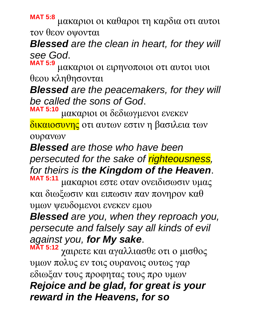**MAT 5:8** μακαριοι οι καθαροι τη καρδια οτι αυτοι τον θεον οψονται

*Blessed are the clean in heart, for they will see God*.

**MAT 5:9** μακαριοι οι ειρηνοποιοι οτι αυτοι υιοι θεου κληθησονται

*Blessed are the peacemakers, for they will be called the sons of God*.

**MAT 5:10** μακαριοι οι δεδιωγμενοι ενεκεν

δικαιοσυνης οτι αυτων εστιν η βασιλεια των ουρανων

*Blessed are those who have been persecuted for the sake of righteousness, for theirs is the Kingdom of the Heaven*. **MAT 5:11**

μακαριοι εστε οταν ονειδισωσιν υμας και διωξωσιν και ειπωσιν παν πονηρον καθ υμων ψευδομενοι ενεκεν εμου

*Blessed are you, when they reproach you, persecute and falsely say all kinds of evil against you, for My sake*.

**MAT 5:12** χαιρετε και αγαλλιασθε οτι ο μισθος υμων πολυς εν τοις ουρανοις ουτως γαρ εδιωξαν τους προφητας τους προ υμων *Rejoice and be glad, for great is your reward in the Heavens, for so*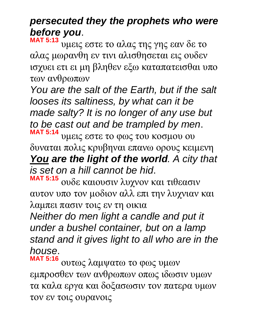## *persecuted they the prophets who were before you*.

**MAT 5:13** υμεις εστε το αλας της γης εαν δε το αλας μωρανθη εν τινι αλισθησεται εις ουδεν ισχυει ετι ει μη βληθεν εξω καταπατεισθαι υπο των ανθρωπων

*You are the salt of the Earth, but if the salt looses its saltiness, by what can it be made salty? It is no longer of any use but to be cast out and be trampled by men*. **MAT 5:14** υμεις εστε το φως του κοσμου ου δυναται πολις κρυβηναι επανω ορους κειμενη

*You are the light of the world. A city that is set on a hill cannot be hid*.

**MAT 5:15** ουδε καιουσιν λυχνον και τιθεασιν αυτον υπο τον μοδιον αλλ επι την λυχνιαν και λαμπει πασιν τοις εν τη οικια

*Neither do men light a candle and put it under a bushel container, but on a lamp stand and it gives light to all who are in the house*.

**MAT 5:16** ουτως λαμψατω το φως υμων εμπροσθεν των ανθρωπων οπως ιδωσιν υμων τα καλα εργα και δοξασωσιν τον πατερα υμων τον εν τοις ουρανοις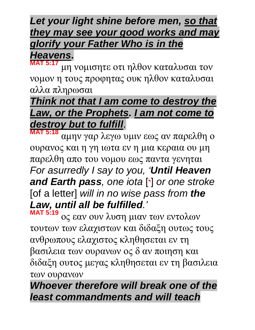## *Let your light shine before men, so that they may see your good works and may glorify your Father Who is in the*

## *Heavens***.**

**MAT 5:17** μη νομισητε οτι ηλθον καταλυσαι τον νομον η τους προφητας ουκ ηλθον καταλυσαι αλλα πληρωσαι

### *Think not that I am come to destroy the Law, or the Prophets. I am not come to destroy but to fulfill*.

**MAT 5:18** αμην γαρ λεγω υμιν εως αν παρελθη ο ουρανος και η γη ιωτα εν η μια κεραια ου μη παρελθη απο του νομου εως παντα γενηται *For asurredly I say to you, 'Until Heaven and Earth pass, one iota* [ $\cdot$ ] *or one stroke* [of a letter] *will in no wise pass from the Law, until all be fulfilled.'*

**MAT 5:19** ος εαν ουν λυση μιαν των εντολων τουτων των ελαχιστων και διδαξη ουτως τους ανθρωπους ελαχιστος κληθησεται εν τη βασιλεια των ουρανων ος δ αν ποιηση και διδαξη ουτος μεγας κληθησεται εν τη βασιλεια των ουρανων

## *Whoever therefore will break one of the least commandments and will teach*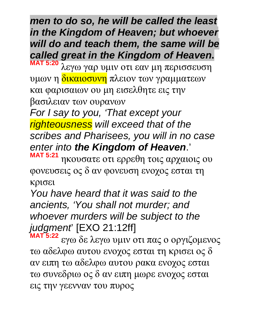*men to do so, he will be called the least in the Kingdom of Heaven; but whoever will do and teach them, the same will be called great in the Kingdom of Heaven***.** 

**MAT 5:20** λεγω γαρ υμιν οτι εαν μη περισσευση υμων η δικαιοσυνη πλειον των γραμματεων και φαρισαιων ου μη εισελθητε εις την βασιλειαν των ουρανων

*For I say to you, 'That except your righteousness will exceed that of the scribes and Pharisees, you will in no case enter into the Kingdom of Heaven*.' **MAT 5:21**

ηκουσατε οτι ερρεθη τοις αρχαιοις ου φονευσεις ος δ αν φονευση ενοχος εσται τη κρισει

*You have heard that it was said to the ancients, 'You shall not murder; and whoever murders will be subject to the judgment*' [EXO 21:12ff]

**MAT 5:22** εγω δε λεγω υμιν οτι πας ο οργιζομενος τω αδελφω αυτου ενοχος εσται τη κρισει ος δ αν ειπη τω αδελφω αυτου ρακα ενοχος εσται τω συνεδριω ος δ αν ειπη μωρε ενοχος εσται εις την γεενναν του πυρος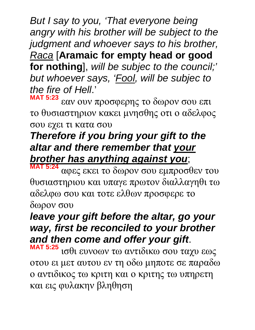*But I say to you, 'That everyone being angry with his brother will be subject to the judgment and whoever says to his brother, Raca* [**Aramaic for empty head or good for nothing**], *will be subjec to the council;' but whoever says, 'Fool, will be subjec to the fire of Hell*.'

**MAT 5:23** εαν ουν προσφερης το δωρον σου επι το θυσιαστηριον κακει μνησθης οτι ο αδελφος σου εχει τι κατα σου

## *Therefore if you bring your gift to the altar and there remember that your brother has anything against you*;

**MAT 5:24** αφες εκει το δωρον σου εμπροσθεν του θυσιαστηριου και υπαγε πρωτον διαλλαγηθι τω αδελφω σου και τοτε ελθων προσφερε το δωρον σου

### *leave your gift before the altar, go your way, first be reconciled to your brother and then come and offer your gift*.

**MAT 5:25** ισθι ευνοων τω αντιδικω σου ταχυ εως οτου ει μετ αυτου εν τη οδω μηποτε σε παραδω ο αντιδικος τω κριτη και ο κριτης τω υπηρετη και εις φυλακην βληθηση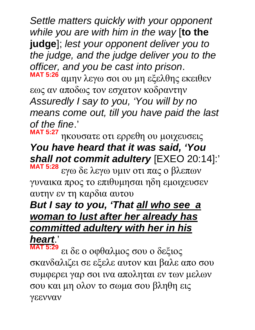*Settle matters quickly with your opponent while you are with him in the way* [**to the judge**]; *lest your opponent deliver you to the judge, and the judge deliver you to the officer, and you be cast into prison*.

**MAT 5:26** αμην λεγω σοι ου μη εξελθης εκειθεν εως αν αποδως τον εσχατον κοδραντην *Assuredly I say to you, 'You will by no means come out, till you have paid the last of the fine*.'

**MAT 5:27** ηκουσατε οτι ερρεθη ου μοιχευσεις *You have heard that it was said, 'You shall not commit adultery* [EXEO 20:14]:'

**MAT 5:28** εγω δε λεγω υμιν οτι πας ο βλεπων γυναικα προς το επιθυμησαι ηδη εμοιχευσεν αυτην εν τη καρδια αυτου

### *But I say to you, 'That all who see a woman to lust after her already has committed adultery with her in his heart*.'

**MAT 5:29** ει δε ο οφθαλμος σου ο δεξιος σκανδαλιζει σε εξελε αυτον και βαλε απο σου συμφερει γαρ σοι ινα αποληται εν των μελων σου και μη ολον το σωμα σου βληθη εις γεενναν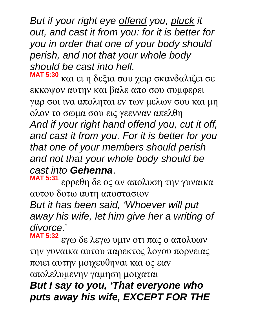*But if your right eye offend you, pluck it out, and cast it from you: for it is better for you in order that one of your body should perish, and not that your whole body should be cast into hell*.

**MAT 5:30** και ει η δεξια σου χειρ σκανδαλιζει σε εκκοψον αυτην και βαλε απο σου συμφερει γαρ σοι ινα αποληται εν των μελων σου και μη ολον το σωμα σου εις γεενναν απελθη *And if your right hand offend you, cut it off, and cast it from you. For it is better for you that one of your members should perish and not that your whole body should be cast into Gehenna*.

**MAT 5:31** ερρεθη δε ος αν απολυση την γυναικα αυτου δοτω αυτη αποστασιον

*But it has been said, 'Whoever will put away his wife, let him give her a writing of divorce*.'

**MAT 5:32** εγω δε λεγω υμιν οτι πας ο απολυων την γυναικα αυτου παρεκτος λογου πορνειας ποιει αυτην μοιχευθηναι και ος εαν απολελυμενην γαμηση μοιχαται

#### *But I say to you, 'That everyone who puts away his wife, EXCEPT FOR THE*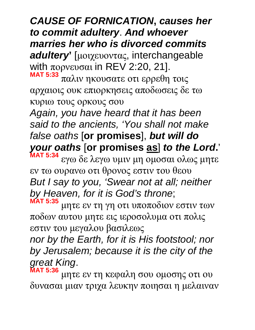# *CAUSE OF FORNICATION***,** *causes her to commit adultery*. *And whoever marries her who is divorced commits*

*adultery* [μοιχευοντας, interchangeable with πορνευσαι in REV 2:20, 21].

**MAT 5:33** παλιν ηκουσατε οτι ερρεθη τοις αρχαιοις ουκ επιορκησεις αποδωσεις δε τω κυριω τους ορκους σου

*Again, you have heard that it has been said to the ancients, 'You shall not make false oaths* [**or promises**], *but will do your oaths* [**or promises as**] *to the Lord***.**'

**MAT 5:34** εγω δε λεγω υμιν μη ομοσαι ολως μητε εν τω ουρανω οτι θρονος εστιν του θεου *But I say to you, 'Swear not at all; neither by Heaven, for it is God's throne*; **MAT 5:35**

μητε εν τη γη οτι υποποδιον εστιν των ποδων αυτου μητε εις ιεροσολυμα οτι πολις εστιν του μεγαλου βασιλεως

*nor by the Earth, for it is His footstool; nor by Jerusalem; because it is the city of the great King*.

**MAT 5:36** μητε εν τη κεφαλη σου ομοσης οτι ου δυνασαι μιαν τριχα λευκην ποιησαι η μελαιναν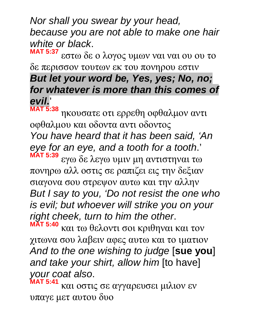*Nor shall you swear by your head, because you are not able to make one hair white or black*.

**MAT 5:37** εστω δε ο λογος υμων ναι ναι ου ου το δε περισσον τουτων εκ του πονηρου εστιν *But let your word be, Yes, yes; No, no; for whatever is more than this comes of evil***.**'

**MAT 5:38** ηκουσατε οτι ερρεθη οφθαλμον αντι οφθαλμου και οδοντα αντι οδοντος *You have heard that it has been said, 'An eye for an eye, and a tooth for a tooth*.' **MAT 5:39** εγω δε λεγω υμιν μη αντιστηναι τω πονηρω αλλ οστις σε ραπιζει εις την δεξιαν σιαγονα σου στρεψον αυτω και την αλλην *But I say to you, 'Do not resist the one who is evil; but whoever will strike you on your right cheek, turn to him the other*. **MAT 5:40**

και τω θελοντι σοι κριθηναι και τον χιτωνα σου λαβειν αφες αυτω και το ιματιον *And to the one wishing to judge* [**sue you**] *and take your shirt, allow him* [to have] *your coat also*.

**MAT 5:41** και οστις σε αγγαρευσει μιλιον εν υπαγε μετ αυτου δυο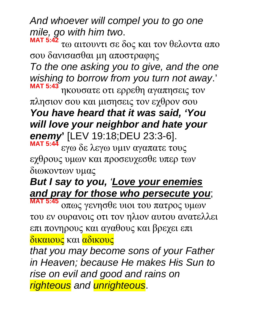*And whoever will compel you to go one mile, go with him two*.

**MAT 5:42** τω αιτουντι σε δος και τον θελοντα απο σου δανισασθαι μη αποστραφης *To the one asking you to give, and the one wishing to borrow from you turn not away*.' **MAT 5:43** ηκουσατε οτι ερρεθη αγαπησεις τον

πλησιον σου και μισησεις τον εχθρον σου *You have heard that it was said, 'You will love your neighbor and hate your enemy***'** [LEV 19:18;DEU 23:3-6].

**MAT 5:44** εγω δε λεγω υμιν αγαπατε τους εχθρους υμων και προσευχεσθε υπερ των διωκοντων υμας

## *But I say to you, 'Love your enemies and pray for those who persecute you*;

**MAT 5:45** οπως γενησθε υιοι του πατρος υμων του εν ουρανοις οτι τον ηλιον αυτου ανατελλει επι πονηρους και αγαθους και βρεχει επι δικαιους και αδικους

*that you may become sons of your Father in Heaven; because He makes His Sun to rise on evil and good and rains on righteous and unrighteous*.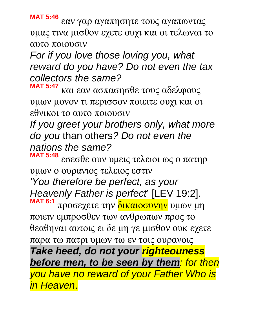**MAT 5:46** εαν γαρ αγαπησητε τους αγαπωντας υμας τινα μισθον εχετε ουχι και οι τελωναι το αυτο ποιουσιν

*For if you love those loving you, what reward do you have? Do not even the tax collectors the same?*

**MAT 5:47** και εαν ασπασησθε τους αδελφους υμων μονον τι περισσον ποιειτε ουχι και οι εθνικοι το αυτο ποιουσιν

*If you greet your brothers only, what more do you* than others*? Do not even the nations the same?*

**MAT 5:48** εσεσθε ουν υμεις τελειοι ως ο πατηρ υμων ο ουρανιος τελειος εστιν

*'You therefore be perfect, as your Heavenly Father is perfect*' [LEV 19:2]. **MAT 6:1** προσεχετε την δικαιοσυνην υμων μη

ποιειν εμπροσθεν των ανθρωπων προς το θεαθηναι αυτοις ει δε μη γε μισθον ουκ εχετε παρα τω πατρι υμων τω εν τοις ουρανοις

*Take heed, do not your righteouness before men, to be seen by them: for then you have no reward of your Father Who is in Heaven*.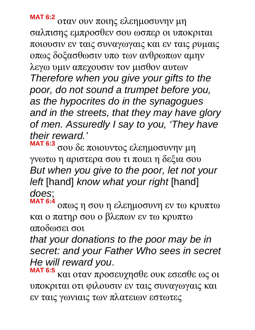**MAT 6:2** οταν ουν ποιης ελεημοσυνην μη σαλπισης εμπροσθεν σου ωσπερ οι υποκριται ποιουσιν εν ταις συναγωγαις και εν ταις ρυμαις οπως δοξασθωσιν υπο των ανθρωπων αμην λεγω υμιν απεχουσιν τον μισθον αυτων *Therefore when you give your gifts to the poor, do not sound a trumpet before you, as the hypocrites do in the synagogues and in the streets, that they may have glory of men. Assuredly I say to you, 'They have their reward.'*

**MAT 6:3** σου δε ποιουντος ελεημοσυνην μη γνωτω η αριστερα σου τι ποιει η δεξια σου *But when you give to the poor, let not your left* [hand] *know what your right* [hand] *does*;

**MAT 6:4** οπως η σου η ελεημοσυνη εν τω κρυπτω και ο πατηρ σου ο βλεπων εν τω κρυπτω αποδωσει σοι

*that your donations to the poor may be in secret: and your Father Who sees in secret He will reward you*.

**MAT 6:5** και οταν προσευχησθε ουκ εσεσθε ως οι υποκριται οτι φιλουσιν εν ταις συναγωγαις και εν ταις γωνιαις των πλατειων εστωτες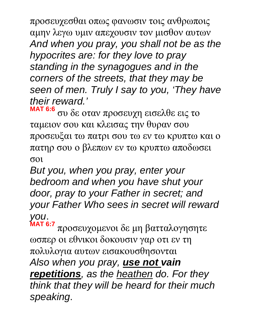προσευχεσθαι οπως φανωσιν τοις ανθρωποις αμην λεγω υμιν απεχουσιν τον μισθον αυτων *And when you pray, you shall not be as the hypocrites are: for they love to pray standing in the synagogues and in the corners of the streets, that they may be seen of men. Truly I say to you, 'They have their reward.'*

**MAT 6:6** συ δε οταν προσευχη εισελθε εις το ταμειον σου και κλεισας την θυραν σου προσευξαι τω πατρι σου τω εν τω κρυπτω και ο πατηρ σου ο βλεπων εν τω κρυπτω αποδωσει σοι

*But you, when you pray, enter your bedroom and when you have shut your door, pray to your Father in secret; and your Father Who sees in secret will reward you*.

**MAT 6:7** προσευχομενοι δε μη βατταλογησητε ωσπερ οι εθνικοι δοκουσιν γαρ οτι εν τη πολυλογια αυτων εισακουσθησονται *Also when you pray, use not vain repetitions, as the heathen do. For they think that they will be heard for their much speaking*.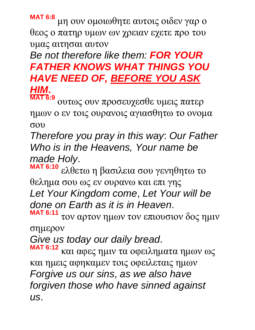**MAT 6:8** μη ουν ομοιωθητε αυτοις οιδεν γαρ ο θεος ο πατηρ υμων ων χρειαν εχετε προ του υμας αιτησαι αυτον

#### *Be not therefore like them: FOR YOUR FATHER KNOWS WHAT THINGS YOU HAVE NEED OF, BEFORE YOU ASK HIM***.**

**MAT 6:9** ουτως ουν προσευχεσθε υμεις πατερ ημων ο εν τοις ουρανοις αγιασθητω το ονομα σου

*Therefore you pray in this way*: *Our Father Who is in the Heavens, Your name be made Holy*.

**MAT 6:10** ελθετω η βασιλεια σου γενηθητω το θελημα σου ως εν ουρανω και επι γης *Let Your Kingdom come*, *Let Your will be done on Earth as it is in Heaven*. **MAT 6:11**

τον αρτον ημων τον επιουσιον δος ημιν σημερον

*Give us today our daily bread*.

**MAT 6:12** και αφες ημιν τα οφειληματα ημων ως και ημεις αφηκαμεν τοις οφειλεταις ημων *Forgive us our sins*, *as we also have forgiven those who have sinned against us*.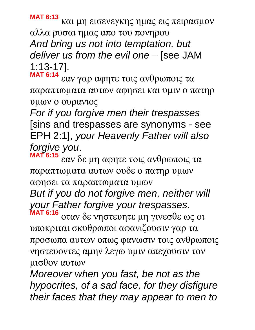**MAT 6:13** και μη εισενεγκης ημας εις πειρασμον αλλα ρυσαι ημας απο του πονηρου *And bring us not into temptation, but deliver us from the evil one* – [see JAM 1:13-17].

**MAT 6:14** εαν γαρ αφητε τοις ανθρωποις τα παραπτωματα αυτων αφησει και υμιν ο πατηρ υμων ο ουρανιος

*For if you forgive men their trespasses* [sins and trespasses are synonyms - see EPH 2:1], *your Heavenly Father will also forgive you*.

**MAT 6:15** εαν δε μη αφητε τοις ανθρωποις τα παραπτωματα αυτων ουδε ο πατηρ υμων αφησει τα παραπτωματα υμων

*But if you do not forgive men, neither will your Father forgive your trespasses*.

**MAT 6:16** οταν δε νηστευητε μη γινεσθε ως οι υποκριται σκυθρωποι αφανιζουσιν γαρ τα προσωπα αυτων οπως φανωσιν τοις ανθρωποις νηστευοντες αμην λεγω υμιν απεχουσιν τον μισθον αυτων

*Moreover when you fast, be not as the hypocrites, of a sad face, for they disfigure their faces that they may appear to men to*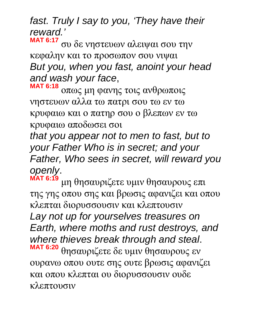*fast. Truly I say to you, 'They have their reward.'*

**MAT 6:17** συ δε νηστευων αλειψαι σου την κεφαλην και το προσωπον σου νιψαι *But you, when you fast, anoint your head and wash your face*, **MAT 6:18**

οπως μη φανης τοις ανθρωποις νηστευων αλλα τω πατρι σου τω εν τω κρυφαιω και ο πατηρ σου ο βλεπων εν τω κρυφαιω αποδωσει σοι

*that you appear not to men to fast, but to your Father Who is in secret; and your Father, Who sees in secret, will reward you openly*.

**MAT 6:19** μη θησαυριζετε υμιν θησαυρους επι της γης οπου σης και βρωσις αφανιζει και οπου κλεπται διορυσσουσιν και κλεπτουσιν *Lay not up for yourselves treasures on Earth, where moths and rust destroys, and where thieves break through and steal*. **MAT 6:20** θησαυριζετε δε υμιν θησαυρους εν ουρανω οπου ουτε σης ουτε βρωσις αφανιζει και οπου κλεπται ου διορυσσουσιν ουδε κλεπτουσιν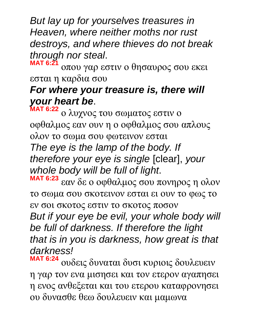*But lay up for yourselves treasures in Heaven, where neither moths nor rust destroys, and where thieves do not break through nor steal*.

**MAT 6:21** οπου γαρ εστιν ο θησαυρος σου εκει εσται η καρδια σου

### *For where your treasure is, there will your heart be*.

**MAT 6:22** ο λυχνος του σωματος εστιν ο οφθαλμος εαν ουν η ο οφθαλμος σου απλους ολον το σωμα σου φωτεινον εσται *The eye is the lamp of the body. If therefore your eye is single* [clear], *your whole body will be full of light*.

**MAT 6:23** εαν δε ο οφθαλμος σου πονηρος η ολον το σωμα σου σκοτεινον εσται ει ουν το φως το εν σοι σκοτος εστιν το σκοτος ποσον *But if your eye be evil, your whole body will be full of darkness. If therefore the light that is in you is darkness, how great is that darkness!*

**MAT 6:24** ουδεις δυναται δυσι κυριοις δουλευειν η γαρ τον ενα μισησει και τον ετερον αγαπησει η ενος ανθεξεται και του ετερου καταφρονησει ου δυνασθε θεω δουλευειν και μαμωνα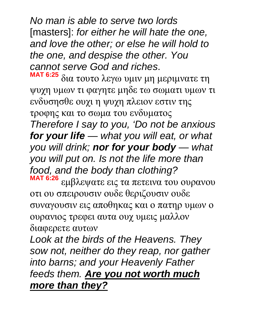*No man is able to serve two lords* [masters]: *for either he will hate the one, and love the other; or else he will hold to the one, and despise the other. You cannot serve God and riches*.

**MAT 6:25** δια τουτο λεγω υμιν μη μεριμνατε τη ψυχη υμων τι φαγητε μηδε τω σωματι υμων τι ενδυσησθε ουχι η ψυχη πλειον εστιν της τροφης και το σωμα του ενδυματος *Therefore I say to you, 'Do not be anxious for your life* — *what you will eat, or what you will drink; nor for your body* — *what* 

*you will put on. Is not the life more than food, and the body than clothing?*

**MAT 6:26** εμβλεψατε εις τα πετεινα του ουρανου οτι ου σπειρουσιν ουδε θεριζουσιν ουδε συναγουσιν εις αποθηκας και ο πατηρ υμων ο ουρανιος τρεφει αυτα ουχ υμεις μαλλον διαφερετε αυτων

*Look at the birds of the Heavens. They sow not, neither do they reap, nor gather into barns; and your Heavenly Father feeds them. Are you not worth much more than they?*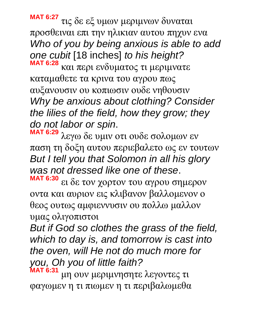**MAT 6:27** τις δε εξ υμων μεριμνων δυναται προσθειναι επι την ηλικιαν αυτου πηχυν ενα *Who of you by being anxious is able to add one cubit* [18 inches] *to his height?* **MAT 6:28**

και περι ενδυματος τι μεριμνατε καταμαθετε τα κρινα του αγρου πως αυξανουσιν ου κοπιωσιν ουδε νηθουσιν *Why be anxious about clothing? Consider the lilies of the field, how they grow; they do not labor or spin*.

**MAT 6:29** λεγω δε υμιν οτι ουδε σολομων εν παση τη δοξη αυτου περιεβαλετο ως εν τουτων *But I tell you that Solomon in all his glory was not dressed like one of these*.

**MAT 6:30** ει δε τον χορτον του αγρου σημερον οντα και αυριον εις κλιβανον βαλλομενον ο θεος ουτως αμφιεννυσιν ου πολλω μαλλον υμας ολιγοπιστοι

*But if God so clothes the grass of the field, which to day is, and tomorrow is cast into the oven, will He not do much more for you, Oh you of little faith?*

**MAT 6:31** μη ουν μεριμνησητε λεγοντες τι φαγωμεν η τι πιωμεν η τι περιβαλωμεθα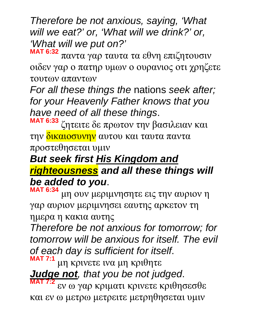*Therefore be not anxious, saying, 'What will we eat?' or, 'What will we drink?' or, 'What will we put on?'*

**MAT 6:32** παντα γαρ ταυτα τα εθνη επιζητουσιν οιδεν γαρ ο πατηρ υμων ο ουρανιος οτι χρηζετε τουτων απαντων

*For all these things the* nations *seek after; for your Heavenly Father knows that you have need of all these things*.

**MAT 6:33** ζητειτε δε πρωτον την βασιλειαν και την δικαιοσυνην αυτου και ταυτα παντα προστεθησεται υμιν

#### *But seek first His Kingdom and righteousness and all these things will be added to you*.

**MAT 6:34** μη ουν μεριμνησητε εις την αυριον η γαρ αυριον μεριμνησει εαυτης αρκετον τη ημερα η κακια αυτης

*Therefore be not anxious for tomorrow; for tomorrow will be anxious for itself. The evil of each day is sufficient for itself*. **MAT 7:1**

μη κρινετε ινα μη κριθητε

*Judge not, that you be not judged*.

**MAT 7:2** εν ω γαρ κριματι κρινετε κριθησεσθε και εν ω μετρω μετρειτε μετρηθησεται υμιν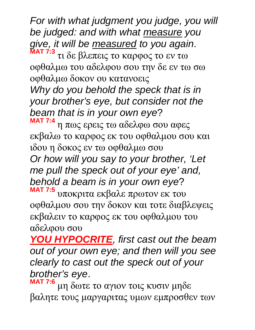*For with what judgment you judge, you will be judged: and with what measure you give, it will be measured to you again*. **MAT 7:3**

τι δε βλεπεις το καρφος το εν τω οφθαλμω του αδελφου σου την δε εν τω σω οφθαλμω δοκον ου κατανοεις

*Why do you behold the speck that is in your brother's eye, but consider not the beam that is in your own eye*?

**MAT 7:4** η πως ερεις τω αδελφω σου αφες εκβαλω το καρφος εκ του οφθαλμου σου και ιδου η δοκος εν τω οφθαλμω σου

*Or how will you say to your brother, 'Let me pull the speck out of your eye' and, behold a beam is in your own eye*?

**MAT 7:5** υποκριτα εκβαλε πρωτον εκ του οφθαλμου σου την δοκον και τοτε διαβλεψεις εκβαλειν το καρφος εκ του οφθαλμου του αδελφου σου

*YOU HYPOCRITE, first cast out the beam out of your own eye; and then will you see clearly to cast out the speck out of your brother's eye*.

**MAT 7:6** μη δωτε το αγιον τοις κυσιν μηδε βαλητε τους μαργαριτας υμων εμπροσθεν των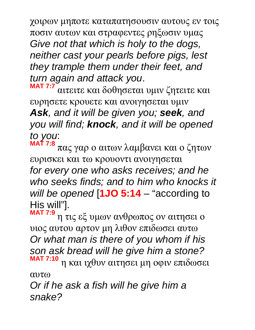χοιρων μηποτε καταπατησουσιν αυτους εν τοις ποσιν αυτων και στραφεντες ρηξωσιν υμας *Give not that which is holy to the dogs, neither cast your pearls before pigs, lest they trample them under their feet, and turn again and attack you*.

**MAT 7:7** αιτειτε και δοθησεται υμιν ζητειτε και ευρησετε κρουετε και ανοιγησεται υμιν *Ask, and it will be given you; seek, and you will find; knock, and it will be opened to you*:

**MAT 7:8** πας γαρ ο αιτων λαμβανει και ο ζητων ευρισκει και τω κρουοντι ανοιγησεται *for every one who asks receives; and he who seeks finds; and to him who knocks it will be opened* [**1JO 5:14** – "according to His will"].

**MAT 7:9** η τις εξ υμων ανθρωπος ον αιτησει ο υιος αυτου αρτον μη λιθον επιδωσει αυτω *Or what man is there of you whom if his son ask bread will he give him a stone?* **MAT 7:10** η και ιχθυν αιτησει μη οφιν επιδωσει

αυτω

*Or if he ask a fish will he give him a snake?*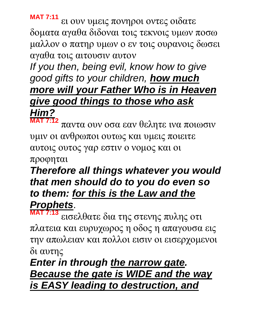**MAT 7:11** ει ουν υμεις πονηροι οντες οιδατε δοματα αγαθα διδοναι τοις τεκνοις υμων ποσω μαλλον ο πατηρ υμων ο εν τοις ουρανοις δωσει αγαθα τοις αιτουσιν αυτον

*If you then, being evil, know how to give good gifts to your children, how much more will your Father Who is in Heaven give good things to those who ask Him?*

**MAT 7:12** παντα ουν οσα εαν θελητε ινα ποιωσιν υμιν οι ανθρωποι ουτως και υμεις ποιειτε αυτοις ουτος γαρ εστιν ο νομος και οι

προφηται

#### *Therefore all things whatever you would that men should do to you do even so to them: for this is the Law and the Prophets*.

**MAT 7:13** εισελθατε δια της στενης πυλης οτι πλατεια και ευρυχωρος η οδος η απαγουσα εις την απωλειαν και πολλοι εισιν οι εισερχομενοι δι αυτης

#### *Enter in through the narrow gate. Because the gate is WIDE and the way is EASY leading to destruction, and*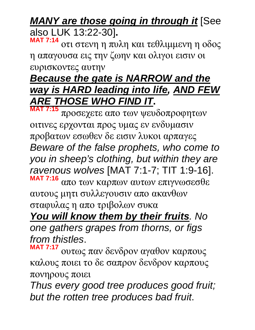*MANY are those going in through it* [See also LUK 13:22-30]**.** 

**MAT 7:14** οτι στενη η πυλη και τεθλιμμενη η οδος η απαγουσα εις την ζωην και ολιγοι εισιν οι ευρισκοντες αυτην

#### *Because the gate is NARROW and the way is HARD leading into life, AND FEW ARE THOSE WHO FIND IT***. MAT 7:15**

προσεχετε απο των ψευδοπροφητων οιτινες ερχονται προς υμας εν ενδυμασιν προβατων εσωθεν δε εισιν λυκοι αρπαγες *Beware of the false prophets, who come to you in sheep's clothing, but within they are ravenous wolves* [MAT 7:1-7; TIT 1:9-16]. **MAT 7:16** απο των καρπων αυτων επιγνωσεσθε αυτους μητι συλλεγουσιν απο ακανθων

σταφυλας η απο τριβολων συκα

*You will know them by their fruits. No one gathers grapes from thorns, or figs from thistles*.

**MAT 7:17** ουτως παν δενδρον αγαθον καρπους καλους ποιει το δε σαπρον δενδρον καρπους πονηρους ποιει

*Thus every good tree produces good fruit; but the rotten tree produces bad fruit*.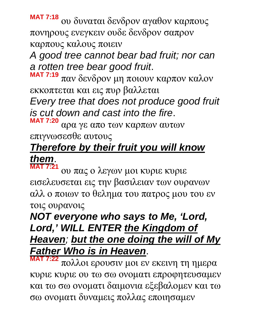**MAT 7:18** ου δυναται δενδρον αγαθον καρπους πονηρους ενεγκειν ουδε δενδρον σαπρον καρπους καλους ποιειν

*A good tree cannot bear bad fruit; nor can a rotten tree bear good fruit*.

**MAT 7:19** παν δενδρον μη ποιουν καρπον καλον εκκοπτεται και εις πυρ βαλλεται

*Every tree that does not produce good fruit is cut down and cast into the fire*.

**MAT 7:20** αρα γε απο των καρπων αυτων επιγνωσεσθε αυτους

## *Therefore by their fruit you will know them*.

**MAT 7:21** ου πας ο λεγων μοι κυριε κυριε εισελευσεται εις την βασιλειαν των ουρανων αλλ ο ποιων το θελημα του πατρος μου του εν τοις ουρανοις

### *NOT everyone who says to Me, 'Lord, Lord,' WILL ENTER the Kingdom of Heaven; but the one doing the will of My Father Who is in Heaven*.

**MAT 7:22** πολλοι ερουσιν μοι εν εκεινη τη ημερα κυριε κυριε ου τω σω ονοματι επροφητευσαμεν και τω σω ονοματι δαιμονια εξεβαλομεν και τω σω ονοματι δυναμεις πολλας εποιησαμεν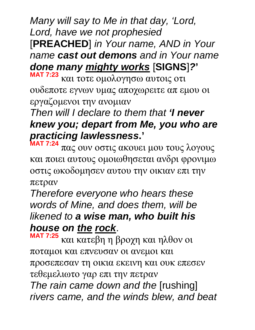*Many will say to Me in that day, 'Lord, Lord, have we not prophesied*  [**PREACHED**] *in Your name, AND in Your name cast out demons and in Your name done many mighty works* [**SIGNS**]*?***'**

**MAT 7:23** και τοτε ομολογησω αυτοις οτι ουδεποτε εγνων υμας αποχωρειτε απ εμου οι εργαζομενοι την ανομιαν

#### *Then will I declare to them that 'I never knew you; depart from Me, you who are practicing lawlessness***.'**

**MAT 7:24** πας ουν οστις ακουει μου τους λογους και ποιει αυτους ομοιωθησεται ανδρι φρονιμω οστις ωκοδομησεν αυτου την οικιαν επι την πετραν

*Therefore everyone who hears these words of Mine, and does them, will be likened to a wise man, who built his house on the rock*.

**MAT 7:25** και κατεβη η βροχη και ηλθον οι ποταμοι και επνευσαν οι ανεμοι και προσεπεσαν τη οικια εκεινη και ουκ επεσεν τεθεμελιωτο γαρ επι την πετραν *The rain came down and the* [rushing] *rivers came, and the winds blew, and beat*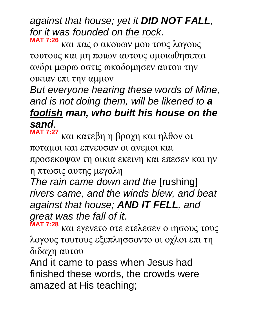# *against that house; yet it DID NOT FALL, for it was founded on the rock*.

**MAT 7:26** και πας ο ακουων μου τους λογους τουτους και μη ποιων αυτους ομοιωθησεται ανδρι μωρω οστις ωκοδομησεν αυτου την οικιαν επι την αμμον

#### *But everyone hearing these words of Mine, and is not doing them, will be likened to a foolish man, who built his house on the sand*.

**MAT 7:27** και κατεβη η βροχη και ηλθον οι ποταμοι και επνευσαν οι ανεμοι και

προσεκοψαν τη οικια εκεινη και επεσεν και ην η πτωσις αυτης μεγαλη

*The rain came down and the* [rushing] *rivers came, and the winds blew, and beat against that house; AND IT FELL, and great was the fall of it*.

**MAT 7:28** και εγενετο οτε ετελεσεν ο ιησους τους λογους τουτους εξεπλησσοντο οι οχλοι επι τη διδαχη αυτου

And it came to pass when Jesus had finished these words, the crowds were amazed at His teaching;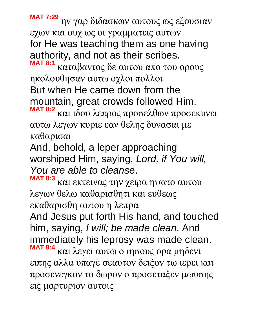**MAT 7:29** ην γαρ διδασκων αυτους ως εξουσιαν εχων και ουχ ως οι γραμματεις αυτων for He was teaching them as one having authority, and not as their scribes. **MAT 8:1**

καταβαντος δε αυτου απο του ορους ηκολουθησαν αυτω οχλοι πολλοι But when He came down from the mountain, great crowds followed Him. **MAT 8:2**

και ιδου λεπρος προσελθων προσεκυνει αυτω λεγων κυριε εαν θελης δυνασαι με καθαρισαι

And, behold, a leper approaching worshiped Him, saying, *Lord, if You will, You are able to cleanse*.

**MAT 8:3** και εκτεινας την χειρα ηψατο αυτου λεγων θελω καθαρισθητι και ευθεως εκαθαρισθη αυτου η λεπρα

And Jesus put forth His hand, and touched him, saying, *I will; be made clean*. And immediately his leprosy was made clean. **MAT 8:4**

και λεγει αυτω ο ιησους ορα μηδενι ειπης αλλα υπαγε σεαυτον δειξον τω ιερει και προσενεγκον το δωρον ο προσεταξεν μωυσης εις μαρτυριον αυτοις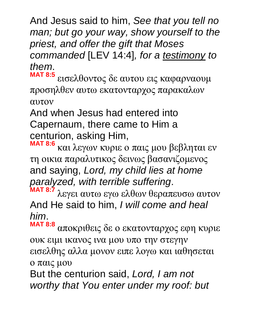And Jesus said to him, *See that you tell no man; but go your way, show yourself to the priest, and offer the gift that Moses commanded* [LEV 14:4]*, for a testimony to them*.

**MAT 8:5** εισελθοντος δε αυτου εις καφαρναουμ προσηλθεν αυτω εκατονταρχος παρακαλων αυτον

And when Jesus had entered into Capernaum, there came to Him a centurion, asking Him,

**MAT 8:6** και λεγων κυριε ο παις μου βεβληται εν τη οικια παραλυτικος δεινως βασανιζομενος and saying, *Lord, my child lies at home paralyzed, with terrible suffering*.

**MAT 8:7** λεγει αυτω εγω ελθων θεραπευσω αυτον And He said to him, *I will come and heal him*.

**MAT 8:8** αποκριθεις δε ο εκατονταρχος εφη κυριε ουκ ειμι ικανος ινα μου υπο την στεγην εισελθης αλλα μονον ειπε λογω και ιαθησεται ο παις μου

But the centurion said, *Lord, I am not worthy that You enter under my roof: but*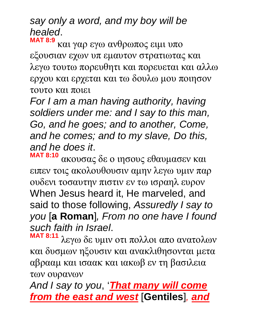#### *say only a word, and my boy will be healed*. **MAT 8:9**

και γαρ εγω ανθρωπος ειμι υπο εξουσιαν εχων υπ εμαυτον στρατιωτας και λεγω τουτω πορευθητι και πορευεται και αλλω ερχου και ερχεται και τω δουλω μου ποιησον τουτο και ποιει

*For I am a man having authority, having soldiers under me: and I say to this man, Go, and he goes; and to another, Come, and he comes; and to my slave, Do this, and he does it*.

**MAT 8:10** ακουσας δε ο ιησους εθαυμασεν και ειπεν τοις ακολουθουσιν αμην λεγω υμιν παρ ουδενι τοσαυτην πιστιν εν τω ισραηλ ευρον When Jesus heard it, He marveled, and said to those following, *Assuredly I say to you* [**a Roman**]*, From no one have I found such faith in Israel*.

**MAT 8:11** λεγω δε υμιν οτι πολλοι απο ανατολων και δυσμων ηξουσιν και ανακλιθησονται μετα αβρααμ και ισαακ και ιακωβ εν τη βασιλεια των ουρανων

*And I say to you*, '*That many will come from the east and west* [**Gentiles**]*, and*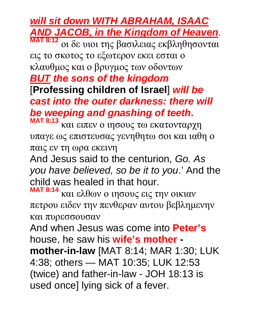#### *will sit down WITH ABRAHAM, ISAAC AND JACOB, in the Kingdom of Heaven*.

**MAT 8:12** οι δε υιοι της βασιλειας εκβληθησονται εις το σκοτος το εξωτερον εκει εσται ο κλαυθμος και ο βρυγμος των οδοντων *BUT the sons of the kingdom* [**Professing children of Israel**] *will be cast into the outer darkness: there will be weeping and gnashing of teeth***.**

**MAT 8:13** και ειπεν ο ιησους τω εκατονταρχη υπαγε ως επιστευσας γενηθητω σοι και ιαθη ο παις εν τη ωρα εκεινη

And Jesus said to the centurion, *Go. As you have believed, so be it to you*.' And the child was healed in that hour.

**MAT 8:14** και ελθων ο ιησους εις την οικιαν πετρου ειδεν την πενθεραν αυτου βεβλημενην και πυρεσσουσαν

And when Jesus was come into **Peter's** house, he saw his **wife's mother -** 

**mother-in-law** [MAT 8:14; MAR 1:30; LUK 4:38; others — MAT 10:35; LUK 12:53 (twice) and father-in-law - JOH 18:13 is used once] lying sick of a fever.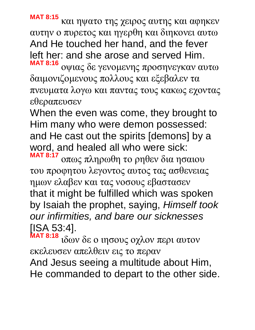**MAT 8:15** και ηψατο της χειρος αυτης και αφηκεν αυτην ο πυρετος και ηγερθη και διηκονει αυτω And He touched her hand, and the fever left her: and she arose and served Him. **MAT 8:16**

οψιας δε γενομενης προσηνεγκαν αυτω δαιμονιζομενους πολλους και εξεβαλεν τα πνευματα λογω και παντας τους κακως εχοντας εθεραπευσεν

When the even was come, they brought to Him many who were demon possessed: and He cast out the spirits [demons] by a word, and healed all who were sick: **MAT 8:17**

οπως πληρωθη το ρηθεν δια ησαιου του προφητου λεγοντος αυτος τας ασθενειας ημων ελαβεν και τας νοσους εβαστασεν that it might be fulfilled which was spoken by Isaiah the prophet, saying, *Himself took our infirmities, and bare our sicknesses* [ISA 53:4].

**MAT 8:18** ιδων δε ο ιησους οχλον περι αυτον εκελευσεν απελθειν εις το περαν

And Jesus seeing a multitude about Him, He commanded to depart to the other side.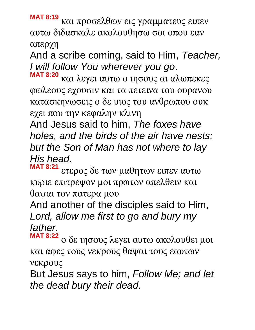**MAT 8:19** και προσελθων εις γραμματευς ειπεν αυτω διδασκαλε ακολουθησω σοι οπου εαν απερχη

And a scribe coming, said to Him, *Teacher, I will follow You wherever you go*.

**MAT 8:20** και λεγει αυτω ο ιησους αι αλωπεκες φωλεους εχουσιν και τα πετεινα του ουρανου κατασκηνωσεις ο δε υιος του ανθρωπου ουκ εχει που την κεφαλην κλινη

And Jesus said to him, *The foxes have holes, and the birds of the air have nests; but the Son of Man has not where to lay His head*.

**MAT 8:21** ετερος δε των μαθητων ειπεν αυτω κυριε επιτρεψον μοι πρωτον απελθειν και θαψαι τον πατερα μου

And another of the disciples said to Him, *Lord, allow me first to go and bury my father*.

**MAT 8:22** ο δε ιησους λεγει αυτω ακολουθει μοι και αφες τους νεκρους θαψαι τους εαυτων νεκρους

But Jesus says to him, *Follow Me; and let the dead bury their dead*.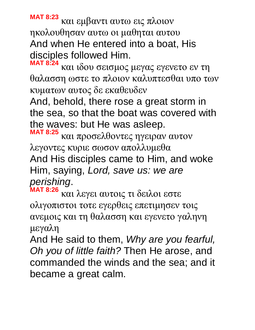**MAT 8:23** και εμβαντι αυτω εις πλοιον ηκολουθησαν αυτω οι μαθηται αυτου And when He entered into a boat, His disciples followed Him.

**MAT 8:24** και ιδου σεισμος μεγας εγενετο εν τη θαλασση ωστε το πλοιον καλυπτεσθαι υπο των κυματων αυτος δε εκαθευδεν

And, behold, there rose a great storm in the sea, so that the boat was covered with the waves: but He was asleep.

**MAT 8:25** και προσελθοντες ηγειραν αυτον λεγοντες κυριε σωσον απολλυμεθα And His disciples came to Him, and woke Him, saying, *Lord, save us: we are perishing*.

**MAT 8:26** και λεγει αυτοις τι δειλοι εστε ολιγοπιστοι τοτε εγερθεις επετιμησεν τοις ανεμοις και τη θαλασση και εγενετο γαληνη μεγαλη

And He said to them, *Why are you fearful, Oh you of little faith?* Then He arose, and commanded the winds and the sea; and it became a great calm.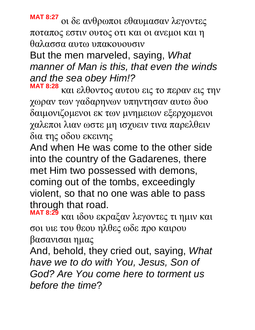**MAT 8:27** οι δε ανθρωποι εθαυμασαν λεγοντες ποταπος εστιν ουτος οτι και οι ανεμοι και η θαλασσα αυτω υπακουουσιν

But the men marveled, saying, *What manner of Man is this, that even the winds and the sea obey Him!?*

**MAT 8:28** και ελθοντος αυτου εις το περαν εις την χωραν των γαδαρηνων υπηντησαν αυτω δυο δαιμονιζομενοι εκ των μνημειων εξερχομενοι χαλεποι λιαν ωστε μη ισχυειν τινα παρελθειν δια της οδου εκεινης

And when He was come to the other side into the country of the Gadarenes, there met Him two possessed with demons, coming out of the tombs, exceedingly violent, so that no one was able to pass through that road.

**MAT 8:29** και ιδου εκραξαν λεγοντες τι ημιν και σοι υιε του θεου ηλθες ωδε προ καιρου βασανισαι ημας

And, behold, they cried out, saying, *What have we to do with You, Jesus, Son of God? Are You come here to torment us before the time*?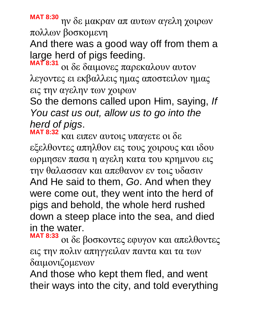**MAT 8:30** ην δε μακραν απ αυτων αγελη χοιρων πολλων βοσκομενη

And there was a good way off from them a large herd of pigs feeding.

**MAT 8:31** οι δε δαιμονες παρεκαλουν αυτον λεγοντες ει εκβαλλεις ημας αποστειλον ημας εις την αγελην των χοιρων

So the demons called upon Him, saying, *If You cast us out, allow us to go into the herd of pigs*.

**MAT 8:32** και ειπεν αυτοις υπαγετε οι δε εξελθοντες απηλθον εις τους χοιρους και ιδου ωρμησεν πασα η αγελη κατα του κρημνου εις την θαλασσαν και απεθανον εν τοις υδασιν And He said to them, *Go*. And when they were come out, they went into the herd of pigs and behold, the whole herd rushed down a steep place into the sea, and died in the water.

**MAT 8:33** οι δε βοσκοντες εφυγον και απελθοντες εις την πολιν απηγγειλαν παντα και τα των δαιμονιζομενων

And those who kept them fled, and went their ways into the city, and told everything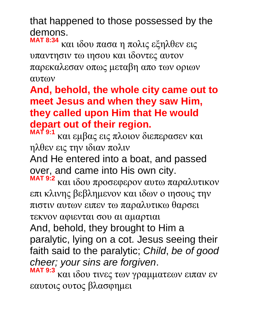that happened to those possessed by the demons.

**MAT 8:34** και ιδου πασα η πολις εξηλθεν εις υπαντησιν τω ιησου και ιδοντες αυτον παρεκαλεσαν οπως μεταβη απο των οριων αυτων

**And, behold, the whole city came out to meet Jesus and when they saw Him, they called upon Him that He would depart out of their region.** 

**MAT 9:1** και εμβας εις πλοιον διεπερασεν και ηλθεν εις την ιδιαν πολιν

And He entered into a boat, and passed over, and came into His own city.

**MAT 9:2** και ιδου προσεφερον αυτω παραλυτικον επι κλινης βεβλημενον και ιδων ο ιησους την πιστιν αυτων ειπεν τω παραλυτικω θαρσει τεκνον αφιενται σου αι αμαρτιαι

And, behold, they brought to Him a paralytic, lying on a cot. Jesus seeing their faith said to the paralytic; *Child*, *be of good cheer; your sins are forgiven*.

**MAT 9:3** και ιδου τινες των γραμματεων ειπαν εν εαυτοις ουτος βλασφημει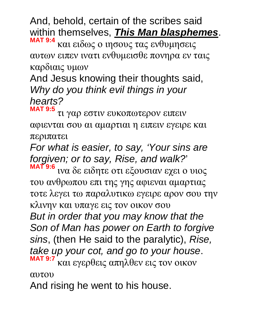And, behold, certain of the scribes said within themselves, *This Man blasphemes*.

**MAT 9:4** και ειδως ο ιησους τας ενθυμησεις αυτων ειπεν ινατι ενθυμεισθε πονηρα εν ταις καρδιαις υμων

# And Jesus knowing their thoughts said, *Why do you think evil things in your hearts?*

**MAT 9:5** τι γαρ εστιν ευκοπωτερον ειπειν αφιενται σου αι αμαρτιαι η ειπειν εγειρε και περιπατει

*For what is easier, to say, 'Your sins are forgiven; or to say, Rise, and walk?*' **MAT 9:6**

ινα δε ειδητε οτι εξουσιαν εχει ο υιος του ανθρωπου επι της γης αφιεναι αμαρτιας τοτε λεγει τω παραλυτικω εγειρε αρον σου την κλινην και υπαγε εις τον οικον σου *But in order that you may know that the Son of Man has power on Earth to forgive sins*, (then He said to the paralytic), *Rise, take up your cot, and go to your house*. **MAT 9:7** και εγερθεις απηλθεν εις τον οικον

αυτου

And rising he went to his house.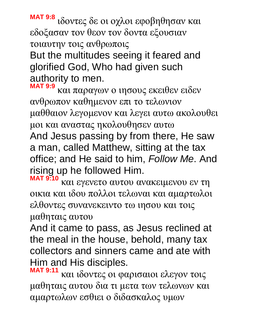**MAT 9:8** ιδοντες δε οι οχλοι εφοβηθησαν και εδοξασαν τον θεον τον δοντα εξουσιαν τοιαυτην τοις ανθρωποις But the multitudes seeing it feared and glorified God, Who had given such authority to men.

**MAT 9:9** και παραγων ο ιησους εκειθεν ειδεν ανθρωπον καθημενον επι το τελωνιον μαθθαιον λεγομενον και λεγει αυτω ακολουθει μοι και αναστας ηκολουθησεν αυτω And Jesus passing by from there, He saw a man, called Matthew, sitting at the tax office; and He said to him, *Follow Me*. And rising up he followed Him. **MAT 9:10**

και εγενετο αυτου ανακειμενου εν τη οικια και ιδου πολλοι τελωναι και αμαρτωλοι ελθοντες συνανεκειντο τω ιησου και τοις μαθηταις αυτου

And it came to pass, as Jesus reclined at the meal in the house, behold, many tax collectors and sinners came and ate with Him and His disciples.

**MAT 9:11** και ιδοντες οι φαρισαιοι ελεγον τοις μαθηταις αυτου δια τι μετα των τελωνων και αμαρτωλων εσθιει ο διδασκαλος υμων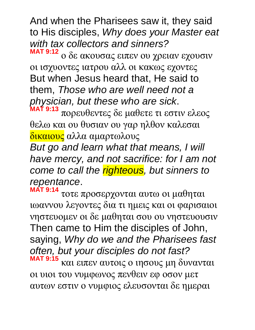And when the Pharisees saw it, they said to His disciples, *Why does your Master eat with tax collectors and sinners?* **MAT 9:12**

ο δε ακουσας ειπεν ου χρειαν εχουσιν οι ισχυοντες ιατρου αλλ οι κακως εχοντες But when Jesus heard that, He said to them, *Those who are well need not a physician, but these who are sick*. **MAT 9:13**

πορευθεντες δε μαθετε τι εστιν ελεος θελω και ου θυσιαν ου γαρ ηλθον καλεσαι δικαιους αλλα αμαρτωλους

*But go and learn what that means, I will have mercy, and not sacrifice: for I am not come to call the righteous, but sinners to repentance*.

**MAT 9:14** τοτε προσερχονται αυτω οι μαθηται ιωαννου λεγοντες δια τι ημεις και οι φαρισαιοι νηστευομεν οι δε μαθηται σου ου νηστευουσιν Then came to Him the disciples of John, saying, *Why do we and the Pharisees fast often, but your disciples do not fast?* **MAT 9:15** και ειπεν αυτοις ο ιησους μη δυνανται

οι υιοι του νυμφωνος πενθειν εφ οσον μετ αυτων εστιν ο νυμφιος ελευσονται δε ημεραι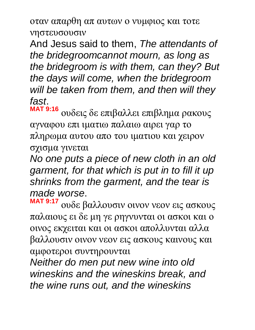οταν απαρθη απ αυτων ο νυμφιος και τοτε νηστευσουσιν

And Jesus said to them, *The attendants of the bridegroomcannot mourn, as long as the bridegroom is with them, can they? But the days will come, when the bridegroom will be taken from them, and then will they fast*.

**MAT 9:16** ουδεις δε επιβαλλει επιβλημα ρακους αγναφου επι ιματιω παλαιω αιρει γαρ το πληρωμα αυτου απο του ιματιου και χειρον σχισμα γινεται

*No one puts a piece of new cloth in an old garment, for that which is put in to fill it up shrinks from the garment, and the tear is made worse*.

**MAT 9:17** ουδε βαλλουσιν οινον νεον εις ασκους παλαιους ει δε μη γε ρηγνυνται οι ασκοι και ο οινος εκχειται και οι ασκοι απολλυνται αλλα βαλλουσιν οινον νεον εις ασκους καινους και αμφοτεροι συντηρουνται

*Neither do men put new wine into old wineskins and the wineskins break, and the wine runs out, and the wineskins*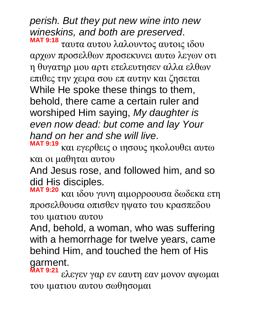#### *perish. But they put new wine into new wineskins, and both are preserved*. **MAT 9:18**

ταυτα αυτου λαλουντος αυτοις ιδου αρχων προσελθων προσεκυνει αυτω λεγων οτι η θυγατηρ μου αρτι ετελευτησεν αλλα ελθων επιθες την χειρα σου επ αυτην και ζησεται While He spoke these things to them, behold, there came a certain ruler and worshiped Him saying, *My daughter is even now dead: but come and lay Your hand on her and she will live*.

**MAT 9:19** και εγερθεις ο ιησους ηκολουθει αυτω και οι μαθηται αυτου

And Jesus rose, and followed him, and so did His disciples.

**MAT 9:20** και ιδου γυνη αιμορροουσα δωδεκα ετη προσελθουσα οπισθεν ηψατο του κρασπεδου του ιματιου αυτου

And, behold, a woman, who was suffering with a hemorrhage for twelve years, came behind Him, and touched the hem of His garment.

**MAT 9:21** ελεγεν γαρ εν εαυτη εαν μονον αψωμαι του ιματιου αυτου σωθησομαι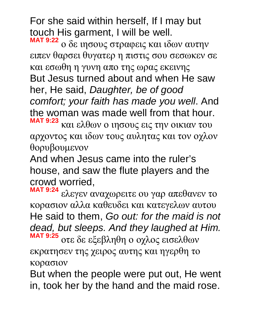For she said within herself, If I may but touch His garment, I will be well.

**MAT 9:22** ο δε ιησους στραφεις και ιδων αυτην ειπεν θαρσει θυγατερ η πιστις σου σεσωκεν σε και εσωθη η γυνη απο της ωρας εκεινης But Jesus turned about and when He saw her, He said, *Daughter, be of good comfort; your faith has made you well*. And the woman was made well from that hour. **MAT 9:23** και ελθων ο ιησους εις την οικιαν του

αρχοντος και ιδων τους αυλητας και τον οχλον θορυβουμενον

And when Jesus came into the ruler's house, and saw the flute players and the crowd worried,

**MAT 9:24** ελεγεν αναχωρειτε ου γαρ απεθανεν το κορασιον αλλα καθευδει και κατεγελων αυτου He said to them, *Go out: for the maid is not dead, but sleeps. And they laughed at Him.* **MAT 9:25** οτε δε εξεβληθη ο οχλος εισελθων

εκρατησεν της χειρος αυτης και ηγερθη το κορασιον

But when the people were put out, He went in, took her by the hand and the maid rose.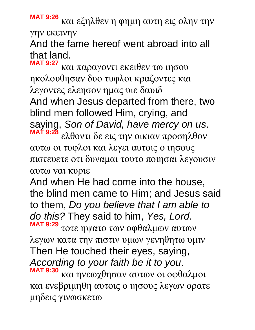**MAT 9:26** και εξηλθεν η φημη αυτη εις ολην την γην εκεινην

And the fame hereof went abroad into all that land.

**MAT 9:27** και παραγοντι εκειθεν τω ιησου ηκολουθησαν δυο τυφλοι κραζοντες και λεγοντες ελεησον ημας υιε δαυιδ And when Jesus departed from there, two blind men followed Him, crying, and saying, *Son of David, have mercy on us*. **MAT 9:28** ελθοντι δε εις την οικιαν προσηλθον αυτω οι τυφλοι και λεγει αυτοις ο ιησους

πιστευετε οτι δυναμαι τουτο ποιησαι λεγουσιν αυτω ναι κυριε

And when He had come into the house, the blind men came to Him; and Jesus said to them, *Do you believe that I am able to do this?* They said to him, *Yes, Lord*. **MAT 9:29** τοτε ηψατο των οφθαλμων αυτων

λεγων κατα την πιστιν υμων γενηθητω υμιν Then He touched their eyes, saying, *According to your faith be it to you*.

**MAT 9:30** και ηνεωχθησαν αυτων οι οφθαλμοι και ενεβριμηθη αυτοις ο ιησους λεγων ορατε μηδεις γινωσκετω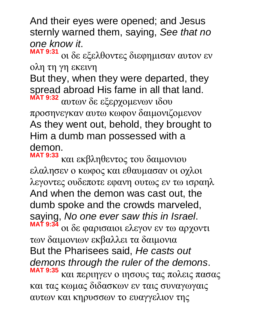And their eyes were opened; and Jesus sternly warned them, saying, *See that no one know it*.

**MAT 9:31** οι δε εξελθοντες διεφημισαν αυτον εν ολη τη γη εκεινη

But they, when they were departed, they spread abroad His fame in all that land. **MAT 9:32**

αυτων δε εξερχομενων ιδου προσηνεγκαν αυτω κωφον δαιμονιζομενον As they went out, behold, they brought to Him a dumb man possessed with a demon.

**MAT 9:33** και εκβληθεντος του δαιμονιου ελαλησεν ο κωφος και εθαυμασαν οι οχλοι λεγοντες ουδεποτε εφανη ουτως εν τω ισραηλ And when the demon was cast out, the dumb spoke and the crowds marveled, saying, *No one ever saw this in Israel*. **MAT 9:34** οι δε φαρισαιοι ελεγον εν τω αρχοντι των δαιμονιων εκβαλλει τα δαιμονια But the Pharisees said, *He casts out* 

*demons through the ruler of the demons*.

**MAT 9:35** και περιηγεν ο ιησους τας πολεις πασας και τας κωμας διδασκων εν ταις συναγωγαις αυτων και κηρυσσων το ευαγγελιον της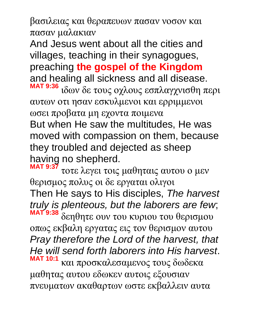βασιλειας και θεραπευων πασαν νοσον και πασαν μαλακιαν

And Jesus went about all the cities and villages, teaching in their synagogues, preaching **the gospel of the Kingdom** and healing all sickness and all disease. **MAT 9:36** ιδων δε τους οχλους εσπλαγχνισθη περι

αυτων οτι ησαν εσκυλμενοι και ερριμμενοι ωσει προβατα μη εχοντα ποιμενα

But when He saw the multitudes, He was moved with compassion on them, because they troubled and dejected as sheep having no shepherd.

**MAT 9:37** τοτε λεγει τοις μαθηταις αυτου ο μεν θερισμος πολυς οι δε εργαται ολιγοι Then He says to His disciples, *The harvest truly is plenteous, but the laborers are few*; **MAT 9:38** δεηθητε ουν του κυριου του θερισμου οπως εκβαλη εργατας εις τον θερισμον αυτου *Pray therefore the Lord of the harvest, that He will send forth laborers into His harvest*. **MAT 10:1** και προσκαλεσαμενος τους δωδεκα μαθητας αυτου εδωκεν αυτοις εξουσιαν πνευματων ακαθαρτων ωστε εκβαλλειν αυτα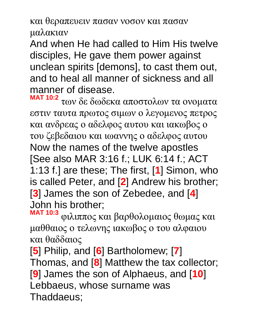και θεραπευειν πασαν νοσον και πασαν

μαλακιαν

And when He had called to Him His twelve disciples, He gave them power against unclean spirits [demons], to cast them out, and to heal all manner of sickness and all manner of disease.

**MAT 10:2** των δε δωδεκα αποστολων τα ονοματα εστιν ταυτα πρωτος σιμων ο λεγομενος πετρος και ανδρεας ο αδελφος αυτου και ιακωβος ο του ζεβεδαιου και ιωαννης ο αδελφος αυτου Now the names of the twelve apostles [See also MAR 3:16 f.; LUK 6:14 f.; ACT 1:13 f.] are these; The first, [**1**] Simon, who is called Peter, and [**2**] Andrew his brother; [**3**] James the son of Zebedee, and [**4**] John his brother;

**MAT 10:3** φιλιππος και βαρθολομαιος θωμας και μαθθαιος ο τελωνης ιακωβος ο του αλφαιου και θαδδαιος

[**5**] Philip, and [**6**] Bartholomew; [**7**] Thomas, and [**8**] Matthew the tax collector; [**9**] James the son of Alphaeus, and [**10**] Lebbaeus, whose surname was Thaddaeus;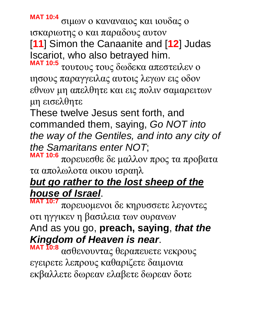**MAT 10:4** σιμων ο καναναιος και ιουδας ο

ισκαριωτης ο και παραδους αυτον [**11**] Simon the Canaanite and [**12**] Judas Iscariot, who also betrayed him.

**MAT 10:5** τουτους τους δωδεκα απεστειλεν ο ιησους παραγγειλας αυτοις λεγων εις οδον εθνων μη απελθητε και εις πολιν σαμαρειτων μη εισελθητε

These twelve Jesus sent forth, and commanded them, saying, *Go NOT into the way of the Gentiles, and into any city of the Samaritans enter NOT*;

**MAT 10:6** πορευεσθε δε μαλλον προς τα προβατα τα απολωλοτα οικου ισραηλ

# *but go rather to the lost sheep of the house of Israel*.

**MAT 10:7** πορευομενοι δε κηρυσσετε λεγοντες οτι ηγγικεν η βασιλεια των ουρανων

# And as you go, **preach, saying**, *that the Kingdom of Heaven is near*.

**MAT 10:8** ασθενουντας θεραπευετε νεκρους εγειρετε λεπρους καθαριζετε δαιμονια εκβαλλετε δωρεαν ελαβετε δωρεαν δοτε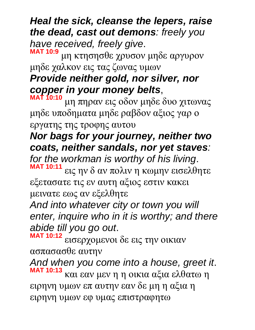## *Heal the sick, cleanse the lepers, raise the dead, cast out demons: freely you have received, freely give*.

**MAT 10:9** μη κτησησθε χρυσον μηδε αργυρον μηδε χαλκον εις τας ζωνας υμων

# *Provide neither gold, nor silver, nor copper in your money belts*,

**MAT 10:10** μη πηραν εις οδον μηδε δυο χιτωνας μηδε υποδηματα μηδε ραβδον αξιος γαρ ο εργατης της τροφης αυτου

## *Nor bags for your journey, neither two coats, neither sandals, nor yet staves:*

*for the workman is worthy of his living*. **MAT 10:11**

εις ην δ αν πολιν η κωμην εισελθητε εξετασατε τις εν αυτη αξιος εστιν κακει μεινατε εως αν εξελθητε

*And into whatever city or town you will enter, inquire who in it is worthy; and there abide till you go out*.

**MAT 10:12** εισερχομενοι δε εις την οικιαν ασπασασθε αυτην

*And when you come into a house, greet it*. **MAT 10:13** και εαν μεν η η οικια αξια ελθατω η ειρηνη υμων επ αυτην εαν δε μη η αξια η ειρηνη υμων εφ υμας επιστραφητω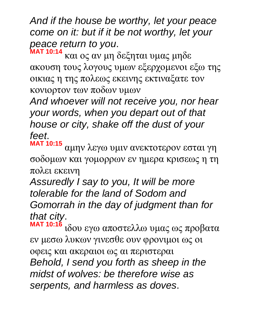*And if the house be worthy, let your peace come on it: but if it be not worthy, let your peace return to you*.

**MAT 10:14** και ος αν μη δεξηται υμας μηδε ακουση τους λογους υμων εξερχομενοι εξω της οικιας η της πολεως εκεινης εκτιναξατε τον κονιορτον των ποδων υμων

*And whoever will not receive you, nor hear your words, when you depart out of that house or city, shake off the dust of your feet*.

**MAT 10:15** αμην λεγω υμιν ανεκτοτερον εσται γη σοδομων και γομορρων εν ημερα κρισεως η τη πολει εκεινη

*Assuredly I say to you, It will be more tolerable for the land of Sodom and Gomorrah in the day of judgment than for that city*.

**MAT 10:16** ιδου εγω αποστελλω υμας ως προβατα εν μεσω λυκων γινεσθε ουν φρονιμοι ως οι οφεις και ακεραιοι ως αι περιστεραι *Behold, I send you forth as sheep in the midst of wolves: be therefore wise as serpents, and harmless as doves*.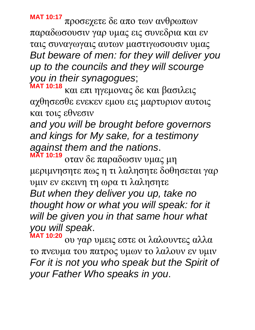**MAT 10:17** προσεχετε δε απο των ανθρωπων παραδωσουσιν γαρ υμας εις συνεδρια και εν ταις συναγωγαις αυτων μαστιγωσουσιν υμας *But beware of men: for they will deliver you up to the councils and they will scourge you in their synagogues*;

**MAT 10:18** και επι ηγεμονας δε και βασιλεις αχθησεσθε ενεκεν εμου εις μαρτυριον αυτοις και τοις εθνεσιν

*and you will be brought before governors and kings for My sake, for a testimony against them and the nations*.

**MAT 10:19** οταν δε παραδωσιν υμας μη μεριμνησητε πως η τι λαλησητε δοθησεται γαρ υμιν εν εκεινη τη ωρα τι λαλησητε *But when they deliver you up, take no thought how or what you will speak: for it will be given you in that same hour what you will speak*.

**MAT 10:20** ου γαρ υμεις εστε οι λαλουντες αλλα το πνευμα του πατρος υμων το λαλουν εν υμιν *For it is not you who speak but the Spirit of your Father Who speaks in you*.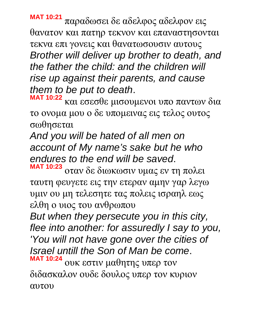**MAT 10:21** παραδωσει δε αδελφος αδελφον εις θανατον και πατηρ τεκνον και επαναστησονται τεκνα επι γονεις και θανατωσουσιν αυτους *Brother will deliver up brother to death, and the father the child: and the children will rise up against their parents, and cause them to be put to death*.

**MAT 10:22** και εσεσθε μισουμενοι υπο παντων δια το ονομα μου ο δε υπομεινας εις τελος ουτος σωθησεται

*And you will be hated of all men on account of My name's sake but he who endures to the end will be saved*.

**MAT 10:23** οταν δε διωκωσιν υμας εν τη πολει ταυτη φευγετε εις την ετεραν αμην γαρ λεγω υμιν ου μη τελεσητε τας πολεις ισραηλ εως ελθη ο υιος του ανθρωπου

*But when they persecute you in this city, flee into another: for assuredly I say to you, 'You will not have gone over the cities of Israel untill the Son of Man be come*. **MAT 10:24** ουκ εστιν μαθητης υπερ τον διδασκαλον ουδε δουλος υπερ τον κυριον αυτου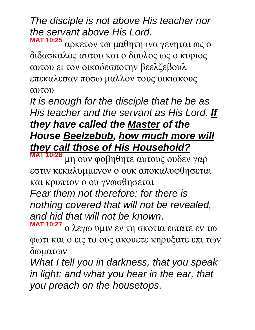*The disciple is not above His teacher nor the servant above His Lord*.

**MAT 10:25** αρκετον τω μαθητη ινα γενηται ως ο διδασκαλος αυτου και ο δουλος ως ο κυριος αυτου ει τον οικοδεσποτην βεελζεβουλ επεκαλεσαν ποσω μαλλον τους οικιακους αυτου

*It is enough for the disciple that he be as His teacher and the servant as His Lord. If they have called the Master of the House Beelzebub, how much more will they call those of His Household?*

**MAT 10:26** μη ουν φοβηθητε αυτους ουδεν γαρ εστιν κεκαλυμμενον ο ουκ αποκαλυφθησεται και κρυπτον ο ου γνωσθησεται

*Fear them not therefore: for there is nothing covered that will not be revealed, and hid that will not be known*.

**MAT 10:27** ο λεγω υμιν εν τη σκοτια ειπατε εν τω φωτι και ο εις το ους ακουετε κηρυξατε επι των δωματων

*What I tell you in darkness, that you speak in light: and what you hear in the ear, that you preach on the housetops*.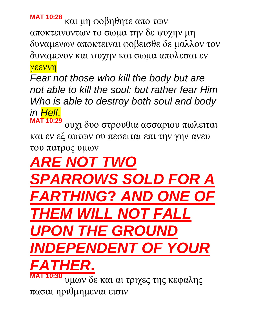**MAT 10:28** και μη φοβηθητε απο των αποκτεινοντων το σωμα την δε ψυχην μη δυναμενων αποκτειναι φοβεισθε δε μαλλον τον δυναμενον και ψυχην και σωμα απολεσαι εν γεεννη

*Fear not those who kill the body but are not able to kill the soul: but rather fear Him Who is able to destroy both soul and body in Hell*.

**MAT 10:29** ουχι δυο στρουθια ασσαριου πωλειται και εν εξ αυτων ου πεσειται επι την γην ανευ του πατρος υμων

*ARE NOT TWO SPARROWS SOLD FOR A FHING*? *AND ONE URIEL NOT FALL INDEX* ON THE GROUND *INDEPENDENT OF YOUR FATHER***. MAT 10:30** υμων δε και αι τριχες της κεφαλης

πασαι ηριθμημεναι εισιν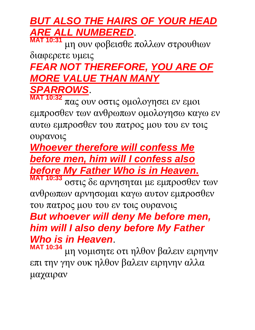# *BUT ALSO THE HAIRS OF YOUR HEAD ARE ALL NUMBERED*.

**MAT 10:31** μη ουν φοβεισθε πολλων στρουθιων διαφερετε υμεις *FEAR NOT THEREFORE, YOU ARE OF MORE VALUE THAN MANY SPARROWS*.

**MAT 10:32** πας ουν οστις ομολογησει εν εμοι εμπροσθεν των ανθρωπων ομολογησω καγω εν αυτω εμπροσθεν του πατρος μου του εν τοις ουρανοις

# *Whoever therefore will confess Me before men, him will I confess also before My Father Who is in Heaven***.**

**MAT 10:33** οστις δε αρνησηται με εμπροσθεν των ανθρωπων αρνησομαι καγω αυτον εμπροσθεν του πατρος μου του εν τοις ουρανοις

## *But whoever will deny Me before men, him will I also deny before My Father Who is in Heaven*.

**MAT 10:34** μη νομισητε οτι ηλθον βαλειν ειρηνην επι την γην ουκ ηλθον βαλειν ειρηνην αλλα μαχαιραν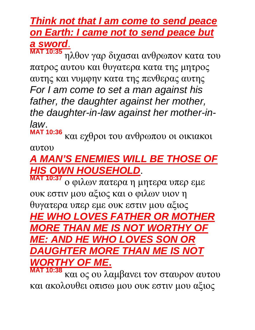#### *Think not that I am come to send peace on Earth: I came not to send peace but a sword*. **MAT 10:35**

ηλθον γαρ διχασαι ανθρωπον κατα του πατρος αυτου και θυγατερα κατα της μητρος αυτης και νυμφην κατα της πενθερας αυτης *For I am come to set a man against his father, the daughter against her mother, the daughter-in-law against her mother-inlaw*.

**MAT 10:36** και εχθροι του ανθρωπου οι οικιακοι

#### αυτου

# *A MAN'S ENEMIES WILL BE THOSE OF HIS OWN HOUSEHOLD*.

**M**:37 ο φιλων πατερα η μητερα υπερ εμε ουκ εστιν μου αξιος και ο φιλων υιον η θυγατερα υπερ εμε ουκ εστιν μου αξιος *HE WHO LOVES FATHER OR MOTHER MORE THAN ME IS NOT WORTHY OF ME: AND HE WHO LOVES SON OR DAUGHTER MORE THAN ME IS NOT WORTHY OF ME***.** 

**MAT 10:38** και ος ου λαμβανει τον σταυρον αυτου και ακολουθει οπισω μου ουκ εστιν μου αξιος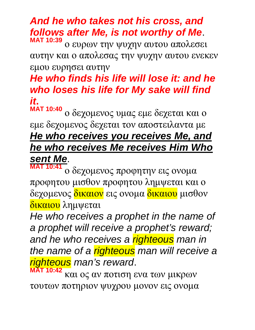#### *And he who takes not his cross, and follows after Me, is not worthy of Me*. **MAT 10:39**

ο ευρων την ψυχην αυτου απολεσει αυτην και ο απολεσας την ψυχην αυτου ενεκεν εμου ευρησει αυτην

## *He who finds his life will lose it: and he who loses his life for My sake will find it***.**

**MAT 10:40** ο δεχομενος υμας εμε δεχεται και ο εμε δεχομενος δεχεται τον αποστειλαντα με *He who receives you receives Me, and he who receives Me receives Him Who sent Me*.

**MAT 10:41** ο δεχομενος προφητην εις ονομα προφητου μισθον προφητου λημψεται και ο δεχομενος <mark>δικαιον</mark> εις ονομα <mark>δικαιου</mark> μισθον δικαιου λημψεται

*He who receives a prophet in the name of a prophet will receive a prophet's reward; and he who receives a righteous man in the name of a righteous man will receive a righteous man's reward*. **MAT 10:42**

και ος αν ποτιση ενα των μικρων τουτων ποτηριον ψυχρου μονον εις ονομα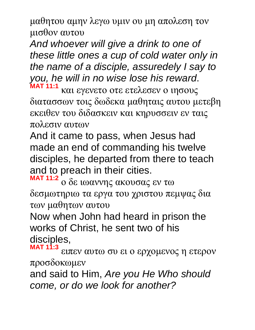μαθητου αμην λεγω υμιν ου μη απολεση τον μισθον αυτου

*And whoever will give a drink to one of these little ones a cup of cold water only in the name of a disciple, assuredely I say to you, he will in no wise lose his reward*. **MAT 11:1**

και εγενετο οτε ετελεσεν ο ιησους διατασσων τοις δωδεκα μαθηταις αυτου μετεβη εκειθεν του διδασκειν και κηρυσσειν εν ταις πολεσιν αυτων

And it came to pass, when Jesus had made an end of commanding his twelve disciples, he departed from there to teach and to preach in their cities.

**MAT 11:2** ο δε ιωαννης ακουσας εν τω δεσμωτηριω τα εργα του χριστου πεμψας δια των μαθητων αυτου

Now when John had heard in prison the works of Christ, he sent two of his disciples,

**MAT 11:3** ειπεν αυτω συ ει ο ερχομενος η ετερον προσδοκωμεν

and said to Him, *Are you He Who should come, or do we look for another?*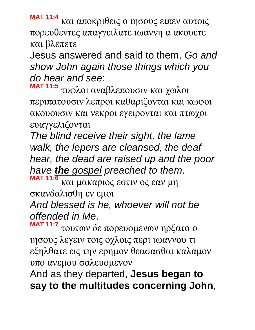**MAT 11:4** και αποκριθεις ο ιησους ειπεν αυτοις πορευθεντες απαγγειλατε ιωαννη α ακουετε και βλεπετε

Jesus answered and said to them, *Go and show John again those things which you do hear and see*:

**MAT 11:5** τυφλοι αναβλεπουσιν και χωλοι περιπατουσιν λεπροι καθαριζονται και κωφοι ακουουσιν και νεκροι εγειρονται και πτωχοι ευαγγελιζονται

*The blind receive their sight, the lame walk, the lepers are cleansed, the deaf hear, the dead are raised up and the poor have the gospel preached to them*.

**MAT 11:6** και μακαριος εστιν ος εαν μη σκανδαλισθη εν εμοι *And blessed is he, whoever will not be* 

*offended in Me*.

**MAT 11:7** τουτων δε πορευομενων ηρξατο ο ιησους λεγειν τοις οχλοις περι ιωαννου τι εξηλθατε εις την ερημον θεασασθαι καλαμον υπο ανεμου σαλευομενον

And as they departed, **Jesus began to say to the multitudes concerning John**,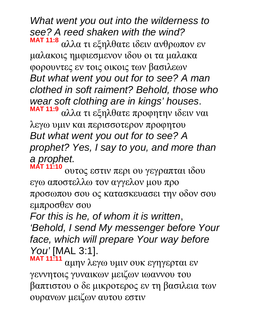*What went you out into the wilderness to see? A reed shaken with the wind?* **MAT 11:8** αλλα τι εξηλθατε ιδειν ανθρωπον εν

μαλακοις ημφιεσμενον ιδου οι τα μαλακα φορουντες εν τοις οικοις των βασιλεων *But what went you out for to see? A man clothed in soft raiment? Behold, those who wear soft clothing are in kings' houses*.

**MAT 11:9** αλλα τι εξηλθατε προφητην ιδειν ναι λεγω υμιν και περισσοτερον προφητου *But what went you out for to see? A prophet? Yes, I say to you, and more than a prophet.*  **MAT 11:10**

ουτος εστιν περι ου γεγραπται ιδου εγω αποστελλω τον αγγελον μου προ προσωπου σου ος κατασκευασει την οδον σου εμπροσθεν σου

*For this is he, of whom it is written*, *'Behold, I send My messenger before Your face, which will prepare Your way before You'* [MAL 3:1].

**MAT 11:11** αμην λεγω υμιν ουκ εγηγερται εν γεννητοις γυναικων μειζων ιωαννου του βαπτιστου ο δε μικροτερος εν τη βασιλεια των ουρανων μειζων αυτου εστιν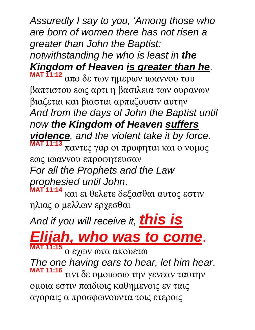*Assuredly I say to you, 'Among those who are born of women there has not risen a greater than John the Baptist:* 

*notwithstanding he who is least in the Kingdom of Heaven is greater than he*. **MAT 11:12**

απο δε των ημερων ιωαννου του βαπτιστου εως αρτι η βασιλεια των ουρανων βιαζεται και βιασται αρπαζουσιν αυτην *And from the days of John the Baptist until now the Kingdom of Heaven suffers violence, and the violent take it by force*. **MAT 11:13** παντες γαρ οι προφηται και ο νομος εως ιωαννου επροφητευσαν *For all the Prophets and the Law prophesied until John*. **MAT 11:14**

και ει θελετε δεξασθαι αυτος εστιν ηλιας ο μελλων ερχεσθαι

*And if you will receive it, this is* 

*Elijah, who was to come*. **MAT 11:15**

ο εχων ωτα ακουετω

*The one having ears to hear, let him hear*. **MAT 11:16** τινι δε ομοιωσω την γενεαν ταυτην ομοια εστιν παιδιοις καθημενοις εν ταις αγοραις α προσφωνουντα τοις ετεροις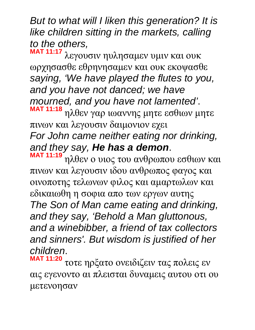*But to what will I liken this generation? It is like children sitting in the markets, calling to the others,*

**MAT 11:17** λεγουσιν ηυλησαμεν υμιν και ουκ ωρχησασθε εθρηνησαμεν και ουκ εκοψασθε *saying, 'We have played the flutes to you, and you have not danced; we have mourned, and you have not lamented'*. **MAT 11:18**

ηλθεν γαρ ιωαννης μητε εσθιων μητε πινων και λεγουσιν δαιμονιον εχει *For John came neither eating nor drinking, and they say, He has a demon*.

**MAT 11:19** ηλθεν ο υιος του ανθρωπου εσθιων και πινων και λεγουσιν ιδου ανθρωπος φαγος και οινοποτης τελωνων φιλος και αμαρτωλων και εδικαιωθη η σοφια απο των εργων αυτης *The Son of Man came eating and drinking, and they say, 'Behold a Man gluttonous, and a winebibber, a friend of tax collectors and sinners'. But wisdom is justified of her children*.

**MAT 11:20** τοτε ηρξατο ονειδιζειν τας πολεις εν αις εγενοντο αι πλεισται δυναμεις αυτου οτι ου μετενοησαν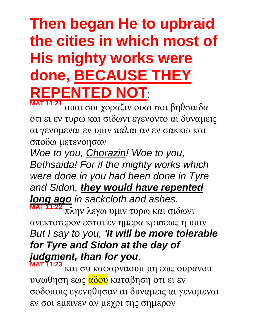# **Then began He to upbraid the cities in which most of His mighty works were done, BECAUSE THEY REPENTED NOT**:

**MAT 11:21** ουαι σοι χοραζιν ουαι σοι βηθσαιδα οτι ει εν τυρω και σιδωνι εγενοντο αι δυναμεις αι γενομεναι εν υμιν παλαι αν εν σακκω και σποδω μετενοησαν

*Woe to you, Chorazin! Woe to you, Bethsaida! For if the mighty works which were done in you had been done in Tyre and Sidon, they would have repented long ago in sackcloth and ashes*. **MAT 11:22** πλην λεγω υμιν τυρω και σιδωνι ανεκτοτερον εσται εν ημερα κρισεως η υμιν

## *But I say to you, 'It will be more tolerable for Tyre and Sidon at the day of judgment, than for you*.

**MAT 11:23** και συ καφαρναουμ μη εως ουρανου υψωθηση εως αδου καταβηση οτι ει εν σοδομοις εγενηθησαν αι δυναμεις αι γενομεναι εν σοι εμεινεν αν μεχρι της σημερον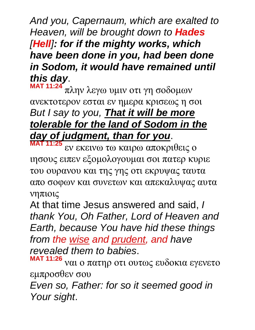*And you, Capernaum, which are exalted to Heaven, will be brought down to Hades [Hell]: for if the mighty works, which have been done in you, had been done in Sodom, it would have remained until this day*.

**MAT 11:24** πλην λεγω υμιν οτι γη σοδομων ανεκτοτερον εσται εν ημερα κρισεως η σοι *But I say to you, That it will be more tolerable for the land of Sodom in the day of judgment, than for you*. **MAT 11:25**

εν εκεινω τω καιρω αποκριθεις ο ιησους ειπεν εξομολογουμαι σοι πατερ κυριε του ουρανου και της γης οτι εκρυψας ταυτα απο σοφων και συνετων και απεκαλυψας αυτα νηπιοις

At that time Jesus answered and said, *I thank You, Oh Father, Lord of Heaven and Earth, because You have hid these things from the wise and prudent, and have revealed them to babies*.

**MAT 11:26** ναι ο πατηρ οτι ουτως ευδοκια εγενετο εμπροσθεν σου *Even so, Father: for so it seemed good in Your sight*.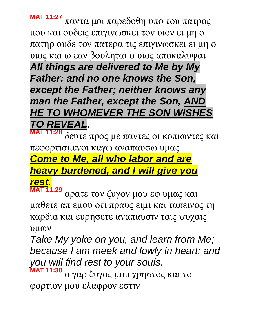**MAT 11:27** παντα μοι παρεδοθη υπο του πατρος μου και ουδεις επιγινωσκει τον υιον ει μη ο πατηρ ουδε τον πατερα τις επιγινωσκει ει μη ο υιος και ω εαν βουληται ο υιος αποκαλυψαι *All things are delivered to Me by My Father: and no one knows the Son,* 

*except the Father; neither knows any man the Father, except the Son, AND HE TO WHOMEVER THE SON WISHES TO REVEAL*.

**MAT 11:28** δευτε προς με παντες οι κοπιωντες και πεφορτισμενοι καγω αναπαυσω υμας *Come to Me, all who labor and are heavy burdened, and I will give you rest*.

**MAT 11:29** αρατε τον ζυγον μου εφ υμας και μαθετε απ εμου οτι πραυς ειμι και ταπεινος τη καρδια και ευρησετε αναπαυσιν ταις ψυχαις υμων

*Take My yoke on you, and learn from Me; because I am meek and lowly in heart: and you will find rest to your souls*.

**MAT 11:30** ο γαρ ζυγος μου χρηστος και το φορτιον μου ελαφρον εστιν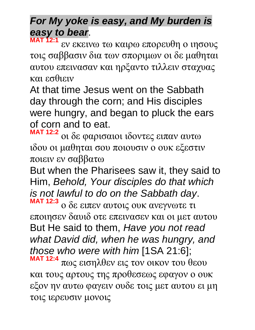# *For My yoke is easy, and My burden is easy to bear*.

**MAT 12:1** εν εκεινω τω καιρω επορευθη ο ιησους τοις σαββασιν δια των σποριμων οι δε μαθηται αυτου επεινασαν και ηρξαντο τιλλειν σταχυας και εσθιειν

At that time Jesus went on the Sabbath day through the corn; and His disciples were hungry, and began to pluck the ears of corn and to eat.

**MAT 12:2** οι δε φαρισαιοι ιδοντες ειπαν αυτω ιδου οι μαθηται σου ποιουσιν ο ουκ εξεστιν ποιειν εν σαββατω

But when the Pharisees saw it, they said to Him, *Behold, Your disciples do that which is not lawful to do on the Sabbath day*. **MAT 12:3**

ο δε ειπεν αυτοις ουκ ανεγνωτε τι εποιησεν δαυιδ οτε επεινασεν και οι μετ αυτου But He said to them, *Have you not read what David did, when he was hungry, and those who were with him* [1SA 21:6];

**MAT 12:4** πως εισηλθεν εις τον οικον του θεου και τους αρτους της προθεσεως εφαγον ο ουκ εξον ην αυτω φαγειν ουδε τοις μετ αυτου ει μη τοις ιερευσιν μονοις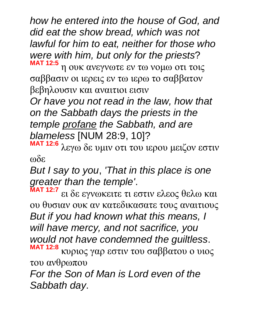*how he entered into the house of God, and did eat the show bread, which was not lawful for him to eat, neither for those who were with him, but only for the priests*?

**MAT 12:5** η ουκ ανεγνωτε εν τω νομω οτι τοις σαββασιν οι ιερεις εν τω ιερω το σαββατον βεβηλουσιν και αναιτιοι εισιν

*Or have you not read in the law, how that on the Sabbath days the priests in the temple profane the Sabbath, and are blameless* [NUM 28:9, 10]?

**MAT 12:6** λεγω δε υμιν οτι του ιερου μειζον εστιν ωδε

*But I say to you*, *'That in this place is one greater than the temple'*.

**MAT 12:7** ει δε εγνωκειτε τι εστιν ελεος θελω και ου θυσιαν ουκ αν κατεδικασατε τους αναιτιους *But if you had known what this means, I will have mercy, and not sacrifice, you would not have condemned the guiltless*. **MAT 12:8** κυριος γαρ εστιν του σαββατου ο υιος του ανθρωπου

*For the Son of Man is Lord even of the Sabbath day*.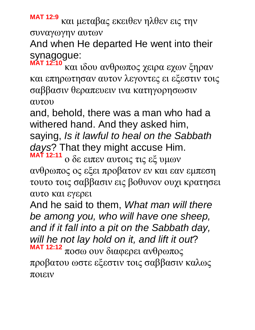**MAT 12:9** και μεταβας εκειθεν ηλθεν εις την συναγωγην αυτων

And when He departed He went into their synagogue:

**MAT 12:10** και ιδου ανθρωπος χειρα εχων ξηραν και επηρωτησαν αυτον λεγοντες ει εξεστιν τοις σαββασιν θεραπευειν ινα κατηγορησωσιν αυτου

and, behold, there was a man who had a withered hand. And they asked him, saying, *Is it lawful to heal on the Sabbath days*? That they might accuse Him. **MAT 12:11**

ο δε ειπεν αυτοις τις εξ υμων ανθρωπος ος εξει προβατον εν και εαν εμπεση τουτο τοις σαββασιν εις βοθυνον ουχι κρατησει αυτο και εγερει

And he said to them, *What man will there be among you, who will have one sheep, and if it fall into a pit on the Sabbath day, will he not lay hold on it, and lift it out*? **MAT 12:12** ποσω ουν διαφερει ανθρωπος

προβατου ωστε εξεστιν τοις σαββασιν καλως ποιειν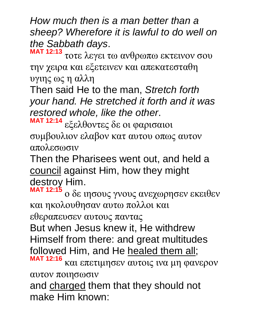*How much then is a man better than a sheep? Wherefore it is lawful to do well on the Sabbath days*.

**MAT 12:13** τοτε λεγει τω ανθρωπω εκτεινον σου την χειρα και εξετεινεν και απεκατεσταθη υγιης ως η αλλη

Then said He to the man, *Stretch forth your hand. He stretched it forth and it was restored whole, like the other*.

**MAT 12:14** εξελθοντες δε οι φαρισαιοι συμβουλιον ελαβον κατ αυτου οπως αυτον απολεσωσιν

Then the Pharisees went out, and held a council against Him, how they might destroy Him.

**MAT 12:15** ο δε ιησους γνους ανεχωρησεν εκειθεν και ηκολουθησαν αυτω πολλοι και

εθεραπευσεν αυτους παντας

But when Jesus knew it, He withdrew Himself from there: and great multitudes followed Him, and He healed them all; **MAT 12:16**

και επετιμησεν αυτοις ινα μη φανερον αυτον ποιησωσιν

and charged them that they should not make Him known: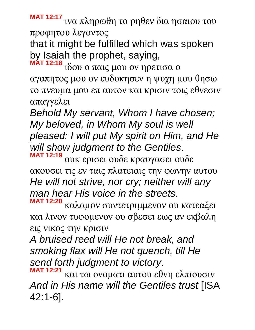**MAT 12:17** ινα πληρωθη το ρηθεν δια ησαιου του προφητου λεγοντος

that it might be fulfilled which was spoken by Isaiah the prophet, saying,

**MAT 12:18** ιδου ο παις μου ον ηρετισα ο αγαπητος μου ον ευδοκησεν η ψυχη μου θησω το πνευμα μου επ αυτον και κρισιν τοις εθνεσιν απαγγελει

*Behold My servant, Whom I have chosen; My beloved, in Whom My soul is well pleased: I will put My spirit on Him, and He will show judgment to the Gentiles*. **MAT 12:19**

ουκ ερισει ουδε κραυγασει ουδε ακουσει τις εν ταις πλατειαις την φωνην αυτου *He will not strive, nor cry; neither will any man hear His voice in the streets*. **MAT 12:20**

καλαμον συντετριμμενον ου κατεαξει και λινον τυφομενον ου σβεσει εως αν εκβαλη εις νικος την κρισιν

*A bruised reed will He not break, and smoking flax will He not quench, till He send forth judgment to victory*.

**MAT 12:21** και τω ονοματι αυτου εθνη ελπιουσιν *And in His name will the Gentiles trust* [ISA 42:1-6].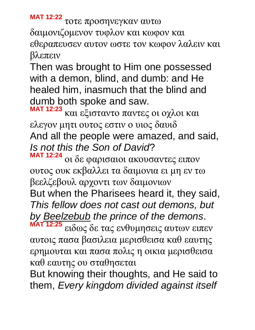**MAT 12:22** τοτε προσηνεγκαν αυτω δαιμονιζομενον τυφλον και κωφον και εθεραπευσεν αυτον ωστε τον κωφον λαλειν και βλεπειν

Then was brought to Him one possessed with a demon, blind, and dumb: and He healed him, inasmuch that the blind and dumb both spoke and saw.

**MAT 12:23** και εξισταντο παντες οι οχλοι και ελεγον μητι ουτος εστιν ο υιος δαυιδ And all the people were amazed, and said, *Is not this the Son of David*? **MAT 12:24**

οι δε φαρισαιοι ακουσαντες ειπον ουτος ουκ εκβαλλει τα δαιμονια ει μη εν τω βεελζεβουλ αρχοντι των δαιμονιων

But when the Pharisees heard it, they said, *This fellow does not cast out demons, but by Beelzebub the prince of the demons*.

**MAT 12:25** ειδως δε τας ενθυμησεις αυτων ειπεν αυτοις πασα βασιλεια μερισθεισα καθ εαυτης ερημουται και πασα πολις η οικια μερισθεισα καθ εαυτης ου σταθησεται

But knowing their thoughts, and He said to them, *Every kingdom divided against itself*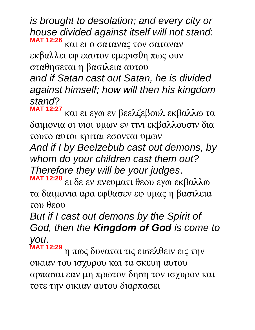*is brought to desolation; and every city or house divided against itself will not stand*: **MAT 12:26** και ει ο σατανας τον σαταναν εκβαλλει εφ εαυτον εμερισθη πως ουν σταθησεται η βασιλεια αυτου *and if Satan cast out Satan, he is divided against himself; how will then his kingdom stand*?

**MAT 12:27** και ει εγω εν βεελζεβουλ εκβαλλω τα δαιμονια οι υιοι υμων εν τινι εκβαλλουσιν δια τουτο αυτοι κριται εσονται υμων

*And if I by Beelzebub cast out demons, by whom do your children cast them out? Therefore they will be your judges*.

**MAT 12:28** ει δε εν πνευματι θεου εγω εκβαλλω τα δαιμονια αρα εφθασεν εφ υμας η βασιλεια του θεου

*But if I cast out demons by the Spirit of God, then the Kingdom of God is come to you*.

**MAT 12:29** η πως δυναται τις εισελθειν εις την οικιαν του ισχυρου και τα σκευη αυτου αρπασαι εαν μη πρωτον δηση τον ισχυρον και τοτε την οικιαν αυτου διαρπασει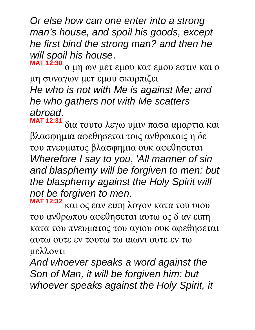*Or else how can one enter into a strong man's house, and spoil his goods, except he first bind the strong man? and then he will spoil his house*.

**MAT 12:30** ο μη ων μετ εμου κατ εμου εστιν και ο μη συναγων μετ εμου σκορπιζει *He who is not with Me is against Me; and he who gathers not with Me scatters abroad*.

**MAT 12:31** δια τουτο λεγω υμιν πασα αμαρτια και βλασφημια αφεθησεται τοις ανθρωποις η δε του πνευματος βλασφημια ουκ αφεθησεται *Wherefore I say to you*, *'All manner of sin and blasphemy will be forgiven to men: but the blasphemy against the Holy Spirit will not be forgiven to men*.

**MAT 12:32** και ος εαν ειπη λογον κατα του υιου του ανθρωπου αφεθησεται αυτω ος δ αν ειπη κατα του πνευματος του αγιου ουκ αφεθησεται αυτω ουτε εν τουτω τω αιωνι ουτε εν τω μελλοντι

*And whoever speaks a word against the Son of Man, it will be forgiven him: but whoever speaks against the Holy Spirit, it*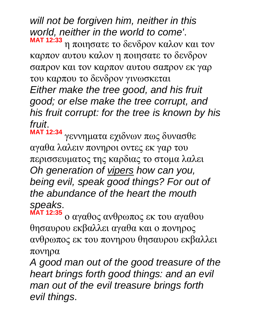*will not be forgiven him, neither in this world, neither in the world to come'*. **MAT 12:33**

η ποιησατε το δενδρον καλον και τον καρπον αυτου καλον η ποιησατε το δενδρον σαπρον και τον καρπον αυτου σαπρον εκ γαρ του καρπου το δενδρον γινωσκεται

*Either make the tree good, and his fruit good; or else make the tree corrupt, and his fruit corrupt: for the tree is known by his fruit*.

**MAT 12:34** γεννηματα εχιδνων πως δυνασθε αγαθα λαλειν πονηροι οντες εκ γαρ του περισσευματος της καρδιας το στομα λαλει *Oh generation of vipers how can you, being evil, speak good things? For out of the abundance of the heart the mouth speaks*.

**MAT 12:35** ο αγαθος ανθρωπος εκ του αγαθου θησαυρου εκβαλλει αγαθα και ο πονηρος ανθρωπος εκ του πονηρου θησαυρου εκβαλλει πονηρα

*A good man out of the good treasure of the heart brings forth good things: and an evil man out of the evil treasure brings forth evil things*.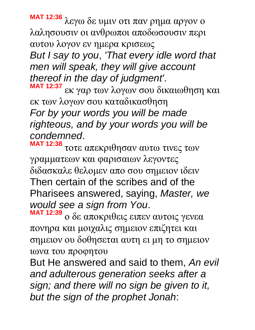**MAT 12:36** λεγω δε υμιν οτι παν ρημα αργον ο λαλησουσιν οι ανθρωποι αποδωσουσιν περι αυτου λογον εν ημερα κρισεως *But I say to you*, *'That every idle word that men will speak, they will give account thereof in the day of judgment'*. **MAT 12:37** εκ γαρ των λογων σου δικαιωθηση και

εκ των λογων σου καταδικασθηση *For by your words you will be made righteous, and by your words you will be condemned*.

**MAT 12:38** τοτε απεκριθησαν αυτω τινες των γραμματεων και φαρισαιων λεγοντες διδασκαλε θελομεν απο σου σημειον ιδειν Then certain of the scribes and of the Pharisees answered, saying, *Master, we would see a sign from You*.

**MAT 12:39** ο δε αποκριθεις ειπεν αυτοις γενεα πονηρα και μοιχαλις σημειον επιζητει και σημειον ου δοθησεται αυτη ει μη το σημειον ιωνα του προφητου

But He answered and said to them, *An evil and adulterous generation seeks after a sign; and there will no sign be given to it, but the sign of the prophet Jonah*: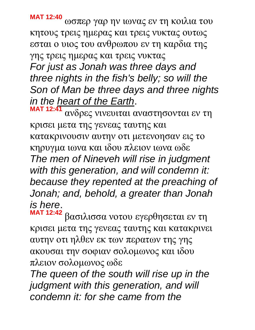**MAT 12:40** ωσπερ γαρ ην ιωνας εν τη κοιλια του κητους τρεις ημερας και τρεις νυκτας ουτως εσται ο υιος του ανθρωπου εν τη καρδια της γης τρεις ημερας και τρεις νυκτας *For just as Jonah was three days and three nights in the fish's belly; so will the Son of Man be three days and three nights in the heart of the Earth*.

**MAT 12:41** ανδρες νινευιται αναστησονται εν τη κρισει μετα της γενεας ταυτης και κατακρινουσιν αυτην οτι μετενοησαν εις το κηρυγμα ιωνα και ιδου πλειον ιωνα ωδε *The men of Nineveh will rise in judgment with this generation, and will condemn it: because they repented at the preaching of Jonah; and, behold, a greater than Jonah is here*.

**MAT 12:42** βασιλισσα νοτου εγερθησεται εν τη κρισει μετα της γενεας ταυτης και κατακρινει αυτην οτι ηλθεν εκ των περατων της γης ακουσαι την σοφιαν σολομωνος και ιδου πλειον σολομωνος ωδε

*The queen of the south will rise up in the judgment with this generation, and will condemn it: for she came from the*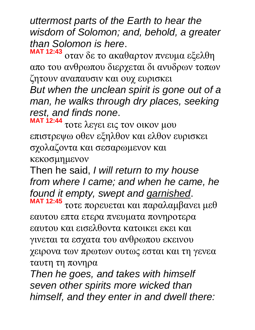*uttermost parts of the Earth to hear the wisdom of Solomon; and, behold, a greater than Solomon is here*.

**MAT 12:43** οταν δε το ακαθαρτον πνευμα εξελθη απο του ανθρωπου διερχεται δι ανυδρων τοπων ζητουν αναπαυσιν και ουχ ευρισκει

*But when the unclean spirit is gone out of a man, he walks through dry places, seeking rest, and finds none*.

**MAT 12:44** τοτε λεγει εις τον οικον μου επιστρεψω οθεν εξηλθον και ελθον ευρισκει σχολαζοντα και σεσαρωμενον και κεκοσμημενον

Then he said, *I will return to my house from where I came; and when he came, he found it empty, swept and garnished*. **MAT 12:45**

τοτε πορευεται και παραλαμβανει μεθ εαυτου επτα ετερα πνευματα πονηροτερα εαυτου και εισελθοντα κατοικει εκει και γινεται τα εσχατα του ανθρωπου εκεινου χειρονα των πρωτων ουτως εσται και τη γενεα ταυτη τη πονηρα

*Then he goes, and takes with himself seven other spirits more wicked than himself, and they enter in and dwell there:*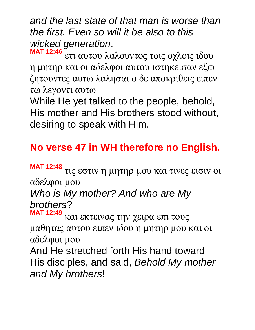*and the last state of that man is worse than the first. Even so will it be also to this wicked generation*.

**MAT 12:46** ετι αυτου λαλουντος τοις οχλοις ιδου η μητηρ και οι αδελφοι αυτου ιστηκεισαν εξω ζητουντες αυτω λαλησαι ο δε αποκριθεις ειπεν τω λεγοντι αυτω

While He yet talked to the people, behold, His mother and His brothers stood without, desiring to speak with Him.

## **No verse 47 in WH therefore no English.**

**MAT 12:48** τις εστιν η μητηρ μου και τινες εισιν οι αδελφοι μου

# *Who is My mother? And who are My brothers*?

**MAT 12:49** και εκτεινας την χειρα επι τους μαθητας αυτου ειπεν ιδου η μητηρ μου και οι αδελφοι μου

And He stretched forth His hand toward His disciples, and said, *Behold My mother and My brothers*!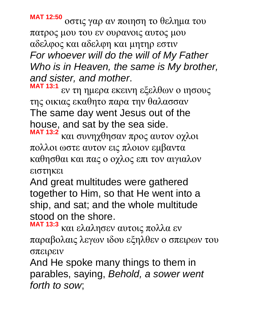**MAT 12:50** οστις γαρ αν ποιηση το θελημα του πατρος μου του εν ουρανοις αυτος μου αδελφος και αδελφη και μητηρ εστιν *For whoever will do the will of My Father Who is in Heaven, the same is My brother, and sister, and mother*.

**MAT 13:1** εν τη ημερα εκεινη εξελθων ο ιησους της οικιας εκαθητο παρα την θαλασσαν The same day went Jesus out of the house, and sat by the sea side.

**MAT 13:2** και συνηχθησαν προς αυτον οχλοι πολλοι ωστε αυτον εις πλοιον εμβαντα καθησθαι και πας ο οχλος επι τον αιγιαλον ειστηκει

And great multitudes were gathered together to Him, so that He went into a ship, and sat; and the whole multitude stood on the shore.

**MAT 13:3** και ελαλησεν αυτοις πολλα εν παραβολαις λεγων ιδου εξηλθεν ο σπειρων του σπειρειν

And He spoke many things to them in parables, saying, *Behold, a sower went forth to sow*;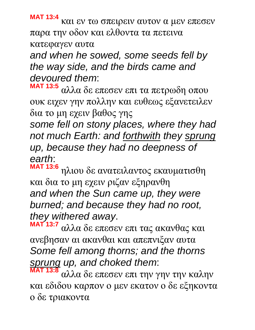**MAT 13:4** και εν τω σπειρειν αυτον α μεν επεσεν παρα την οδον και ελθοντα τα πετεινα κατεφαγεν αυτα

*and when he sowed, some seeds fell by the way side, and the birds came and devoured them*:

**MAT 13:5** αλλα δε επεσεν επι τα πετρωδη οπου ουκ ειχεν γην πολλην και ευθεως εξανετειλεν δια το μη εχειν βαθος γης

*some fell on stony places, where they had not much Earth: and forthwith they sprung up, because they had no deepness of earth*:

**MAT 13:6** ηλιου δε ανατειλαντος εκαυματισθη και δια το μη εχειν ριζαν εξηρανθη *and when the Sun came up, they were burned; and because they had no root, they withered away*.

**MAT 13:7** αλλα δε επεσεν επι τας ακανθας και ανεβησαν αι ακανθαι και απεπνιξαν αυτα *Some fell among thorns; and the thorns sprung up, and choked them*:

**MAT 13:8** αλλα δε επεσεν επι την γην την καλην και εδιδου καρπον ο μεν εκατον ο δε εξηκοντα ο δε τριακοντα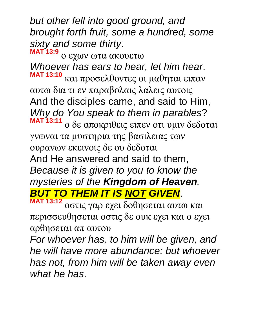*but other fell into good ground, and brought forth fruit, some a hundred, some sixty and some thirty*.

**MAT 13:9** ο εχων ωτα ακουετω *Whoever has ears to hear, let him hear*. **MAT 13:10** και προσελθοντες οι μαθηται ειπαν αυτω δια τι εν παραβολαις λαλεις αυτοις And the disciples came, and said to Him, *Why do You speak to them in parables*? **MAT 13:11** ο δε αποκριθεις ειπεν οτι υμιν δεδοται γνωναι τα μυστηρια της βασιλειας των ουρανων εκεινοις δε ου δεδοται And He answered and said to them, *Because it is given to you to know the mysteries of the Kingdom of Heaven, BUT TO THEM IT IS NOT GIVEN*.

**MAT 13:12** οστις γαρ εχει δοθησεται αυτω και περισσευθησεται οστις δε ουκ εχει και ο εχει αρθησεται απ αυτου

*For whoever has, to him will be given, and he will have more abundance: but whoever has not, from him will be taken away even what he has*.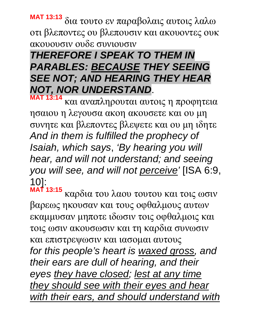**MAT 13:13** δια τουτο εν παραβολαις αυτοις λαλω οτι βλεποντες ου βλεπουσιν και ακουοντες ουκ ακουουσιν ουδε συνιουσιν

## *THEREFORE I SPEAK TO THEM IN PARABLES: BECAUSE THEY SEEING SEE NOT; AND HEARING THEY HEAR NOT, NOR UNDERSTAND*.

**MAT 13:14** και αναπληρουται αυτοις η προφητεια ησαιου η λεγουσα ακοη ακουσετε και ου μη συνητε και βλεποντες βλεψετε και ου μη ιδητε *And in them is fulfilled the prophecy of Isaiah, which says*, *'By hearing you will hear, and will not understand; and seeing you will see, and will not perceive'* [ISA 6:9, 10]:

**MAT 13:15** καρδια του λαου τουτου και τοις ωσιν βαρεως ηκουσαν και τους οφθαλμους αυτων εκαμμυσαν μηποτε ιδωσιν τοις οφθαλμοις και τοις ωσιν ακουσωσιν και τη καρδια συνωσιν και επιστρεψωσιν και ιασομαι αυτους *for this people's heart is waxed gross, and their ears are dull of hearing, and their eyes they have closed; lest at any time they should see with their eyes and hear with their ears, and should understand with*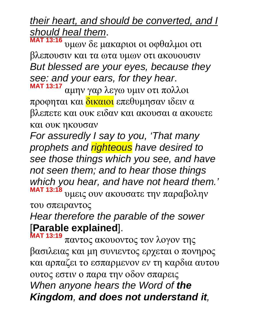### *their heart, and should be converted, and I should heal them*.

**MAT 13:16** υμων δε μακαριοι οι οφθαλμοι οτι βλεπουσιν και τα ωτα υμων οτι ακουουσιν *But blessed are your eyes, because they see: and your ears, for they hear*. **MAT 13:17**

αμην γαρ λεγω υμιν οτι πολλοι προφηται και δικαιοι επεθυμησαν ιδειν α βλεπετε και ουκ ειδαν και ακουσαι α ακουετε και ουκ ηκουσαν

*For assuredly I say to you, 'That many prophets and righteous have desired to see those things which you see, and have not seen them; and to hear those things which you hear, and have not heard them.'*  **MAT 13:18** υμεις ουν ακουσατε την παραβολην του σπειραντος

*Hear therefore the parable of the sower*  [**Parable explained**].

**MAT 13:19** παντος ακουοντος τον λογον της βασιλειας και μη συνιεντος ερχεται ο πονηρος και αρπαζει το εσπαρμενον εν τη καρδια αυτου ουτος εστιν ο παρα την οδον σπαρεις *When anyone hears the Word of the Kingdom, and does not understand it,*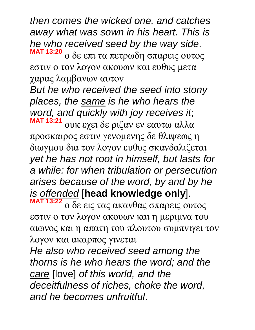*then comes the wicked one, and catches away what was sown in his heart. This is he who received seed by the way side*. **MAT 13:20**

ο δε επι τα πετρωδη σπαρεις ουτος εστιν ο τον λογον ακουων και ευθυς μετα χαρας λαμβανων αυτον

*But he who received the seed into stony places, the same is he who hears the word, and quickly with joy receives it*; **MAT 13:21** ουκ εχει δε ριζαν εν εαυτω αλλα

προσκαιρος εστιν γενομενης δε θλιψεως η διωγμου δια τον λογον ευθυς σκανδαλιζεται *yet he has not root in himself, but lasts for a while: for when tribulation or persecution arises because of the word, by and by he is offended* [**head knowledge only**]. **MAT 13:22**

ο δε εις τας ακανθας σπαρεις ουτος εστιν ο τον λογον ακουων και η μεριμνα του αιωνος και η απατη του πλουτου συμπνιγει τον λογον και ακαρπος γινεται

*He also who received seed among the thorns is he who hears the word; and the care* [love] *of this world, and the deceitfulness of riches, choke the word, and he becomes unfruitful*.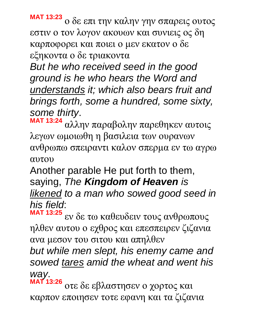**MAT 13:23** ο δε επι την καλην γην σπαρεις ουτος εστιν ο τον λογον ακουων και συνιεις ος δη καρποφορει και ποιει ο μεν εκατον ο δε εξηκοντα ο δε τριακοντα

*But he who received seed in the good ground is he who hears the Word and understands it; which also bears fruit and brings forth, some a hundred, some sixty, some thirty*.

**MAT 13:24** αλλην παραβολην παρεθηκεν αυτοις λεγων ωμοιωθη η βασιλεια των ουρανων ανθρωπω σπειραντι καλον σπερμα εν τω αγρω αυτου

Another parable He put forth to them, saying, *The Kingdom of Heaven is likened to a man who sowed good seed in his field*:

**MAT 13:25** εν δε τω καθευδειν τους ανθρωπους ηλθεν αυτου ο εχθρος και επεσπειρεν ζιζανια ανα μεσον του σιτου και απηλθεν

*but while men slept, his enemy came and sowed tares amid the wheat and went his way*.

**MAT 13:26** οτε δε εβλαστησεν ο χορτος και καρπον εποιησεν τοτε εφανη και τα ζιζανια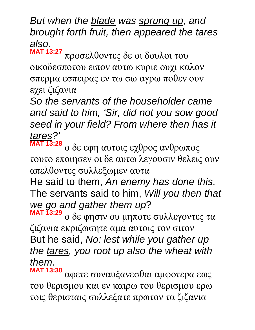*But when the blade was sprung up, and brought forth fruit, then appeared the tares also*.

**MAT 13:27** προσελθοντες δε οι δουλοι του οικοδεσποτου ειπον αυτω κυριε ουχι καλον σπερμα εσπειρας εν τω σω αγρω ποθεν ουν εχει ζιζανια

*So the servants of the householder came and said to him, 'Sir, did not you sow good seed in your field? From where then has it tares?'*

**MAT 13:28** ο δε εφη αυτοις εχθρος ανθρωπος τουτο εποιησεν οι δε αυτω λεγουσιν θελεις ουν απελθοντες συλλεξωμεν αυτα

He said to them, *An enemy has done this*. The servants said to him, *Will you then that we go and gather them up*?

**MAT 13:29** ο δε φησιν ου μηποτε συλλεγοντες τα ζιζανια εκριζωσητε αμα αυτοις τον σιτον But he said, *No; lest while you gather up the tares, you root up also the wheat with them*.

**MAT 13:30** αφετε συναυξανεσθαι αμφοτερα εως του θερισμου και εν καιρω του θερισμου ερω τοις θερισταις συλλεξατε πρωτον τα ζιζανια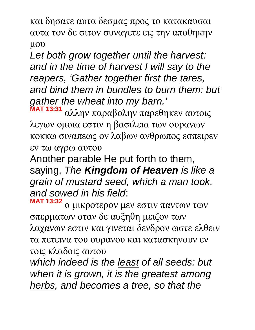και δησατε αυτα δεσμας προς το κατακαυσαι αυτα τον δε σιτον συναγετε εις την αποθηκην μου

*Let both grow together until the harvest: and in the time of harvest I will say to the reapers, 'Gather together first the tares, and bind them in bundles to burn them: but gather the wheat into my barn.'*  **MAT 13:31**

αλλην παραβολην παρεθηκεν αυτοις λεγων ομοια εστιν η βασιλεια των ουρανων κοκκω σιναπεως ον λαβων ανθρωπος εσπειρεν εν τω αγρω αυτου

Another parable He put forth to them, saying, *The Kingdom of Heaven is like a grain of mustard seed, which a man took, and sowed in his field*:

**MAT 13:32** ο μικροτερον μεν εστιν παντων των σπερματων οταν δε αυξηθη μειζον των λαχανων εστιν και γινεται δενδρον ωστε ελθειν τα πετεινα του ουρανου και κατασκηνουν εν τοις κλαδοις αυτου

*which indeed is the least of all seeds: but when it is grown, it is the greatest among herbs, and becomes a tree, so that the*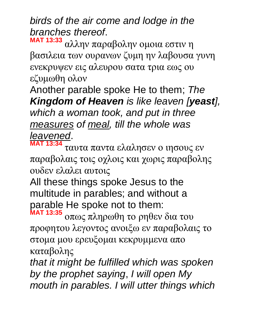### *birds of the air come and lodge in the branches thereof*.

**MAT 13:33** αλλην παραβολην ομοια εστιν η βασιλεια των ουρανων ζυμη ην λαβουσα γυνη ενεκρυψεν εις αλευρου σατα τρια εως ου εζυμωθη ολον

Another parable spoke He to them; *The Kingdom of Heaven is like leaven [yeast], which a woman took, and put in three measures of meal, till the whole was leavened*.

**MAT 13:34** ταυτα παντα ελαλησεν ο ιησους εν παραβολαις τοις οχλοις και χωρις παραβολης ουδεν ελαλει αυτοις

All these things spoke Jesus to the multitude in parables; and without a parable He spoke not to them: **MAT 13:35**

οπως πληρωθη το ρηθεν δια του προφητου λεγοντος ανοιξω εν παραβολαις το στομα μου ερευξομαι κεκρυμμενα απο καταβολης

*that it might be fulfilled which was spoken by the prophet saying*, *I will open My mouth in parables. I will utter things which*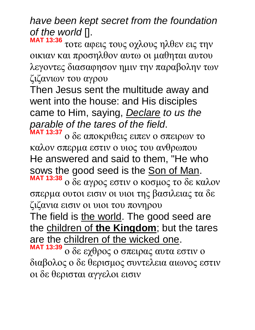*have been kept secret from the foundation of the world* [].

**MAT 13:36** τοτε αφεις τους οχλους ηλθεν εις την οικιαν και προσηλθον αυτω οι μαθηται αυτου λεγοντες διασαφησον ημιν την παραβολην των ζιζανιων του αγρου

Then Jesus sent the multitude away and went into the house: and His disciples came to Him, saying, *Declare to us the parable of the tares of the field*.

**MAT 13:37** ο δε αποκριθεις ειπεν ο σπειρων το καλον σπερμα εστιν ο υιος του ανθρωπου He answered and said to them, "He who sows the good seed is the Son of Man. **MAT 13:38** ο δε αγρος εστιν ο κοσμος το δε καλον σπερμα ουτοι εισιν οι υιοι της βασιλειας τα δε ζιζανια εισιν οι υιοι του πονηρου

The field is the world. The good seed are the children of **the Kingdom**; but the tares are the children of the wicked one.

**MAT 13:39** ο δε εχθρος ο σπειρας αυτα εστιν ο διαβολος ο δε θερισμος συντελεια αιωνος εστιν οι δε θερισται αγγελοι εισιν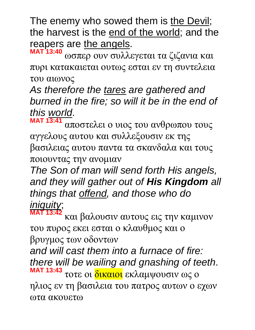The enemy who sowed them is the Devil; the harvest is the end of the world; and the reapers are the angels.

**MAT 13:40** ωσπερ ουν συλλεγεται τα ζιζανια και πυρι κατακαιεται ουτως εσται εν τη συντελεια του αιωνος

*As therefore the tares are gathered and burned in the fire; so will it be in the end of this world*.

**MAT 13:41** αποστελει ο υιος του ανθρωπου τους αγγελους αυτου και συλλεξουσιν εκ της βασιλειας αυτου παντα τα σκανδαλα και τους ποιουντας την ανομιαν

*The Son of man will send forth His angels, and they will gather out of His Kingdom all things that offend, and those who do iniquity*;

**MAT 13:42** και βαλουσιν αυτους εις την καμινον του πυρος εκει εσται ο κλαυθμος και ο βρυγμος των οδοντων

*and will cast them into a furnace of fire: there will be wailing and gnashing of teeth*. **MAT 13:43** τοτε οι δικαιοι εκλαμψουσιν ως ο ηλιος εν τη βασιλεια του πατρος αυτων ο εχων ωτα ακουετω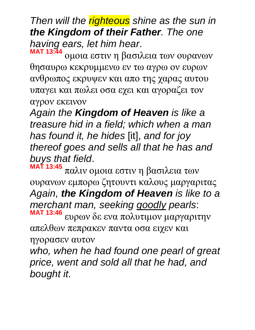*Then will the righteous shine as the sun in the Kingdom of their Father. The one having ears, let him hear*. **MAT 13:44**

ομοια εστιν η βασιλεια των ουρανων θησαυρω κεκρυμμενω εν τω αγρω ον ευρων ανθρωπος εκρυψεν και απο της χαρας αυτου υπαγει και πωλει οσα εχει και αγοραζει τον αγρον εκεινον

*Again the Kingdom of Heaven is like a treasure hid in a field; which when a man has found it, he hides* [it], *and for joy thereof goes and sells all that he has and buys that field*.

**MAT 13:45** παλιν ομοια εστιν η βασιλεια των ουρανων εμπορω ζητουντι καλους μαργαριτας *Again, the Kingdom of Heaven is like to a merchant man, seeking goodly pearls*: **MAT 13:46** ευρων δε ενα πολυτιμον μαργαριτην

απελθων πεπρακεν παντα οσα ειχεν και ηγορασεν αυτον

*who, when he had found one pearl of great price, went and sold all that he had, and bought it*.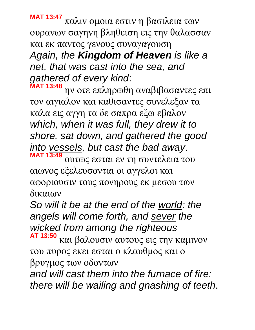**MAT 13:47** παλιν ομοια εστιν η βασιλεια των ουρανων σαγηνη βληθειση εις την θαλασσαν και εκ παντος γενους συναγαγουση *Again, the Kingdom of Heaven is like a net, that was cast into the sea, and gathered of every kind*:

**MAT 13:48** ην οτε επληρωθη αναβιβασαντες επι τον αιγιαλον και καθισαντες συνελεξαν τα καλα εις αγγη τα δε σαπρα εξω εβαλον *which, when it was full, they drew it to shore, sat down, and gathered the good into vessels, but cast the bad away*. **MAT 13:49** ουτως εσται εν τη συντελεια του

αιωνος εξελευσονται οι αγγελοι και αφοριουσιν τους πονηρους εκ μεσου των δικαιων

*So will it be at the end of the world: the angels will come forth, and sever the wicked from among the righteous*

**AT 13:50** και βαλουσιν αυτους εις την καμινον του πυρος εκει εσται ο κλαυθμος και ο βρυγμος των οδοντων

*and will cast them into the furnace of fire: there will be wailing and gnashing of teeth*.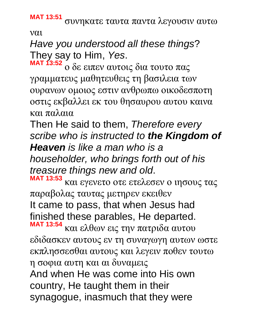**MAT 13:51** συνηκατε ταυτα παντα λεγουσιν αυτω

ναι

*Have you understood all these things*? They say to Him, *Yes*.

**MAT 13:52** ο δε ειπεν αυτοις δια τουτο πας γραμματευς μαθητευθεις τη βασιλεια των ουρανων ομοιος εστιν ανθρωπω οικοδεσποτη οστις εκβαλλει εκ του θησαυρου αυτου καινα και παλαια

Then He said to them, *Therefore every scribe who is instructed to the Kingdom of Heaven is like a man who is a householder, who brings forth out of his treasure things new and old*. **MAT 13:53**

και εγενετο οτε ετελεσεν ο ιησους τας παραβολας ταυτας μετηρεν εκειθεν It came to pass, that when Jesus had finished these parables, He departed. **MAT 13:54** και ελθων εις την πατριδα αυτου

εδιδασκεν αυτους εν τη συναγωγη αυτων ωστε εκπλησσεσθαι αυτους και λεγειν ποθεν τουτω η σοφια αυτη και αι δυναμεις And when He was come into His own country, He taught them in their synagogue, inasmuch that they were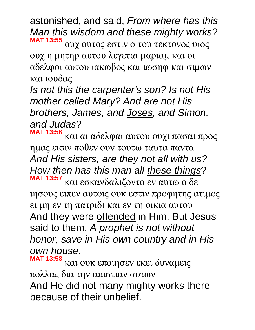astonished, and said, *From where has this Man this wisdom and these mighty works*? **MAT 13:55** ουχ ουτος εστιν ο του τεκτονος υιος ουχ η μητηρ αυτου λεγεται μαριαμ και οι αδελφοι αυτου ιακωβος και ιωσηφ και σιμων και ιουδας

*Is not this the carpenter's son? Is not His mother called Mary? And are not His brothers, James, and Joses, and Simon, and Judas*?

**MAT 13:56** και αι αδελφαι αυτου ουχι πασαι προς ημας εισιν ποθεν ουν τουτω ταυτα παντα *And His sisters, are they not all with us? How then has this man all these things*? **MAT 13:57**

και εσκανδαλιζοντο εν αυτω ο δε ιησους ειπεν αυτοις ουκ εστιν προφητης ατιμος ει μη εν τη πατριδι και εν τη οικια αυτου And they were offended in Him. But Jesus said to them, *A prophet is not without honor, save in His own country and in His own house*.

**MAT 13:58** και ουκ εποιησεν εκει δυναμεις πολλας δια την απιστιαν αυτων And He did not many mighty works there because of their unbelief.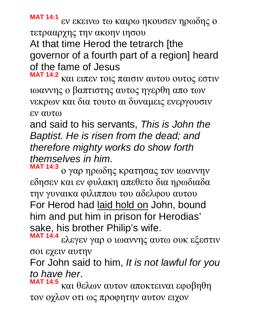**MAT 14:1** εν εκεινω τω καιρω ηκουσεν ηρωδης ο

τετρααρχης την ακοην ιησου

At that time Herod the tetrarch [the governor of a fourth part of a region] heard of the fame of Jesus

**MAT 14:2** και ειπεν τοις παισιν αυτου ουτος εστιν ιωαννης ο βαπτιστης αυτος ηγερθη απο των νεκρων και δια τουτο αι δυναμεις ενεργουσιν εν αυτω

and said to his servants, *This is John the Baptist. He is risen from the dead; and therefore mighty works do show forth themselves in him*.

**MAT 14:3** ο γαρ ηρωδης κρατησας τον ιωαννην εδησεν και εν φυλακη απεθετο δια ηρωδιαδα την γυναικα φιλιππου του αδελφου αυτου For Herod had laid hold on John, bound him and put him in prison for Herodias' sake, his brother Philip's wife.

**MAT 14:4** ελεγεν γαρ ο ιωαννης αυτω ουκ εξεστιν σοι εχειν αυτην

For John said to him, *It is not lawful for you to have her*.

**MAT 14:5** και θελων αυτον αποκτειναι εφοβηθη τον οχλον οτι ως προφητην αυτον ειχον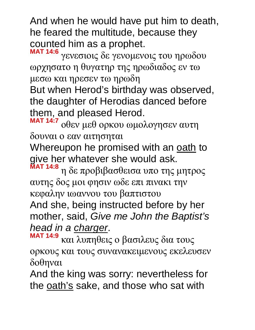And when he would have put him to death, he feared the multitude, because they counted him as a prophet.

**MAT 14:6** γενεσιοις δε γενομενοις του ηρωδου ωρχησατο η θυγατηρ της ηρωδιαδος εν τω μεσω και ηρεσεν τω ηρωδη

But when Herod's birthday was observed, the daughter of Herodias danced before them, and pleased Herod.

**MAT 14:7** οθεν μεθ ορκου ωμολογησεν αυτη δουναι ο εαν αιτησηται

Whereupon he promised with an oath to give her whatever she would ask.

**MAT 14:8** η δε προβιβασθεισα υπο της μητρος αυτης δος μοι φησιν ωδε επι πινακι την κεφαλην ιωαννου του βαπτιστου

And she, being instructed before by her mother, said, *Give me John the Baptist's head in a charger*.

**MAT 14:9** και λυπηθεις ο βασιλευς δια τους ορκους και τους συνανακειμενους εκελευσεν δοθηναι

And the king was sorry: nevertheless for the oath's sake, and those who sat with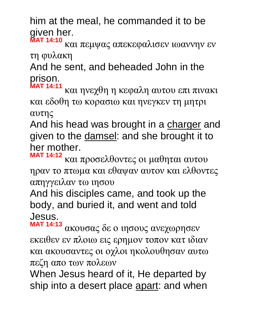him at the meal, he commanded it to be given her. **MAT 14:10**

και πεμψας απεκεφαλισεν ιωαννην εν τη φυλακη

And he sent, and beheaded John in the prison.

**MAT 14:11** και ηνεχθη η κεφαλη αυτου επι πινακι και εδοθη τω κορασιω και ηνεγκεν τη μητρι αυτης

And his head was brought in a charger and given to the damsel: and she brought it to her mother.

**MAT 14:12** και προσελθοντες οι μαθηται αυτου ηραν το πτωμα και εθαψαν αυτον και ελθοντες απηγγειλαν τω ιησου

And his disciples came, and took up the body, and buried it, and went and told Jesus.

**MAT 14:13** ακουσας δε ο ιησους ανεχωρησεν εκειθεν εν πλοιω εις ερημον τοπον κατ ιδιαν και ακουσαντες οι οχλοι ηκολουθησαν αυτω πεζη απο των πολεων

When Jesus heard of it, He departed by ship into a desert place apart: and when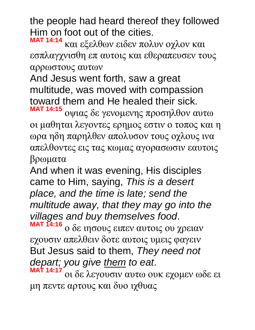the people had heard thereof they followed Him on foot out of the cities.

**MAT 14:14** και εξελθων ειδεν πολυν οχλον και εσπλαγχνισθη επ αυτοις και εθεραπευσεν τους αρρωστους αυτων

And Jesus went forth, saw a great multitude, was moved with compassion toward them and He healed their sick.

**MAT 14:15** οψιας δε γενομενης προσηλθον αυτω οι μαθηται λεγοντες ερημος εστιν ο τοπος και η ωρα ηδη παρηλθεν απολυσον τους οχλους ινα απελθοντες εις τας κωμας αγορασωσιν εαυτοις βρωματα

And when it was evening, His disciples came to Him, saying, *This is a desert place, and the time is late; send the multitude away, that they may go into the villages and buy themselves food*. **MAT 14:16**

ο δε ιησους ειπεν αυτοις ου χρειαν εχουσιν απελθειν δοτε αυτοις υμεις φαγειν But Jesus said to them, *They need not depart; you give them to eat*.

**MAT 14:17** οι δε λεγουσιν αυτω ουκ εχομεν ωδε ει μη πεντε αρτους και δυο ιχθυας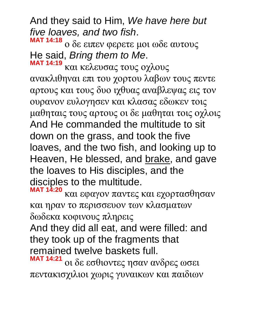And they said to Him, *We have here but five loaves, and two fish*. **MAT 14:18**

ο δε ειπεν φερετε μοι ωδε αυτους He said, *Bring them to Me*. **MAT 14:19**

και κελευσας τους οχλους ανακλιθηναι επι του χορτου λαβων τους πεντε αρτους και τους δυο ιχθυας αναβλεψας εις τον ουρανον ευλογησεν και κλασας εδωκεν τοις μαθηταις τους αρτους οι δε μαθηται τοις οχλοις And He commanded the multitude to sit down on the grass, and took the five loaves, and the two fish, and looking up to Heaven, He blessed, and brake, and gave the loaves to His disciples, and the disciples to the multitude.

**MAT 14:20** και εφαγον παντες και εχορτασθησαν και ηραν το περισσευον των κλασματων δωδεκα κοφινους πληρεις

And they did all eat, and were filled: and they took up of the fragments that remained twelve baskets full.

**MAT 14:21** οι δε εσθιοντες ησαν ανδρες ωσει πεντακισχιλιοι χωρις γυναικων και παιδιων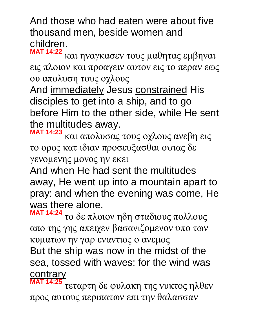And those who had eaten were about five thousand men, beside women and children.

**MAT 14:22** και ηναγκασεν τους μαθητας εμβηναι εις πλοιον και προαγειν αυτον εις το περαν εως ου απολυση τους οχλους

And immediately Jesus constrained His disciples to get into a ship, and to go before Him to the other side, while He sent the multitudes away.

**MAT 14:23** και απολυσας τους οχλους ανεβη εις το ορος κατ ιδιαν προσευξασθαι οψιας δε γενομενης μονος ην εκει

And when He had sent the multitudes away, He went up into a mountain apart to pray: and when the evening was come, He was there alone.

**MAT 14:24** το δε πλοιον ηδη σταδιους πολλους απο της γης απειχεν βασανιζομενον υπο των κυματων ην γαρ εναντιος ο ανεμος But the ship was now in the midst of the sea, tossed with waves: for the wind was **contrary** 

**MAT 14:25** τεταρτη δε φυλακη της νυκτος ηλθεν προς αυτους περιπατων επι την θαλασσαν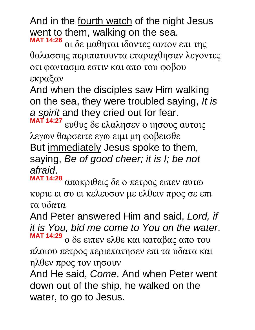And in the fourth watch of the night Jesus went to them, walking on the sea.

**MAT 14:26** οι δε μαθηται ιδοντες αυτον επι της θαλασσης περιπατουντα εταραχθησαν λεγοντες οτι φαντασμα εστιν και απο του φοβου εκραξαν

And when the disciples saw Him walking on the sea, they were troubled saying, *It is a spirit* and they cried out for fear.

**MAT 14:27** ευθυς δε ελαλησεν ο ιησους αυτοις λεγων θαρσειτε εγω ειμι μη φοβεισθε But immediately Jesus spoke to them, saying, *Be of good cheer; it is I; be not afraid*.

**MAT 14:28** αποκριθεις δε ο πετρος ειπεν αυτω κυριε ει συ ει κελευσον με ελθειν προς σε επι τα υδατα

And Peter answered Him and said, *Lord, if it is You, bid me come to You on the water*. **MAT 14:29** ο δε ειπεν ελθε και καταβας απο του

πλοιου πετρος περιεπατησεν επι τα υδατα και ηλθεν προς τον ιησουν

And He said, *Come*. And when Peter went down out of the ship, he walked on the water, to go to Jesus.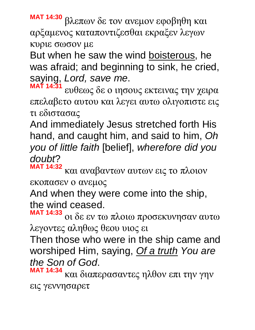**MAT 14:30** βλεπων δε τον ανεμον εφοβηθη και αρξαμενος καταποντιζεσθαι εκραξεν λεγων κυριε σωσον με

But when he saw the wind boisterous, he was afraid; and beginning to sink, he cried, saying, *Lord, save me*.

**MAT 14:31** ευθεως δε ο ιησους εκτεινας την χειρα επελαβετο αυτου και λεγει αυτω ολιγοπιστε εις τι εδιστασας

And immediately Jesus stretched forth His hand, and caught him, and said to him, *Oh you of little faith* [belief], *wherefore did you doubt*?

**MAT 14:32** και αναβαντων αυτων εις το πλοιον εκοπασεν ο ανεμος

And when they were come into the ship, the wind ceased.

**MAT 14:33** οι δε εν τω πλοιω προσεκυνησαν αυτω λεγοντες αληθως θεου υιος ει

Then those who were in the ship came and worshiped Him, saying, *Of a truth You are the Son of God*.

**MAT 14:34** και διαπερασαντες ηλθον επι την γην εις γεννησαρετ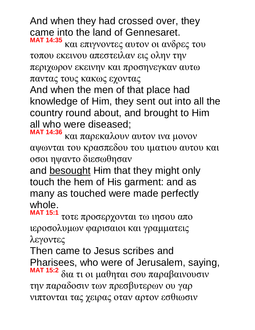And when they had crossed over, they came into the land of Gennesaret. **MAT 14:35**

και επιγνοντες αυτον οι ανδρες του τοπου εκεινου απεστειλαν εις ολην την περιχωρον εκεινην και προσηνεγκαν αυτω παντας τους κακως εχοντας

And when the men of that place had knowledge of Him, they sent out into all the country round about, and brought to Him all who were diseased;

**MAT 14:36** και παρεκαλουν αυτον ινα μονον αψωνται του κρασπεδου του ιματιου αυτου και οσοι ηψαντο διεσωθησαν

and besought Him that they might only touch the hem of His garment: and as many as touched were made perfectly whole.

**MAT 15:1** τοτε προσερχονται τω ιησου απο ιεροσολυμων φαρισαιοι και γραμματεις λεγοντες

Then came to Jesus scribes and Pharisees, who were of Jerusalem, saying, **MAT 15:2** δια τι οι μαθηται σου παραβαινουσιν την παραδοσιν των πρεσβυτερων ου γαρ νιπτονται τας χειρας οταν αρτον εσθιωσιν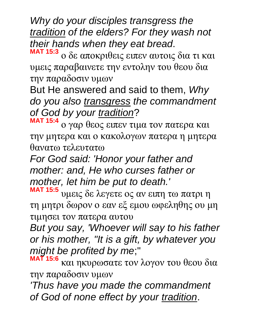*Why do your disciples transgress the tradition of the elders? For they wash not their hands when they eat bread*. **MAT 15:3**

ο δε αποκριθεις ειπεν αυτοις δια τι και υμεις παραβαινετε την εντολην του θεου δια την παραδοσιν υμων

But He answered and said to them, *Why do you also transgress the commandment of God by your tradition*?

**MAT 15:4** ο γαρ θεος ειπεν τιμα τον πατερα και την μητερα και ο κακολογων πατερα η μητερα θανατω τελευτατω

*For God said: 'Honor your father and mother: and, He who curses father or mother, let him be put to death.'*

**MAT 15:5** υμεις δε λεγετε ος αν ειπη τω πατρι η τη μητρι δωρον ο εαν εξ εμου ωφεληθης ου μη τιμησει τον πατερα αυτου

*But you say, 'Whoever will say to his father or his mother, "It is a gift, by whatever you might be profited by me*;"

**MAT 15:6** και ηκυρωσατε τον λογον του θεου δια την παραδοσιν υμων

*'Thus have you made the commandment of God of none effect by your tradition*.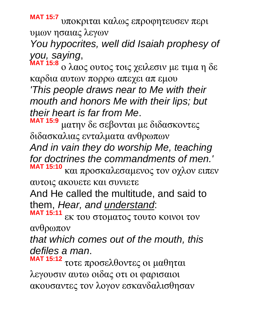**MAT 15:7** υποκριται καλως επροφητευσεν περι υμων ησαιας λεγων

*You hypocrites, well did Isaiah prophesy of you, saying*,

**MAT 15:8** ο λαος ουτος τοις χειλεσιν με τιμα η δε καρδια αυτων πορρω απεχει απ εμου

*'This people draws near to Me with their mouth and honors Me with their lips; but their heart is far from Me*.

**MAT 15:9** ματην δε σεβονται με διδασκοντες διδασκαλιας ενταλματα ανθρωπων

*And in vain they do worship Me, teaching for doctrines the commandments of men.'* **MAT 15:10** και προσκαλεσαμενος τον οχλον ειπεν

αυτοις ακουετε και συνιετε

And He called the multitude, and said to them, *Hear, and understand*:

**MAT 15:11** εκ του στοματος τουτο κοινοι τον ανθρωπον

*that which comes out of the mouth, this defiles a man*.

**MAT 15:12** τοτε προσελθοντες οι μαθηται λεγουσιν αυτω οιδας οτι οι φαρισαιοι ακουσαντες τον λογον εσκανδαλισθησαν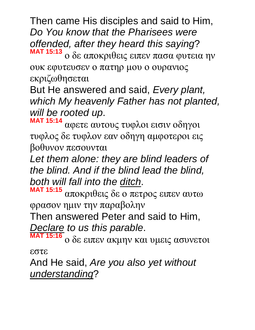Then came His disciples and said to Him, *Do You know that the Pharisees were offended, after they heard this saying*? **MAT 15:13** ο δε αποκριθεις ειπεν πασα φυτεια ην

ουκ εφυτευσεν ο πατηρ μου ο ουρανιος εκριζωθησεται

But He answered and said, *Every plant, which My heavenly Father has not planted, will be rooted up*.

**MAT 15:14** αφετε αυτους τυφλοι εισιν οδηγοι τυφλος δε τυφλον εαν οδηγη αμφοτεροι εις βοθυνον πεσουνται

*Let them alone: they are blind leaders of the blind. And if the blind lead the blind, both will fall into the ditch*.

**MAT 15:15** αποκριθεις δε ο πετρος ειπεν αυτω φρασον ημιν την παραβολην

Then answered Peter and said to Him, *Declare to us this parable*.

**MAT 15:16** ο δε ειπεν ακμην και υμεις ασυνετοι εστε

And He said, *Are you also yet without understanding*?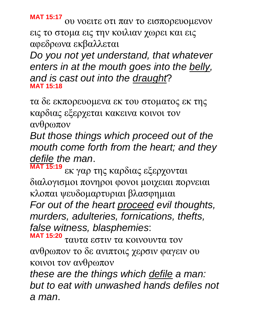**MAT 15:17** ου νοειτε οτι παν το εισπορευομενον εις το στομα εις την κοιλιαν χωρει και εις αφεδρωνα εκβαλλεται

*Do you not yet understand, that whatever enters in at the mouth goes into the belly, and is cast out into the draught*? **MAT 15:18**

τα δε εκπορευομενα εκ του στοματος εκ της καρδιας εξερχεται κακεινα κοινοι τον ανθρωπον

*But those things which proceed out of the mouth come forth from the heart; and they defile the man*.

**MAT 15:19** εκ γαρ της καρδιας εξερχονται διαλογισμοι πονηροι φονοι μοιχειαι πορνειαι κλοπαι ψευδομαρτυριαι βλασφημιαι *For out of the heart proceed evil thoughts, murders, adulteries, fornications, thefts, false witness, blasphemies*:

**MAT 15:20** ταυτα εστιν τα κοινουντα τον ανθρωπον το δε ανιπτοις χερσιν φαγειν ου κοινοι τον ανθρωπον

*these are the things which defile a man: but to eat with unwashed hands defiles not a man*.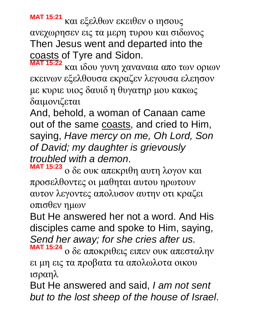**MAT 15:21** και εξελθων εκειθεν ο ιησους ανεχωρησεν εις τα μερη τυρου και σιδωνος Then Jesus went and departed into the coasts of Tyre and Sidon.

**MAT 15:22** και ιδου γυνη χαναναια απο των οριων εκεινων εξελθουσα εκραζεν λεγουσα ελεησον με κυριε υιος δαυιδ η θυγατηρ μου κακως δαιμονιζεται

And, behold, a woman of Canaan came out of the same coasts, and cried to Him, saying, *Have mercy on me, Oh Lord, Son of David; my daughter is grievously troubled with a demon*.

**MAT 15:23** ο δε ουκ απεκριθη αυτη λογον και προσελθοντες οι μαθηται αυτου ηρωτουν αυτον λεγοντες απολυσον αυτην οτι κραζει οπισθεν ημων

But He answered her not a word. And His disciples came and spoke to Him, saying, *Send her away; for she cries after us*. **MAT 15:24**

ο δε αποκριθεις ειπεν ουκ απεσταλην ει μη εις τα προβατα τα απολωλοτα οικου ισραηλ

But He answered and said, *I am not sent but to the lost sheep of the house of Israel*.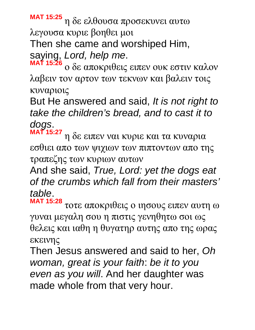**MAT 15:25** η δε ελθουσα προσεκυνει αυτω λεγουσα κυριε βοηθει μοι

Then she came and worshiped Him,

saying, *Lord, help me*.

**MAT 15:26** ο δε αποκριθεις ειπεν ουκ εστιν καλον λαβειν τον αρτον των τεκνων και βαλειν τοις κυναριοις

But He answered and said, *It is not right to take the children's bread, and to cast it to dogs*.

**MAT 15:27** η δε ειπεν ναι κυριε και τα κυναρια εσθιει απο των ψιχιων των πιπτοντων απο της τραπεζης των κυριων αυτων

And she said, *True, Lord: yet the dogs eat of the crumbs which fall from their masters' table*.

**MAT 15:28** τοτε αποκριθεις ο ιησους ειπεν αυτη ω γυναι μεγαλη σου η πιστις γενηθητω σοι ως θελεις και ιαθη η θυγατηρ αυτης απο της ωρας εκεινης

Then Jesus answered and said to her, *Oh woman, great is your faith*: *be it to you even as you will*. And her daughter was made whole from that very hour.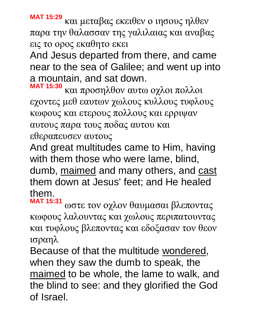**MAT 15:29** και μεταβας εκειθεν ο ιησους ηλθεν παρα την θαλασσαν της γαλιλαιας και αναβας εις το ορος εκαθητο εκει

And Jesus departed from there, and came near to the sea of Galilee; and went up into a mountain, and sat down.

**MAT 15:30** και προσηλθον αυτω οχλοι πολλοι εχοντες μεθ εαυτων χωλους κυλλους τυφλους κωφους και ετερους πολλους και ερριψαν αυτους παρα τους ποδας αυτου και εθεραπευσεν αυτους

And great multitudes came to Him, having with them those who were lame, blind, dumb, maimed and many others, and cast them down at Jesus' feet; and He healed them.

**MAT 15:31** ωστε τον οχλον θαυμασαι βλεποντας κωφους λαλουντας και χωλους περιπατουντας και τυφλους βλεποντας και εδοξασαν τον θεον ισραηλ

Because of that the multitude wondered, when they saw the dumb to speak, the maimed to be whole, the lame to walk, and the blind to see: and they glorified the God of Israel.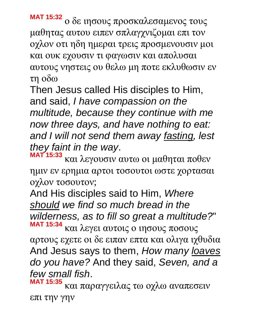**MAT 15:32** ο δε ιησους προσκαλεσαμενος τους μαθητας αυτου ειπεν σπλαγχνιζομαι επι τον οχλον οτι ηδη ημεραι τρεις προσμενουσιν μοι και ουκ εχουσιν τι φαγωσιν και απολυσαι αυτους νηστεις ου θελω μη ποτε εκλυθωσιν εν τη οδω

Then Jesus called His disciples to Him, and said, *I have compassion on the multitude, because they continue with me now three days, and have nothing to eat: and I will not send them away fasting, lest they faint in the way*.

**MAT 15:33** και λεγουσιν αυτω οι μαθηται ποθεν ημιν εν ερημια αρτοι τοσουτοι ωστε χορτασαι οχλον τοσουτον;

And His disciples said to Him, *Where should we find so much bread in the wilderness, as to fill so great a multitude?*" **MAT 15:34** και λεγει αυτοις ο ιησους ποσους

αρτους εχετε οι δε ειπαν επτα και ολιγα ιχθυδια And Jesus says to them, *How many loaves do you have?* And they said, *Seven, and a few small fish*.

**MAT 15:35** και παραγγειλας τω οχλω αναπεσειν επι την γην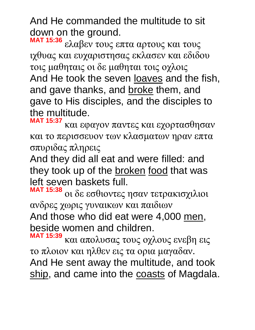And He commanded the multitude to sit down on the ground.

**MAT 15:36** ελαβεν τους επτα αρτους και τους ιχθυας και ευχαριστησας εκλασεν και εδιδου τοις μαθηταις οι δε μαθηται τοις οχλοις And He took the seven loaves and the fish, and gave thanks, and broke them, and gave to His disciples, and the disciples to the multitude.

**MAT 15:37** και εφαγον παντες και εχορτασθησαν και το περισσευον των κλασματων ηραν επτα σπυριδας πληρεις

And they did all eat and were filled: and they took up of the broken food that was left seven baskets full.

**MAT 15:38** οι δε εσθιοντες ησαν τετρακισχιλιοι ανδρες χωρις γυναικων και παιδιων And those who did eat were 4,000 men, beside women and children.

**MAT 15:39** και απολυσας τους οχλους ενεβη εις το πλοιον και ηλθεν εις τα ορια μαγαδαν.

And He sent away the multitude, and took ship, and came into the coasts of Magdala.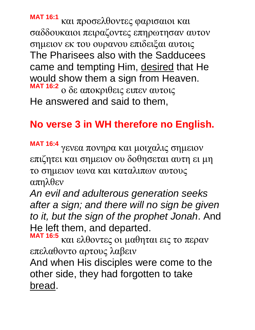**MAT 16:1** και προσελθοντες φαρισαιοι και σαδδουκαιοι πειραζοντες επηρωτησαν αυτον σημειον εκ του ουρανου επιδειξαι αυτοις The Pharisees also with the Sadducees came and tempting Him, desired that He would show them a sign from Heaven. **MAT 16:2** ο δε αποκριθεις ειπεν αυτοις He answered and said to them,

# **No verse 3 in WH therefore no English.**

**MAT 16:4** γενεα πονηρα και μοιχαλις σημειον επιζητει και σημειον ου δοθησεται αυτη ει μη το σημειον ιωνα και καταλιπων αυτους απηλθεν

*An evil and adulterous generation seeks after a sign; and there will no sign be given to it, but the sign of the prophet Jonah*. And He left them, and departed.

**MAT 16:5** και ελθοντες οι μαθηται εις το περαν επελαθοντο αρτους λαβειν

And when His disciples were come to the other side, they had forgotten to take bread.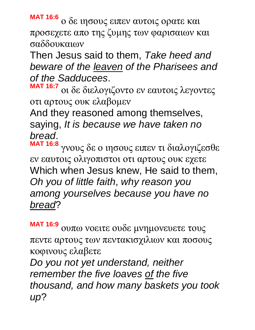**MAT 16:6** ο δε ιησους ειπεν αυτοις ορατε και προσεχετε απο της ζυμης των φαρισαιων και σαδδουκαιων

Then Jesus said to them, *Take heed and beware of the leaven of the Pharisees and of the Sadducees*.

**MAT 16:7** οι δε διελογιζοντο εν εαυτοις λεγοντες οτι αρτους ουκ ελαβομεν

And they reasoned among themselves, saying, *It is because we have taken no bread*.

**MAT 16:8** γνους δε ο ιησους ειπεν τι διαλογιζεσθε εν εαυτοις ολιγοπιστοι οτι αρτους ουκ εχετε Which when Jesus knew, He said to them, *Oh you of little faith*, *why reason you among yourselves because you have no bread*?

**MAT 16:9** ουπω νοειτε ουδε μνημονευετε τους πεντε αρτους των πεντακισχιλιων και ποσους κοφινους ελαβετε

*Do you not yet understand, neither remember the five loaves of the five thousand, and how many baskets you took up*?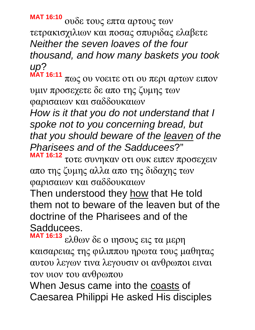**MAT 16:10** ουδε τους επτα αρτους των τετρακισχιλιων και ποσας σπυριδας ελαβετε *Neither the seven loaves of the four thousand, and how many baskets you took up*? **MAT 16:11**

πως ου νοειτε οτι ου περι αρτων ειπον υμιν προσεχετε δε απο της ζυμης των φαρισαιων και σαδδουκαιων

*How is it that you do not understand that I spoke not to you concerning bread, but that you should beware of the leaven of the Pharisees and of the Sadducees*?" **MAT 16:12**

τοτε συνηκαν οτι ουκ ειπεν προσεχειν απο της ζυμης αλλα απο της διδαχης των φαρισαιων και σαδδουκαιων

Then understood they how that He told them not to beware of the leaven but of the doctrine of the Pharisees and of the Sadducees.

**MAT 16:13** ελθων δε ο ιησους εις τα μερη καισαρειας της φιλιππου ηρωτα τους μαθητας αυτου λεγων τινα λεγουσιν οι ανθρωποι ειναι τον υιον του ανθρωπου

When Jesus came into the coasts of Caesarea Philippi He asked His disciples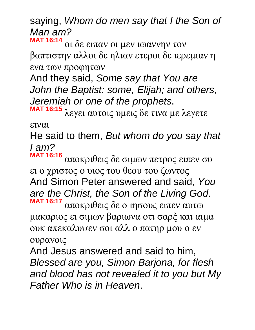saying, *Whom do men say that I the Son of Man am?* **MAT 16:14**

οι δε ειπαν οι μεν ιωαννην τον βαπτιστην αλλοι δε ηλιαν ετεροι δε ιερεμιαν η ενα των προφητων

And they said, *Some say that You are John the Baptist: some, Elijah; and others, Jeremiah or one of the prophets*.

**MAT 16:15** λεγει αυτοις υμεις δε τινα με λεγετε

ειναι

He said to them, *But whom do you say that I am?*

**MAT 16:16** αποκριθεις δε σιμων πετρος ειπεν συ ει ο χριστος ο υιος του θεου του ζωντος And Simon Peter answered and said, *You are the Christ, the Son of the Living God*. **MAT 16:17** αποκριθεις δε ο ιησους ειπεν αυτω

μακαριος ει σιμων βαριωνα οτι σαρξ και αιμα ουκ απεκαλυψεν σοι αλλ ο πατηρ μου ο εν ουρανοις

And Jesus answered and said to him, *Blessed are you, Simon Barjona, for flesh and blood has not revealed it to you but My Father Who is in Heaven*.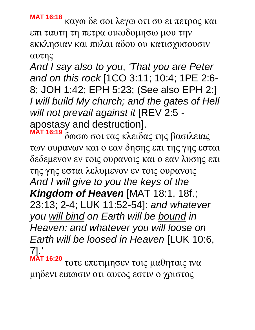**MAT 16:18** καγω δε σοι λεγω οτι συ ει πετρος και επι ταυτη τη πετρα οικοδομησω μου την εκκλησιαν και πυλαι αδου ου κατισχυσουσιν αυτης

*And I say also to you*, *'That you are Peter and on this rock* [1CO 3:11; 10:4; 1PE 2:6- 8; JOH 1:42; EPH 5:23; (See also EPH 2:] *I will build My church; and the gates of Hell will not prevail against it* [REV 2:5 apostasy and destruction].

**MAT 16:19** δωσω σοι τας κλειδας της βασιλειας των ουρανων και ο εαν δησης επι της γης εσται δεδεμενον εν τοις ουρανοις και ο εαν λυσης επι της γης εσται λελυμενον εν τοις ουρανοις *And I will give to you the keys of the Kingdom of Heaven* [MAT 18:1, 18f.; 23:13; 2-4; LUK 11:52-54]: *and whatever you will bind on Earth will be bound in Heaven: and whatever you will loose on Earth will be loosed in Heaven* [LUK 10:6, 7].'

**MAT 16:20** τοτε επετιμησεν τοις μαθηταις ινα μηδενι ειπωσιν οτι αυτος εστιν ο χριστος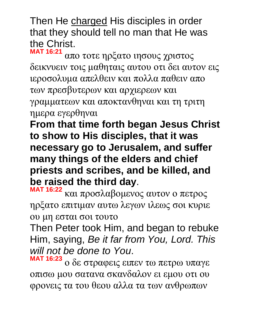Then He charged His disciples in order that they should tell no man that He was the Christ.

**MAT 16:21** απο τοτε ηρξατο ιησους χριστος δεικνυειν τοις μαθηταις αυτου οτι δει αυτον εις ιεροσολυμα απελθειν και πολλα παθειν απο των πρεσβυτερων και αρχιερεων και γραμματεων και αποκτανθηναι και τη τριτη ημερα εγερθηναι

**From that time forth began Jesus Christ to show to His disciples, that it was necessary go to Jerusalem, and suffer many things of the elders and chief priests and scribes, and be killed, and be raised the third day**.

**MAT 16:22** και προσλαβομενος αυτον ο πετρος ηρξατο επιτιμαν αυτω λεγων ιλεως σοι κυριε ου μη εσται σοι τουτο

Then Peter took Him, and began to rebuke Him, saying, *Be it far from You, Lord. This will not be done to You*.

**MAT 16:23** ο δε στραφεις ειπεν τω πετρω υπαγε οπισω μου σατανα σκανδαλον ει εμου οτι ου φρονεις τα του θεου αλλα τα των ανθρωπων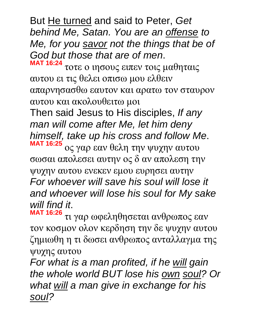But He turned and said to Peter, *Get behind Me, Satan. You are an offense to Me, for you savor not the things that be of God but those that are of men*. **MAT 16:24**

τοτε ο ιησους ειπεν τοις μαθηταις αυτου ει τις θελει οπισω μου ελθειν απαρνησασθω εαυτον και αρατω τον σταυρον αυτου και ακολουθειτω μοι

Then said Jesus to His disciples, *If any man will come after Me, let him deny himself, take up his cross and follow Me*. **MAT 16:25** ος γαρ εαν θελη την ψυχην αυτου σωσαι απολεσει αυτην ος δ αν απολεση την ψυχην αυτου ενεκεν εμου ευρησει αυτην *For whoever will save his soul will lose it and whoever will lose his soul for My sake will find it*.

**MAT 16:26** τι γαρ ωφεληθησεται ανθρωπος εαν τον κοσμον ολον κερδηση την δε ψυχην αυτου ζημιωθη η τι δωσει ανθρωπος ανταλλαγμα της ψυχης αυτου

*For what is a man profited, if he will gain the whole world BUT lose his own soul? Or what will a man give in exchange for his soul?*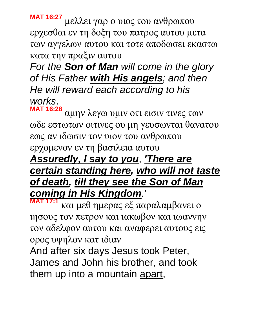**MAT 16:27** μελλει γαρ ο υιος του ανθρωπου ερχεσθαι εν τη δοξη του πατρος αυτου μετα των αγγελων αυτου και τοτε αποδωσει εκαστω κατα την πραξιν αυτου

*For the Son of Man will come in the glory of His Father with His angels; and then He will reward each according to his works*.

**MAT 16:28** αμην λεγω υμιν οτι εισιν τινες των ωδε εστωτων οιτινες ου μη γευσωνται θανατου εως αν ιδωσιν τον υιον του ανθρωπου ερχομενον εν τη βασιλεια αυτου

#### *Assuredly, I say to you*, *'There are certain standing here, who will not taste of death, till they see the Son of Man coming in His Kingdom*.'

**MAT 17:1** και μεθ ημερας εξ παραλαμβανει ο ιησους τον πετρον και ιακωβον και ιωαννην τον αδελφον αυτου και αναφερει αυτους εις ορος υψηλον κατ ιδιαν

And after six days Jesus took Peter, James and John his brother, and took them up into a mountain apart,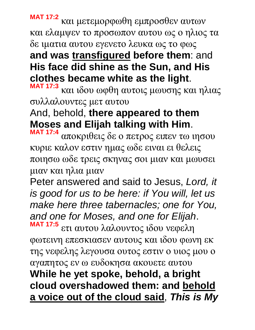**MAT 17:2** και μετεμορφωθη εμπροσθεν αυτων και ελαμψεν το προσωπον αυτου ως ο ηλιος τα δε ιματια αυτου εγενετο λευκα ως το φως **and was transfigured before them**: and **His face did shine as the Sun, and His clothes became white as the light**.

**MAT 17:3** και ιδου ωφθη αυτοις μωυσης και ηλιας συλλαλουντες μετ αυτου

#### And, behold, **there appeared to them Moses and Elijah talking with Him**.

**MAT 17:4** αποκριθεις δε ο πετρος ειπεν τω ιησου κυριε καλον εστιν ημας ωδε ειναι ει θελεις ποιησω ωδε τρεις σκηνας σοι μιαν και μωυσει μιαν και ηλια μιαν

Peter answered and said to Jesus, *Lord, it is good for us to be here: if You will, let us make here three tabernacles; one for You, and one for Moses, and one for Elijah*.

**MAT 17:5** ετι αυτου λαλουντος ιδου νεφελη φωτεινη επεσκιασεν αυτους και ιδου φωνη εκ της νεφελης λεγουσα ουτος εστιν ο υιος μου ο αγαπητος εν ω ευδοκησα ακουετε αυτου **While he yet spoke, behold, a bright cloud overshadowed them: and behold a voice out of the cloud said**, *This is My*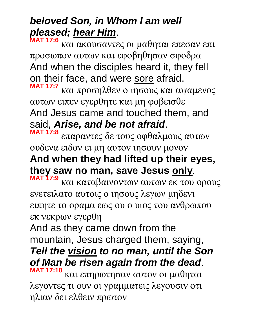## *beloved Son, in Whom I am well pleased; hear Him*.

**MAT 17:6** και ακουσαντες οι μαθηται επεσαν επι προσωπον αυτων και εφοβηθησαν σφοδρα And when the disciples heard it, they fell on their face, and were sore afraid.

**MAT 17:7** και προσηλθεν ο ιησους και αψαμενος αυτων ειπεν εγερθητε και μη φοβεισθε And Jesus came and touched them, and said, *Arise, and be not afraid*.

**MAT 17:8** επαραντες δε τους οφθαλμους αυτων ουδενα ειδον ει μη αυτον ιησουν μονον **And when they had lifted up their eyes,** 

**they saw no man, save Jesus only**.

**MAT 17:9** και καταβαινοντων αυτων εκ του ορους ενετειλατο αυτοις ο ιησους λεγων μηδενι ειπητε το οραμα εως ου ο υιος του ανθρωπου εκ νεκρων εγερθη

And as they came down from the mountain, Jesus charged them, saying, *Tell the vision to no man, until the Son of Man be risen again from the dead*. **MAT 17:10**

και επηρωτησαν αυτον οι μαθηται λεγοντες τι ουν οι γραμματεις λεγουσιν οτι ηλιαν δει ελθειν πρωτον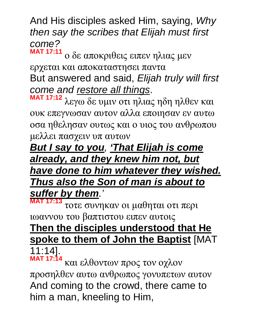And His disciples asked Him, saying, *Why then say the scribes that Elijah must first come?*

**MAT 17:11** ο δε αποκριθεις ειπεν ηλιας μεν ερχεται και αποκαταστησει παντα But answered and said, *Elijah truly will first come and restore all things*.

**MAT 17:12** λεγω δε υμιν οτι ηλιας ηδη ηλθεν και ουκ επεγνωσαν αυτον αλλα εποιησαν εν αυτω οσα ηθελησαν ουτως και ο υιος του ανθρωπου μελλει πασχειν υπ αυτων

*But I say to you, 'That Elijah is come already, and they knew him not, but have done to him whatever they wished. Thus also the Son of man is about to suffer by them.'*

**MAT 17:13** τοτε συνηκαν οι μαθηται οτι περι ιωαννου του βαπτιστου ειπεν αυτοις **Then the disciples understood that He spoke to them of John the Baptist** [MAT

11:14].

**MAT 17:14** και ελθοντων προς τον οχλον προσηλθεν αυτω ανθρωπος γονυπετων αυτον And coming to the crowd, there came to him a man, kneeling to Him,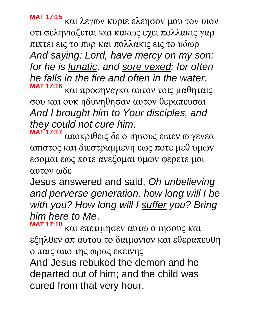**MAT 17:15** και λεγων κυριε ελεησον μου τον υιον οτι σεληνιαζεται και κακως εχει πολλακις γαρ πιπτει εις το πυρ και πολλακις εις το υδωρ *And saying: Lord, have mercy on my son: for he is lunatic, and sore vexed: for often he falls in the fire and often in the water*. **MAT 17:16** και προσηνεγκα αυτον τοις μαθηταις

σου και ουκ ηδυνηθησαν αυτον θεραπευσαι *And I brought him to Your disciples, and they could not cure him*.

**MAT 17:17** αποκριθεις δε ο ιησους ειπεν ω γενεα απιστος και διεστραμμενη εως ποτε μεθ υμων εσομαι εως ποτε ανεξομαι υμων φερετε μοι αυτον ωδε

Jesus answered and said, *Oh unbelieving and perverse generation, how long will I be with you? How long will I suffer you? Bring him here to Me*.

**MAT 17:18** και επετιμησεν αυτω ο ιησους και εξηλθεν απ αυτου το δαιμονιον και εθεραπευθη ο παις απο της ωρας εκεινης

And Jesus rebuked the demon and he departed out of him; and the child was cured from that very hour.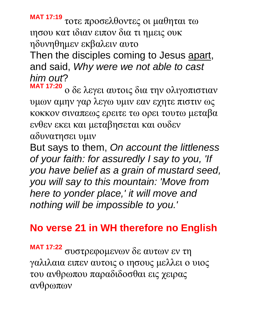**MAT 17:19** τοτε προσελθοντες οι μαθηται τω ιησου κατ ιδιαν ειπον δια τι ημεις ουκ ηδυνηθημεν εκβαλειν αυτο

Then the disciples coming to Jesus apart, and said, *Why were we not able to cast him out*?

**MAT 17:20** ο δε λεγει αυτοις δια την ολιγοπιστιαν υμων αμην γαρ λεγω υμιν εαν εχητε πιστιν ως κοκκον σιναπεως ερειτε τω ορει τουτω μεταβα ενθεν εκει και μεταβησεται και ουδεν

αδυνατησει υμιν

But says to them, *On account the littleness of your faith: for assuredly I say to you, 'If you have belief as a grain of mustard seed, you will say to this mountain: 'Move from here to yonder place, ' it will move and nothing will be impossible to you.'*

# **No verse 21 in WH therefore no English**

**MAT 17:22** συστρεφομενων δε αυτων εν τη γαλιλαια ειπεν αυτοις ο ιησους μελλει ο υιος του ανθρωπου παραδιδοσθαι εις χειρας ανθρωπων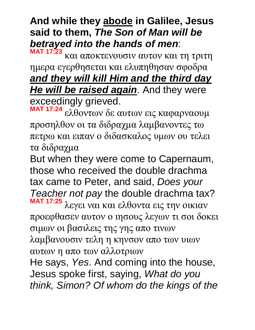**And while they abode in Galilee, Jesus said to them,** *The Son of Man will be betrayed into the hands of men*: **MAT 17:23**

και αποκτενουσιν αυτον και τη τριτη ημερα εγερθησεται και ελυπηθησαν σφοδρα *and they will kill Him and the third day He will be raised again*. And they were exceedingly grieved. **MAT 17:24**

ελθοντων δε αυτων εις καφαρναουμ προσηλθον οι τα διδραχμα λαμβανοντες τω πετρω και ειπαν ο διδασκαλος υμων ου τελει τα διδραχμα

But when they were come to Capernaum, those who received the double drachma tax came to Peter, and said, *Does your Teacher not pay* the double drachma tax? **MAT 17:25** λεγει ναι και ελθοντα εις την οικιαν προεφθασεν αυτον ο ιησους λεγων τι σοι δοκει σιμων οι βασιλεις της γης απο τινων λαμβανουσιν τελη η κηνσον απο των υιων αυτων η απο των αλλοτριων

He says, *Yes*. And coming into the house, Jesus spoke first, saying, *What do you think, Simon? Of whom do the kings of the*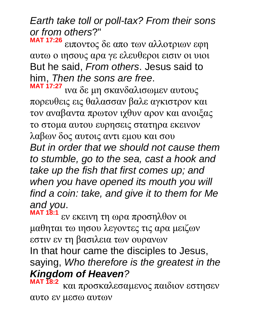*Earth take toll or poll-tax? From their sons or from others*?"

**MAT 17:26** ειποντος δε απο των αλλοτριων εφη αυτω ο ιησους αρα γε ελευθεροι εισιν οι υιοι But he said, *From others*. Jesus said to him, *Then the sons are free*.

**MAT 17:27** ινα δε μη σκανδαλισωμεν αυτους πορευθεις εις θαλασσαν βαλε αγκιστρον και τον αναβαντα πρωτον ιχθυν αρον και ανοιξας το στομα αυτου ευρησεις στατηρα εκεινον λαβων δος αυτοις αντι εμου και σου *But in order that we should not cause them to stumble, go to the sea, cast a hook and take up the fish that first comes up; and when you have opened its mouth you will find a coin: take, and give it to them for Me and you*.

**MAT 18:1** εν εκεινη τη ωρα προσηλθον οι μαθηται τω ιησου λεγοντες τις αρα μειζων εστιν εν τη βασιλεια των ουρανων In that hour came the disciples to Jesus, saying, *Who therefore is the greatest in the Kingdom of Heaven?*

**MAT 18:2**  και προσκαλεσαμενος παιδιον εστησεν αυτο εν μεσω αυτων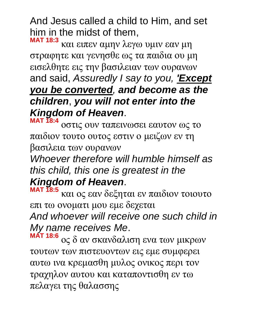And Jesus called a child to Him, and set him in the midst of them,

**MAT 18:3** και ειπεν αμην λεγω υμιν εαν μη στραφητε και γενησθε ως τα παιδια ου μη εισελθητε εις την βασιλειαν των ουρανων and said, *Assuredly I say to you, 'Except you be converted, and become as the children*, *you will not enter into the Kingdom of Heaven*.

**MAT 18:4** οστις ουν ταπεινωσει εαυτον ως το παιδιον τουτο ουτος εστιν ο μειζων εν τη βασιλεια των ουρανων

*Whoever therefore will humble himself as this child, this one is greatest in the Kingdom of Heaven*.

**MAT 18:5** και ος εαν δεξηται εν παιδιον τοιουτο επι τω ονοματι μου εμε δεχεται *And whoever will receive one such child in My name receives Me*.

**MAT 18:6** ος δ αν σκανδαλιση ενα των μικρων τουτων των πιστευοντων εις εμε συμφερει αυτω ινα κρεμασθη μυλος ονικος περι τον τραχηλον αυτου και καταποντισθη εν τω πελαγει της θαλασσης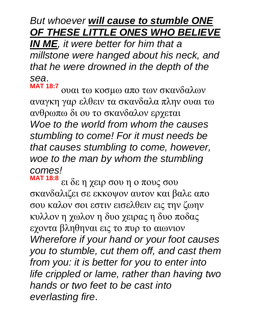#### *But whoever will cause to stumble ONE OF THESE LITTLE ONES WHO BELIEVE*

*IN ME, it were better for him that a millstone were hanged about his neck, and that he were drowned in the depth of the sea*.

**MAT 18:7** ουαι τω κοσμω απο των σκανδαλων αναγκη γαρ ελθειν τα σκανδαλα πλην ουαι τω ανθρωπω δι ου το σκανδαλον ερχεται *Woe to the world from whom the causes stumbling to come! For it must needs be that causes stumbling to come, however, woe to the man by whom the stumbling comes!*

**MAT 18:8** ει δε η χειρ σου η ο πους σου σκανδαλιζει σε εκκοψον αυτον και βαλε απο σου καλον σοι εστιν εισελθειν εις την ζωην κυλλον η χωλον η δυο χειρας η δυο ποδας εχοντα βληθηναι εις το πυρ το αιωνιον *Wherefore if your hand or your foot causes you to stumble, cut them off, and cast them from you: it is better for you to enter into life crippled or lame, rather than having two hands or two feet to be cast into everlasting fire*.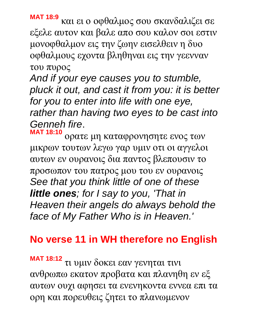**MAT 18:9** και ει ο οφθαλμος σου σκανδαλιζει σε εξελε αυτον και βαλε απο σου καλον σοι εστιν μονοφθαλμον εις την ζωην εισελθειν η δυο οφθαλμους εχοντα βληθηναι εις την γεενναν του πυρος

*And if your eye causes you to stumble, pluck it out, and cast it from you: it is better for you to enter into life with one eye, rather than having two eyes to be cast into Genneh fire*.

**MAT 18:10** ορατε μη καταφρονησητε ενος των μικρων τουτων λεγω γαρ υμιν οτι οι αγγελοι αυτων εν ουρανοις δια παντος βλεπουσιν το προσωπον του πατρος μου του εν ουρανοις *See that you think little of one of these little ones; for I say to you, 'That in Heaven their angels do always behold the face of My Father Who is in Heaven.'*

## **No verse 11 in WH therefore no English**

**MAT 18:12** τι υμιν δοκει εαν γενηται τινι ανθρωπω εκατον προβατα και πλανηθη εν εξ αυτων ουχι αφησει τα ενενηκοντα εννεα επι τα ορη και πορευθεις ζητει το πλανωμενον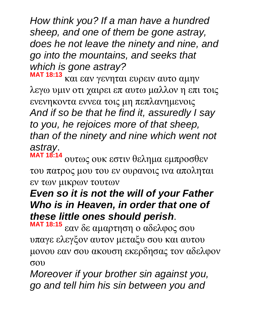*How think you? If a man have a hundred sheep, and one of them be gone astray, does he not leave the ninety and nine, and go into the mountains, and seeks that which is gone astray?*

**MAT 18:13** και εαν γενηται ευρειν αυτο αμην λεγω υμιν οτι χαιρει επ αυτω μαλλον η επι τοις ενενηκοντα εννεα τοις μη πεπλανημενοις *And if so be that he find it, assuredly I say to you, he rejoices more of that sheep, than of the ninety and nine which went not astray*.

**MAT 18:14** ουτως ουκ εστιν θελημα εμπροσθεν του πατρος μου του εν ουρανοις ινα αποληται εν των μικρων τουτων

## *Even so it is not the will of your Father Who is in Heaven, in order that one of these little ones should perish*.

**MAT 18:15** εαν δε αμαρτηση ο αδελφος σου υπαγε ελεγξον αυτον μεταξυ σου και αυτου μονου εαν σου ακουση εκερδησας τον αδελφον σου

*Moreover if your brother sin against you, go and tell him his sin between you and*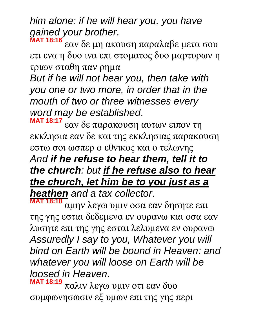*him alone: if he will hear you, you have gained your brother*.

**MAT 18:16** εαν δε μη ακουση παραλαβε μετα σου ετι ενα η δυο ινα επι στοματος δυο μαρτυρων η τριων σταθη παν ρημα

*But if he will not hear you, then take with you one or two more, in order that in the mouth of two or three witnesses every word may be established*.

**MAT 18:17** εαν δε παρακουση αυτων ειπον τη εκκλησια εαν δε και της εκκλησιας παρακουση εστω σοι ωσπερ ο εθνικος και ο τελωνης *And if he refuse to hear them, tell it to the church: but if he refuse also to hear the church, let him be to you just as a heathen and a tax collector*.

**MAT 18:18** αμην λεγω υμιν οσα εαν δησητε επι της γης εσται δεδεμενα εν ουρανω και οσα εαν λυσητε επι της γης εσται λελυμενα εν ουρανω *Assuredly I say to you, Whatever you will bind on Earth will be bound in Heaven: and whatever you will loose on Earth will be loosed in Heaven*.

**MAT 18:19** παλιν λεγω υμιν οτι εαν δυο συμφωνησωσιν εξ υμων επι της γης περι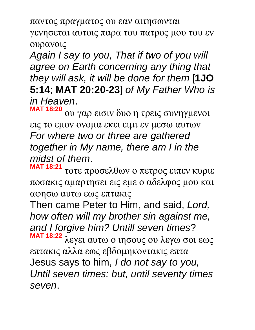παντος πραγματος ου εαν αιτησωνται γενησεται αυτοις παρα του πατρος μου του εν ουρανοις

*Again I say to you, That if two of you will agree on Earth concerning any thing that they will ask, it will be done for them* [**1JO 5:14**; **MAT 20:20-23**] *of My Father Who is in Heaven*.

**MAT 18:20** ου γαρ εισιν δυο η τρεις συνηγμενοι εις το εμον ονομα εκει ειμι εν μεσω αυτων *For where two or three are gathered together in My name, there am I in the midst of them*.

**MAT 18:21** τοτε προσελθων ο πετρος ειπεν κυριε ποσακις αμαρτησει εις εμε ο αδελφος μου και αφησω αυτω εως επτακις

Then came Peter to Him, and said, *Lord, how often will my brother sin against me, and I forgive him? Untill seven times*?

**MAT 18:22** λεγει αυτω ο ιησους ου λεγω σοι εως επτακις αλλα εως εβδομηκοντακις επτα Jesus says to him, *I do not say to you, Until seven times: but, until seventy times seven*.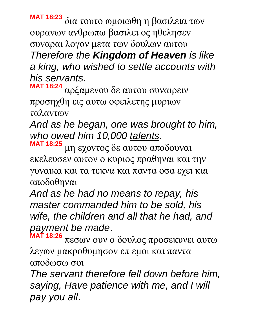**MAT 18:23** δια τουτο ωμοιωθη η βασιλεια των ουρανων ανθρωπω βασιλει ος ηθελησεν συναραι λογον μετα των δουλων αυτου *Therefore the Kingdom of Heaven is like a king, who wished to settle accounts with his servants*.

**MAT 18:24** αρξαμενου δε αυτου συναιρειν προσηχθη εις αυτω οφειλετης μυριων ταλαντων

*And as he began, one was brought to him, who owed him 10,000 talents*.

**MAT 18:25** μη εχοντος δε αυτου αποδουναι εκελευσεν αυτον ο κυριος πραθηναι και την γυναικα και τα τεκνα και παντα οσα εχει και αποδοθηναι

*And as he had no means to repay, his master commanded him to be sold, his wife, the children and all that he had, and payment be made*.

**MAT 18:26** πεσων ουν ο δουλος προσεκυνει αυτω λεγων μακροθυμησον επ εμοι και παντα αποδωσω σοι

*The servant therefore fell down before him, saying, Have patience with me, and I will pay you all*.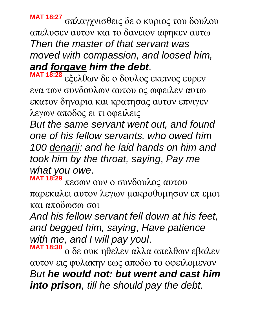**MAT 18:27** σπλαγχνισθεις δε ο κυριος του δουλου απελυσεν αυτον και το δανειον αφηκεν αυτω *Then the master of that servant was moved with compassion, and loosed him, and forgave him the debt*.

**MAT 18:28** εξελθων δε ο δουλος εκεινος ευρεν ενα των συνδουλων αυτου ος ωφειλεν αυτω εκατον δηναρια και κρατησας αυτον επνιγεν λεγων αποδος ει τι οφειλεις

*But the same servant went out, and found one of his fellow servants, who owed him 100 denarii: and he laid hands on him and took him by the throat, saying*, *Pay me what you owe*.

**MAT 18:29** πεσων ουν ο συνδουλος αυτου παρεκαλει αυτον λεγων μακροθυμησον επ εμοι και αποδωσω σοι

*And his fellow servant fell down at his feet, and begged him, saying*, *Have patience with me, and I will pay youl*.

**MAT 18:30** ο δε ουκ ηθελεν αλλα απελθων εβαλεν αυτον εις φυλακην εως αποδω το οφειλομενον *But he would not: but went and cast him into prison, till he should pay the debt*.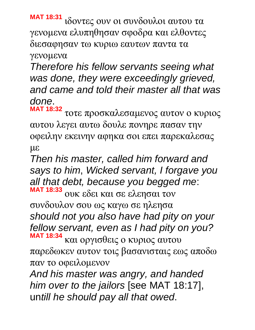**MAT 18:31** ιδοντες ουν οι συνδουλοι αυτου τα γενομενα ελυπηθησαν σφοδρα και ελθοντες διεσαφησαν τω κυριω εαυτων παντα τα γενομενα

*Therefore his fellow servants seeing what was done, they were exceedingly grieved, and came and told their master all that was done*.

**MAT 18:32** τοτε προσκαλεσαμενος αυτον ο κυριος αυτου λεγει αυτω δουλε πονηρε πασαν την οφειλην εκεινην αφηκα σοι επει παρεκαλεσας με

*Then his master, called him forward and says to him*, *Wicked servant, I forgave you all that debt, because you begged me*:

**MAT 18:33** ουκ εδει και σε ελεησαι τον συνδουλον σου ως καγω σε ηλεησα *should not you also have had pity on your fellow servant, even as I had pity on you?* **MAT 18:34** και οργισθεις ο κυριος αυτου

παρεδωκεν αυτον τοις βασανισταις εως αποδω παν το οφειλομενον

*And his master was angry, and handed him over to the jailors* [see MAT 18:17], un*till he should pay all that owed*.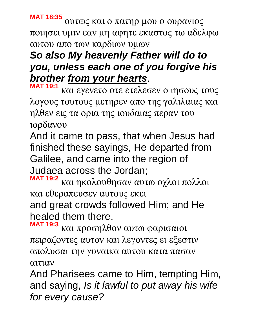**MAT 18:35** ουτως και ο πατηρ μου ο ουρανιος ποιησει υμιν εαν μη αφητε εκαστος τω αδελφω αυτου απο των καρδιων υμων

# *So also My heavenly Father will do to you, unless each one of you forgive his brother from your hearts*.

**MAT 19:1** και εγενετο οτε ετελεσεν ο ιησους τους λογους τουτους μετηρεν απο της γαλιλαιας και ηλθεν εις τα ορια της ιουδαιας περαν του ιορδανου

And it came to pass, that when Jesus had finished these sayings, He departed from Galilee, and came into the region of Judaea across the Jordan;

**MAT 19:2** και ηκολουθησαν αυτω οχλοι πολλοι και εθεραπευσεν αυτους εκει

and great crowds followed Him; and He healed them there.

**MAT 19:3** και προσηλθον αυτω φαρισαιοι πειραζοντες αυτον και λεγοντες ει εξεστιν απολυσαι την γυναικα αυτου κατα πασαν αιτιαν

And Pharisees came to Him, tempting Him, and saying, *Is it lawful to put away his wife for every cause?*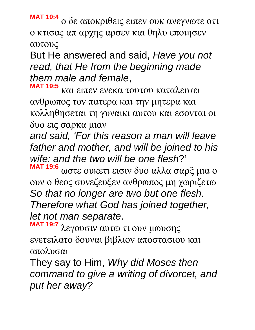**MAT 19:4** ο δε αποκριθεις ειπεν ουκ ανεγνωτε οτι ο κτισας απ αρχης αρσεν και θηλυ εποιησεν αυτους

But He answered and said, *Have you not read, that He from the beginning made them male and female*,

**MAT 19:5** και ειπεν ενεκα τουτου καταλειψει ανθρωπος τον πατερα και την μητερα και κολληθησεται τη γυναικι αυτου και εσονται οι δυο εις σαρκα μιαν

*and said, 'For this reason a man will leave father and mother, and will be joined to his wife: and the two will be one flesh*?'

**MAT 19:6** ωστε ουκετι εισιν δυο αλλα σαρξ μια ο ουν ο θεος συνεζευξεν ανθρωπος μη χωριζετω *So that no longer are two but one flesh. Therefore what God has joined together, let not man separate*.

**MAT 19:7** λεγουσιν αυτω τι ουν μωυσης ενετειλατο δουναι βιβλιον αποστασιου και απολυσαι

They say to Him, *Why did Moses then command to give a writing of divorcet, and put her away?*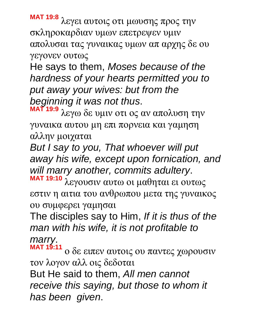**MAT 19:8** λεγει αυτοις οτι μωυσης προς την σκληροκαρδιαν υμων επετρεψεν υμιν απολυσαι τας γυναικας υμων απ αρχης δε ου γεγονεν ουτως

He says to them, *Moses because of the hardness of your hearts permitted you to put away your wives: but from the beginning it was not thus*.

**MAT 19:9** λεγω δε υμιν οτι ος αν απολυση την γυναικα αυτου μη επι πορνεια και γαμηση αλλην μοιχαται

*But I say to you, That whoever will put away his wife, except upon fornication, and will marry another, commits adultery*.

**MAT 19:10** λεγουσιν αυτω οι μαθηται ει ουτως εστιν η αιτια του ανθρωπου μετα της γυναικος ου συμφερει γαμησαι

The disciples say to Him, *If it is thus of the man with his wife, it is not profitable to marry*.

**MAT 19:11** ο δε ειπεν αυτοις ου παντες χωρουσιν τον λογον αλλ οις δεδοται

But He said to them, *All men cannot receive this saying, but those to whom it has been given*.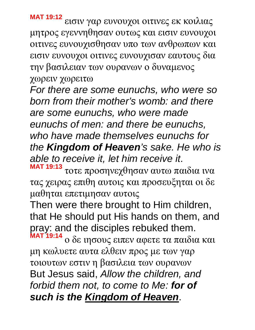**MAT 19:12** εισιν γαρ ευνουχοι οιτινες εκ κοιλιας μητρος εγεννηθησαν ουτως και εισιν ευνουχοι

οιτινες ευνουχισθησαν υπο των ανθρωπων και εισιν ευνουχοι οιτινες ευνουχισαν εαυτους δια την βασιλειαν των ουρανων ο δυναμενος χωρειν χωρειτω

*For there are some eunuchs, who were so born from their mother's womb: and there are some eunuchs, who were made eunuchs of men: and there be eunuchs, who have made themselves eunuchs for the Kingdom of Heaven's sake. He who is able to receive it, let him receive it*.

**MAT 19:13** τοτε προσηνεχθησαν αυτω παιδια ινα τας χειρας επιθη αυτοις και προσευξηται οι δε μαθηται επετιμησαν αυτοις

Then were there brought to Him children, that He should put His hands on them, and pray: and the disciples rebuked them.

**MAT 19:14** ο δε ιησους ειπεν αφετε τα παιδια και μη κωλυετε αυτα ελθειν προς με των γαρ τοιουτων εστιν η βασιλεια των ουρανων But Jesus said, *Allow the children, and forbid them not, to come to Me: for of such is the Kingdom of Heaven*.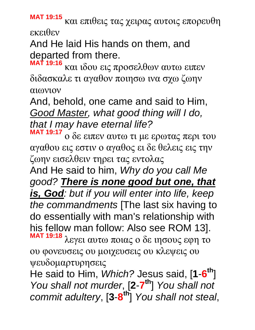**MAT 19:15** και επιθεις τας χειρας αυτοις επορευθη εκειθεν

And He laid His hands on them, and departed from there.

**MAT 19:16** και ιδου εις προσελθων αυτω ειπεν διδασκαλε τι αγαθον ποιησω ινα σχω ζωην αιωνιον

And, behold, one came and said to Him, *Good Master, what good thing will I do, that I may have eternal life?*

**MAT 19:17** ο δε ειπεν αυτω τι με ερωτας περι του αγαθου εις εστιν ο αγαθος ει δε θελεις εις την ζωην εισελθειν τηρει τας εντολας

And He said to him, *Why do you call Me good? There is none good but one, that is, God: but if you will enter into life, keep the commandments* [The last six having to do essentially with man's relationship with his fellow man follow: Also see ROM 13]. **MAT 19:18** λεγει αυτω ποιας ο δε ιησους εφη το

ου φονευσεις ου μοιχευσεις ου κλεψεις ου ψευδομαρτυρησεις

He said to Him, *Which?* Jesus said, [**1**-**6 th**] *You shall not murder*, [**2**-**7 th**] *You shall not commit adultery*, [**3**-**8 th**] *You shall not steal*,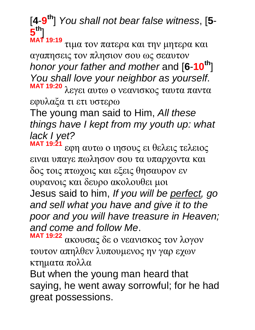[**4**-**9 th**] *You shall not bear false witness*, [**5**- **5 th**]

**MAT 19:19** τιμα τον πατερα και την μητερα και αγαπησεις τον πλησιον σου ως σεαυτον *honor your father and mother* and [**6**-**10th**] *You shall love your neighbor as yourself*.

**MAT 19:20** λεγει αυτω ο νεανισκος ταυτα παντα εφυλαξα τι ετι υστερω

The young man said to Him, *All these things have I kept from my youth up: what lack I yet?*

**MAT 19:21** εφη αυτω ο ιησους ει θελεις τελειος ειναι υπαγε πωλησον σου τα υπαρχοντα και δος τοις πτωχοις και εξεις θησαυρον εν ουρανοις και δευρο ακολουθει μοι Jesus said to him, *If you will be perfect, go and sell what you have and give it to the poor and you will have treasure in Heaven; and come and follow Me*.

**MAT 19:22** ακουσας δε ο νεανισκος τον λογον τουτον απηλθεν λυπουμενος ην γαρ εχων κτηματα πολλα

But when the young man heard that saying, he went away sorrowful; for he had great possessions.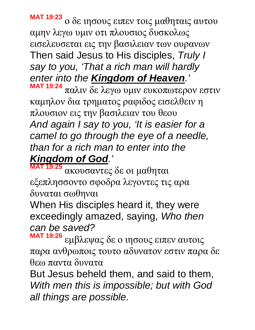**MAT 19:23** ο δε ιησους ειπεν τοις μαθηταις αυτου αμην λεγω υμιν οτι πλουσιος δυσκολως εισελευσεται εις την βασιλειαν των ουρανων Then said Jesus to His disciples, *Truly I say to you, 'That a rich man will hardly enter into the Kingdom of Heaven.'* **MAT 19:24**

παλιν δε λεγω υμιν ευκοπωτερον εστιν καμηλον δια τρηματος ραφιδος εισελθειν η πλουσιον εις την βασιλειαν του θεου *And again I say to you, 'It is easier for a camel to go through the eye of a needle, than for a rich man to enter into the Kingdom of God.'*

**MAT 19:25** ακουσαντες δε οι μαθηται εξεπλησσοντο σφοδρα λεγοντες τις αρα δυναται σωθηναι

When His disciples heard it, they were exceedingly amazed, saying, *Who then can be saved?*

**MAT 19:26** εμβλεψας δε ο ιησους ειπεν αυτοις παρα ανθρωποις τουτο αδυνατον εστιν παρα δε θεω παντα δυνατα

But Jesus beheld them, and said to them, *With men this is impossible; but with God all things are possible*.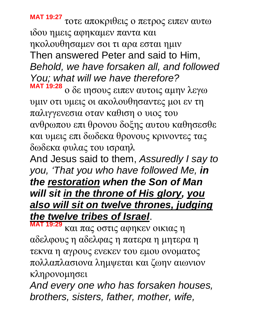**MAT 19:27** τοτε αποκριθεις ο πετρος ειπεν αυτω ιδου ημεις αφηκαμεν παντα και ηκολουθησαμεν σοι τι αρα εσται ημιν Then answered Peter and said to Him, *Behold, we have forsaken all, and followed You; what will we have therefore?* **MAT 19:28**

ο δε ιησους ειπεν αυτοις αμην λεγω υμιν οτι υμεις οι ακολουθησαντες μοι εν τη παλιγγενεσια οταν καθιση ο υιος του ανθρωπου επι θρονου δοξης αυτου καθησεσθε και υμεις επι δωδεκα θρονους κρινοντες τας δωδεκα φυλας του ισραηλ

And Jesus said to them, *Assuredly I say to you, 'That you who have followed Me, in the restoration when the Son of Man will sit in the throne of His glory, you also will sit on twelve thrones, judging the twelve tribes of Israel*.

**MAT 19:29** και πας οστις αφηκεν οικιας η αδελφους η αδελφας η πατερα η μητερα η τεκνα η αγρους ενεκεν του εμου ονοματος πολλαπλασιονα λημψεται και ζωην αιωνιον κληρονομησει

*And every one who has forsaken houses, brothers, sisters, father, mother, wife,*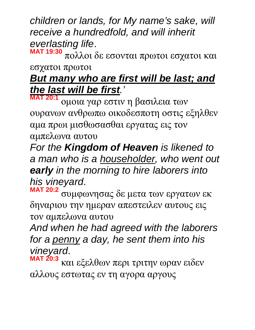*children or lands, for My name's sake, will receive a hundredfold, and will inherit everlasting life*.

**MAT 19:30** πολλοι δε εσονται πρωτοι εσχατοι και εσχατοι πρωτοι

## *But many who are first will be last; and the last will be first.'*

**MAT 20:1** ομοια γαρ εστιν η βασιλεια των ουρανων ανθρωπω οικοδεσποτη οστις εξηλθεν αμα πρωι μισθωσασθαι εργατας εις τον αμπελωνα αυτου

*For the Kingdom of Heaven is likened to a man who is a householder, who went out early in the morning to hire laborers into his vineyard*.

**MAT 20:2** συμφωνησας δε μετα των εργατων εκ δηναριου την ημεραν απεστειλεν αυτους εις τον αμπελωνα αυτου

*And when he had agreed with the laborers for a penny a day, he sent them into his vineyard*.

**MAT 20:3** και εξελθων περι τριτην ωραν ειδεν αλλους εστωτας εν τη αγορα αργους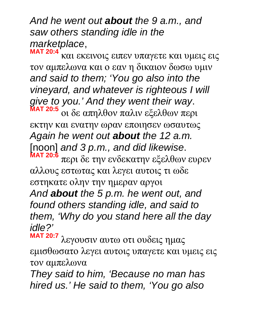*And he went out about the 9 a.m., and saw others standing idle in the marketplace*, **MAT 20:4**

και εκεινοις ειπεν υπαγετε και υμεις εις τον αμπελωνα και ο εαν η δικαιον δωσω υμιν *and said to them; 'You go also into the vineyard, and whatever is righteous I will give to you.' And they went their way*. **MAT 20:5** οι δε απηλθον παλιν εξελθων περι εκτην και ενατην ωραν εποιησεν ωσαυτως *Again he went out about the 12 a.m.*  [noon] *and 3 p.m., and did likewise*. **MAT 20:6** περι δε την ενδεκατην εξελθων ευρεν αλλους εστωτας και λεγει αυτοις τι ωδε εστηκατε ολην την ημεραν αργοι *And about the 5 p.m. he went out, and found others standing idle, and said to them, 'Why do you stand here all the day idle?'*

**MAT 20:7** λεγουσιν αυτω οτι ουδεις ημας εμισθωσατο λεγει αυτοις υπαγετε και υμεις εις τον αμπελωνα

*They said to him, 'Because no man has hired us.' He said to them, 'You go also*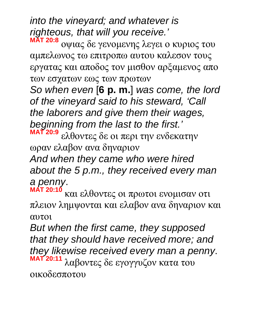*into the vineyard; and whatever is righteous, that will you receive.'* **MAT 20:8**

οψιας δε γενομενης λεγει ο κυριος του αμπελωνος τω επιτροπω αυτου καλεσον τους εργατας και αποδος τον μισθον αρξαμενος απο των εσχατων εως των πρωτων

*So when even* [**6 p. m.**] *was come, the lord of the vineyard said to his steward, 'Call the laborers and give them their wages, beginning from the last to the first.'*

**MAT 20:9** ελθοντες δε οι περι την ενδεκατην ωραν ελαβον ανα δηναριον

*And when they came who were hired about the 5 p.m., they received every man a penny*.

**MAT 20:10** και ελθοντες οι πρωτοι ενομισαν οτι πλειον λημψονται και ελαβον ανα δηναριον και αυτοι

*But when the first came, they supposed that they should have received more; and they likewise received every man a penny*. **MAT 20:11** λαβοντες δε εγογγυζον κατα του οικοδεσποτου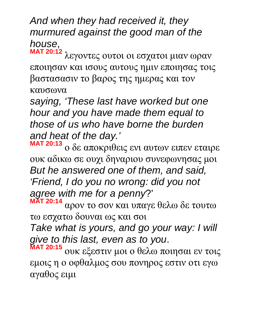*And when they had received it, they murmured against the good man of the house*,

**MAT 20:12** λεγοντες ουτοι οι εσχατοι μιαν ωραν εποιησαν και ισους αυτους ημιν εποιησας τοις βαστασασιν το βαρος της ημερας και τον καυσωνα

*saying, 'These last have worked but one hour and you have made them equal to those of us who have borne the burden and heat of the day.'*

**MAT 20:13** ο δε αποκριθεις ενι αυτων ειπεν εταιρε ουκ αδικω σε ουχι δηναριου συνεφωνησας μοι *But he answered one of them, and said, 'Friend, I do you no wrong: did you not agree with me for a penny*?' **MAT 20:14**

αρον το σον και υπαγε θελω δε τουτω τω εσχατω δουναι ως και σοι

*Take what is yours, and go your way: I will give to this last, even as to you*.

**MAT 20:15** ουκ εξεστιν μοι ο θελω ποιησαι εν τοις εμοις η ο οφθαλμος σου πονηρος εστιν οτι εγω αγαθος ειμι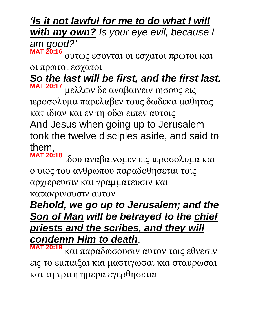*'Is it not lawful for me to do what I will with my own? Is your eye evil, because I am good?'* **MAT 20:16**

ουτως εσονται οι εσχατοι πρωτοι και οι πρωτοι εσχατοι

*So the last will be first, and the first last.* 

**MAT 20:17** μελλων δε αναβαινειν ιησους εις ιεροσολυμα παρελαβεν τους δωδεκα μαθητας κατ ιδιαν και εν τη οδω ειπεν αυτοις And Jesus when going up to Jerusalem took the twelve disciples aside, and said to them,

**MAT 20:18** ιδου αναβαινομεν εις ιεροσολυμα και ο υιος του ανθρωπου παραδοθησεται τοις αρχιερευσιν και γραμματευσιν και κατακρινουσιν αυτον

## *Behold, we go up to Jerusalem; and the Son of Man will be betrayed to the chief priests and the scribes, and they will condemn Him to death*,

**MAT 20:19** και παραδωσουσιν αυτον τοις εθνεσιν εις το εμπαιξαι και μαστιγωσαι και σταυρωσαι και τη τριτη ημερα εγερθησεται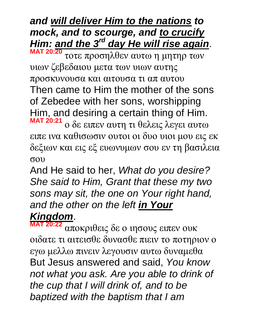*and will deliver Him to the nations to mock, and to scourge, and to crucify Him: and the 3rd day He will rise again*. **MAT 20:20**

τοτε προσηλθεν αυτω η μητηρ των υιων ζεβεδαιου μετα των υιων αυτης προσκυνουσα και αιτουσα τι απ αυτου Then came to Him the mother of the sons of Zebedee with her sons, worshipping Him, and desiring a certain thing of Him. **MAT 20:21** ο δε ειπεν αυτη τι θελεις λεγει αυτω ειπε ινα καθισωσιν ουτοι οι δυο υιοι μου εις εκ δεξιων και εις εξ ευωνυμων σου εν τη βασιλεια

σου

And He said to her, *What do you desire? She said to Him, Grant that these my two sons may sit, the one on Your right hand, and the other on the left in Your* 

### *Kingdom*.

**MAT 20:22** αποκριθεις δε ο ιησους ειπεν ουκ οιδατε τι αιτεισθε δυνασθε πιειν το ποτηριον ο εγω μελλω πινειν λεγουσιν αυτω δυναμεθα But Jesus answered and said, *You know not what you ask. Are you able to drink of the cup that I will drink of, and to be baptized with the baptism that I am*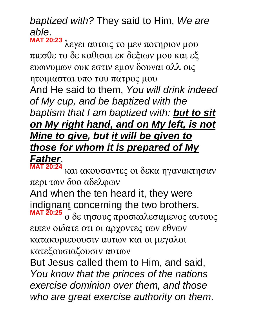*baptized with?* They said to Him, *We are able*.

**MAT 20:23** λεγει αυτοις το μεν ποτηριον μου πιεσθε το δε καθισαι εκ δεξιων μου και εξ ευωνυμων ουκ εστιν εμον δουναι αλλ οις ητοιμασται υπο του πατρος μου And He said to them, *You will drink indeed of My cup, and be baptized with the baptism that I am baptized with: but to sit on My right hand, and on My left, is not Mine to give, but it will be given to those for whom it is prepared of My* 

#### *Father*. **MAT 20:24**

και ακουσαντες οι δεκα ηγανακτησαν περι των δυο αδελφων

And when the ten heard it, they were indignant concerning the two brothers.

**MAT 20:25** ο δε ιησους προσκαλεσαμενος αυτους ειπεν οιδατε οτι οι αρχοντες των εθνων κατακυριευουσιν αυτων και οι μεγαλοι κατεξουσιαζουσιν αυτων

But Jesus called them to Him, and said, *You know that the princes of the nations exercise dominion over them, and those who are great exercise authority on them*.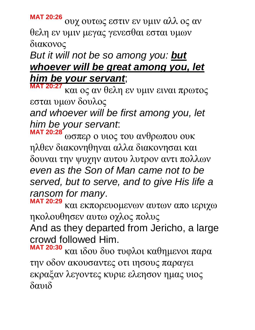**MAT 20:26** ουχ ουτως εστιν εν υμιν αλλ ος αν θελη εν υμιν μεγας γενεσθαι εσται υμων διακονος

#### *But it will not be so among you: but whoever will be great among you, let him be your servant*;

**MAT 20:27** και ος αν θελη εν υμιν ειναι πρωτος εσται υμων δουλος

*and whoever will be first among you, let him be your servant*:

**MAT 20:28** ωσπερ ο υιος του ανθρωπου ουκ ηλθεν διακονηθηναι αλλα διακονησαι και δουναι την ψυχην αυτου λυτρον αντι πολλων *even as the Son of Man came not to be served, but to serve, and to give His life a ransom for many*.

**MAT 20:29** και εκπορευομενων αυτων απο ιεριχω ηκολουθησεν αυτω οχλος πολυς

And as they departed from Jericho, a large crowd followed Him.

**MAT 20:30** και ιδου δυο τυφλοι καθημενοι παρα την οδον ακουσαντες οτι ιησους παραγει εκραξαν λεγοντες κυριε ελεησον ημας υιος δαυιδ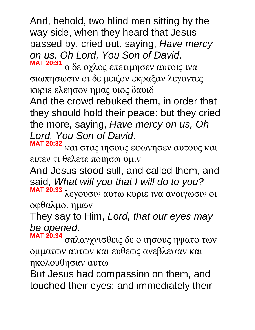And, behold, two blind men sitting by the way side, when they heard that Jesus passed by, cried out, saying, *Have mercy on us, Oh Lord, You Son of David*. **MAT 20:31**

ο δε οχλος επετιμησεν αυτοις ινα σιωπησωσιν οι δε μειζον εκραξαν λεγοντες κυριε ελεησον ημας υιος δαυιδ

And the crowd rebuked them, in order that they should hold their peace: but they cried the more, saying, *Have mercy on us, Oh Lord, You Son of David*.

**MAT 20:32** και στας ιησους εφωνησεν αυτους και ειπεν τι θελετε ποιησω υμιν

And Jesus stood still, and called them, and said, *What will you that I will do to you?*

**MAT 20:33** λεγουσιν αυτω κυριε ινα ανοιγωσιν οι οφθαλμοι ημων

They say to Him, *Lord, that our eyes may be opened*.

**MAT 20:34** σπλαγχνισθεις δε ο ιησους ηψατο των ομματων αυτων και ευθεως ανεβλεψαν και ηκολουθησαν αυτω

But Jesus had compassion on them, and touched their eyes: and immediately their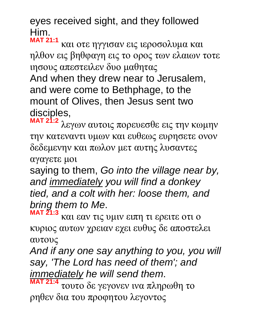eyes received sight, and they followed Him. **MAT 21:1**

και οτε ηγγισαν εις ιεροσολυμα και ηλθον εις βηθφαγη εις το ορος των ελαιων τοτε ιησους απεστειλεν δυο μαθητας

And when they drew near to Jerusalem, and were come to Bethphage, to the mount of Olives, then Jesus sent two disciples,

**MAT 21:2** λεγων αυτοις πορευεσθε εις την κωμην την κατεναντι υμων και ευθεως ευρησετε ονον δεδεμενην και πωλον μετ αυτης λυσαντες αγαγετε μοι

saying to them, *Go into the village near by, and immediately you will find a donkey tied, and a colt with her: loose them, and bring them to Me*.

**MAT 21:3** και εαν τις υμιν ειπη τι ερειτε οτι ο κυριος αυτων χρειαν εχει ευθυς δε αποστελει αυτους

*And if any one say anything to you, you will say, 'The Lord has need of them'; and immediately he will send them*.

**MAT 21:4** τουτο δε γεγονεν ινα πληρωθη το ρηθεν δια του προφητου λεγοντος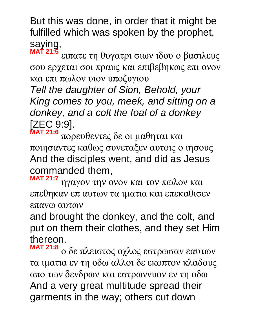But this was done, in order that it might be fulfilled which was spoken by the prophet, saying,

**MAT 21:5** ειπατε τη θυγατρι σιων ιδου ο βασιλευς σου ερχεται σοι πραυς και επιβεβηκως επι ονον και επι πωλον υιον υποζυγιου

*Tell the daughter of Sion, Behold, your King comes to you, meek, and sitting on a donkey, and a colt the foal of a donkey* [ZEC 9:9].

**MAT 21:6** πορευθεντες δε οι μαθηται και ποιησαντες καθως συνεταξεν αυτοις ο ιησους And the disciples went, and did as Jesus commanded them,

**MAT 21:7** ηγαγον την ονον και τον πωλον και επεθηκαν επ αυτων τα ιματια και επεκαθισεν επανω αυτων

and brought the donkey, and the colt, and put on them their clothes, and they set Him thereon.

**MAT 21:8** ο δε πλειστος οχλος εστρωσαν εαυτων τα ιματια εν τη οδω αλλοι δε εκοπτον κλαδους απο των δενδρων και εστρωννυον εν τη οδω And a very great multitude spread their garments in the way; others cut down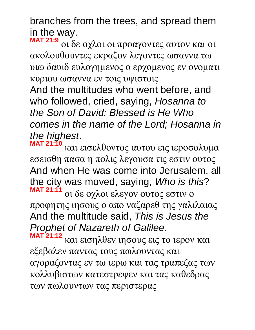branches from the trees, and spread them in the way. **MAT 21:9**

οι δε οχλοι οι προαγοντες αυτον και οι ακολουθουντες εκραζον λεγοντες ωσαννα τω υιω δαυιδ ευλογημενος ο ερχομενος εν ονοματι κυριου ωσαννα εν τοις υψιστοις And the multitudes who went before, and who followed, cried, saying, *Hosanna to the Son of David: Blessed is He Who comes in the name of the Lord; Hosanna in the highest*.

**MAT 21:10** και εισελθοντος αυτου εις ιεροσολυμα εσεισθη πασα η πολις λεγουσα τις εστιν ουτος And when He was come into Jerusalem, all the city was moved, saying, *Who is this*? **MAT 21:11** οι δε οχλοι ελεγον ουτος εστιν ο προφητης ιησους ο απο ναζαρεθ της γαλιλαιας And the multitude said, *This is Jesus the Prophet of Nazareth of Galilee*.

**MAT 21:12** και εισηλθεν ιησους εις το ιερον και εξεβαλεν παντας τους πωλουντας και αγοραζοντας εν τω ιερω και τας τραπεζας των κολλυβιστων κατεστρεψεν και τας καθεδρας των πωλουντων τας περιστερας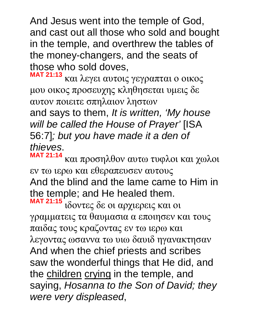And Jesus went into the temple of God, and cast out all those who sold and bought in the temple, and overthrew the tables of the money-changers, and the seats of those who sold doves,

**MAT 21:13** και λεγει αυτοις γεγραπται ο οικος μου οικος προσευχης κληθησεται υμεις δε αυτον ποιειτε σπηλαιον ληστων

and says to them, *It is written, 'My house will be called the House of Prayer'* [ISA 56:7]*; but you have made it a den of thieves*. **MAT 21:14**

και προσηλθον αυτω τυφλοι και χωλοι εν τω ιερω και εθεραπευσεν αυτους And the blind and the lame came to Him in the temple; and He healed them. **MAT 21:15** ιδοντες δε οι αρχιερεις και οι γραμματεις τα θαυμασια α εποιησεν και τους παιδας τους κραζοντας εν τω ιερω και λεγοντας ωσαννα τω υιω δαυιδ ηγανακτησαν And when the chief priests and scribes saw the wonderful things that He did, and the children crying in the temple, and saying, *Hosanna to the Son of David; they were very displeased*,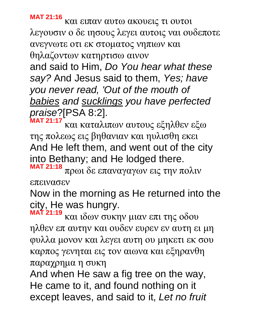**MAT 21:16**

και ειπαν αυτω ακουεις τι ουτοι λεγουσιν ο δε ιησους λεγει αυτοις ναι ουδεποτε ανεγνωτε οτι εκ στοματος νηπιων και θηλαζοντων κατηρτισω αινον

and said to Him, *Do You hear what these say?* And Jesus said to them, *Yes; have you never read, 'Out of the mouth of babies and sucklings you have perfected praise*?[PSA 8:2].

**MAT 21:17** και καταλιπων αυτους εξηλθεν εξω της πολεως εις βηθανιαν και ηυλισθη εκει And He left them, and went out of the city into Bethany; and He lodged there.

**MAT 21:18** πρωι δε επαναγαγων εις την πολιν επεινασεν

Now in the morning as He returned into the city, He was hungry.

**MAT 21:19** και ιδων συκην μιαν επι της οδου ηλθεν επ αυτην και ουδεν ευρεν εν αυτη ει μη φυλλα μονον και λεγει αυτη ου μηκετι εκ σου καρπος γενηται εις τον αιωνα και εξηρανθη παραχρημα η συκη

And when He saw a fig tree on the way, He came to it, and found nothing on it except leaves, and said to it, *Let no fruit*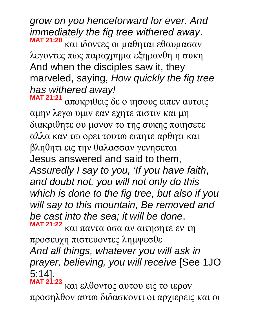*grow on you henceforward for ever. And immediately the fig tree withered away*. **MAT 21:20** και ιδοντες οι μαθηται εθαυμασαν λεγοντες πως παραχρημα εξηρανθη η συκη And when the disciples saw it, they marveled, saying, *How quickly the fig tree has withered away!*

**MAT 21:21** αποκριθεις δε ο ιησους ειπεν αυτοις αμην λεγω υμιν εαν εχητε πιστιν και μη διακριθητε ου μονον το της συκης ποιησετε αλλα καν τω ορει τουτω ειπητε αρθητι και βληθητι εις την θαλασσαν γενησεται Jesus answered and said to them, *Assuredly I say to you, 'If you have faith*, *and doubt not, you will not only do this which is done to the fig tree, but also if you will say to this mountain, Be removed and be cast into the sea; it will be done*. **MAT 21:22**

και παντα οσα αν αιτησητε εν τη προσευχη πιστευοντες λημψεσθε *And all things, whatever you will ask in prayer, believing, you will receive* [See 1JO

5:14]. **MAT 21:23**

και ελθοντος αυτου εις το ιερον προσηλθον αυτω διδασκοντι οι αρχιερεις και οι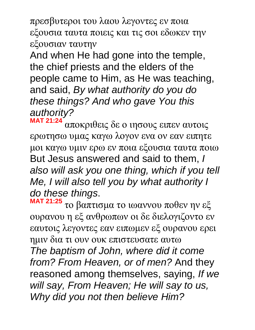πρεσβυτεροι του λαου λεγοντες εν ποια εξουσια ταυτα ποιεις και τις σοι εδωκεν την εξουσιαν ταυτην

And when He had gone into the temple, the chief priests and the elders of the people came to Him, as He was teaching, and said, *By what authority do you do these things? And who gave You this authority?* 

**MAT 21:24** αποκριθεις δε ο ιησους ειπεν αυτοις ερωτησω υμας καγω λογον ενα ον εαν ειπητε μοι καγω υμιν ερω εν ποια εξουσια ταυτα ποιω But Jesus answered and said to them, *I also will ask you one thing, which if you tell Me, I will also tell you by what authority I do these things*.

**MAT 21:25** το βαπτισμα το ιωαννου ποθεν ην εξ ουρανου η εξ ανθρωπων οι δε διελογιζοντο εν εαυτοις λεγοντες εαν ειπωμεν εξ ουρανου ερει ημιν δια τι ουν ουκ επιστευσατε αυτω *The baptism of John, where did it come from? From Heaven, or of men?* And they reasoned among themselves, saying, *If we will say, From Heaven; He will say to us, Why did you not then believe Him?*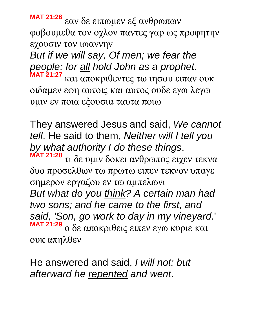**MAT 21:26** εαν δε ειπωμεν εξ ανθρωπων φοβουμεθα τον οχλον παντες γαρ ως προφητην εχουσιν τον ιωαννην

*But if we will say, Of men; we fear the people; for all hold John as a prophet*. **MAT 21:27**

και αποκριθεντες τω ιησου ειπαν ουκ οιδαμεν εφη αυτοις και αυτος ουδε εγω λεγω υμιν εν ποια εξουσια ταυτα ποιω

They answered Jesus and said, *We cannot tell*. He said to them, *Neither will I tell you by what authority I do these things*.

**MAT 21:28** τι δε υμιν δοκει ανθρωπος ειχεν τεκνα δυο προσελθων τω πρωτω ειπεν τεκνον υπαγε σημερον εργαζου εν τω αμπελωνι

*But what do you think? A certain man had two sons; and he came to the first, and said, 'Son, go work to day in my vineyard*.' **MAT 21:29** ο δε αποκριθεις ειπεν εγω κυριε και ουκ απηλθεν

He answered and said, *I will not: but afterward he repented and went*.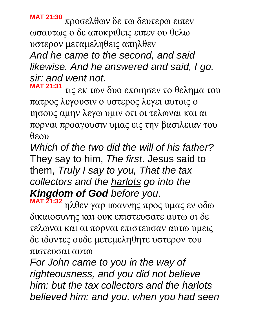**MAT 21:30** προσελθων δε τω δευτερω ειπεν ωσαυτως ο δε αποκριθεις ειπεν ου θελω υστερον μεταμεληθεις απηλθεν *And he came to the second, and said likewise. And he answered and said, I go, sir: and went not*. **MAT 21:31**

τις εκ των δυο εποιησεν το θελημα του πατρος λεγουσιν ο υστερος λεγει αυτοις ο ιησους αμην λεγω υμιν οτι οι τελωναι και αι πορναι προαγουσιν υμας εις την βασιλειαν του θεου

*Which of the two did the will of his father?* They say to him, *The first*. Jesus said to them, *Truly I say to you, That the tax collectors and the harlots go into the Kingdom of God before you*.

**MAT 21:32** ηλθεν γαρ ιωαννης προς υμας εν οδω δικαιοσυνης και ουκ επιστευσατε αυτω οι δε τελωναι και αι πορναι επιστευσαν αυτω υμεις δε ιδοντες ουδε μετεμεληθητε υστερον του πιστευσαι αυτω

*For John came to you in the way of righteousness, and you did not believe him: but the tax collectors and the harlots believed him: and you, when you had seen*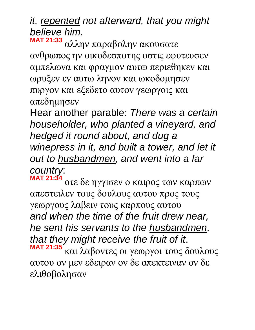# *it, repented not afterward, that you might believe him*.

**MAT 21:33** αλλην παραβολην ακουσατε ανθρωπος ην οικοδεσποτης οστις εφυτευσεν αμπελωνα και φραγμον αυτω περιεθηκεν και ωρυξεν εν αυτω ληνον και ωκοδομησεν πυργον και εξεδετο αυτον γεωργοις και απεδημησεν

Hear another parable: *There was a certain householder, who planted a vineyard, and hedged it round about, and dug a winepress in it, and built a tower, and let it out to husbandmen, and went into a far country*:

**MAT 21:34** οτε δε ηγγισεν ο καιρος των καρπων απεστειλεν τους δουλους αυτου προς τους γεωργους λαβειν τους καρπους αυτου *and when the time of the fruit drew near, he sent his servants to the husbandmen, that they might receive the fruit of it*. **MAT 21:35** και λαβοντες οι γεωργοι τους δουλους αυτου ον μεν εδειραν ον δε απεκτειναν ον δε ελιθοβολησαν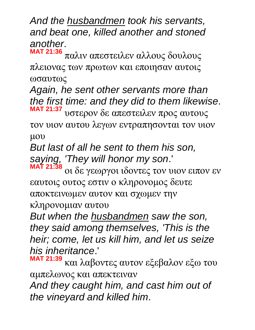*And the husbandmen took his servants, and beat one, killed another and stoned another*.

**MAT 21:36** παλιν απεστειλεν αλλους δουλους πλειονας των πρωτων και εποιησαν αυτοις ωσαυτως

*Again, he sent other servants more than the first time: and they did to them likewise*. **MAT 21:37** υστερον δε απεστειλεν προς αυτους

τον υιον αυτου λεγων εντραπησονται τον υιον μου

*But last of all he sent to them his son, saying, 'They will honor my son*.'

**MAT 21:38** οι δε γεωργοι ιδοντες τον υιον ειπον εν εαυτοις ουτος εστιν ο κληρονομος δευτε αποκτεινωμεν αυτον και σχωμεν την κληρονομιαν αυτου

*But when the husbandmen saw the son, they said among themselves, 'This is the heir; come, let us kill him, and let us seize his inheritance*.'

**MAT 21:39** και λαβοντες αυτον εξεβαλον εξω του αμπελωνος και απεκτειναν *And they caught him, and cast him out of the vineyard and killed him*.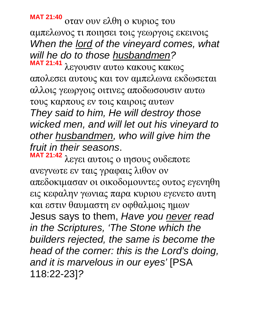**MAT 21:40** οταν ουν ελθη ο κυριος του αμπελωνος τι ποιησει τοις γεωργοις εκεινοις *When the lord of the vineyard comes, what will he do to those husbandmen?*

**MAT 21:41** λεγουσιν αυτω κακους κακως απολεσει αυτους και τον αμπελωνα εκδωσεται αλλοις γεωργοις οιτινες αποδωσουσιν αυτω τους καρπους εν τοις καιροις αυτων *They said to him, He will destroy those wicked men, and will let out his vineyard to other husbandmen, who will give him the fruit in their seasons*.

**MAT 21:42** λεγει αυτοις ο ιησους ουδεποτε ανεγνωτε εν ταις γραφαις λιθον ον απεδοκιμασαν οι οικοδομουντες ουτος εγενηθη εις κεφαλην γωνιας παρα κυριου εγενετο αυτη και εστιν θαυμαστη εν οφθαλμοις ημων Jesus says to them, *Have you never read in the Scriptures, 'The Stone which the builders rejected, the same is become the head of the corner: this is the Lord's doing, and it is marvelous in our eyes'* [PSA 118:22-23]*?*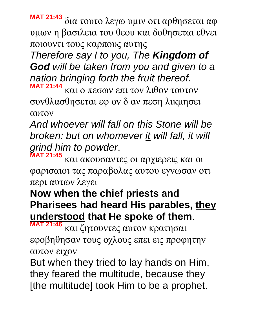**MAT 21:43** δια τουτο λεγω υμιν οτι αρθησεται αφ υμων η βασιλεια του θεου και δοθησεται εθνει ποιουντι τους καρπους αυτης

*Therefore say I to you, The Kingdom of God will be taken from you and given to a nation bringing forth the fruit thereof*.

**MAT 21:44** και ο πεσων επι τον λιθον τουτον συνθλασθησεται εφ ον δ αν πεση λικμησει αυτον

*And whoever will fall on this Stone will be broken: but on whomever it will fall, it will grind him to powder*.

**MAT 21:45** και ακουσαντες οι αρχιερεις και οι φαρισαιοι τας παραβολας αυτου εγνωσαν οτι περι αυτων λεγει

#### **Now when the chief priests and Pharisees had heard His parables, they understood that He spoke of them**.

**MAT 21:46** και ζητουντες αυτον κρατησαι εφοβηθησαν τους οχλους επει εις προφητην αυτον ειχον

But when they tried to lay hands on Him, they feared the multitude, because they [the multitude] took Him to be a prophet.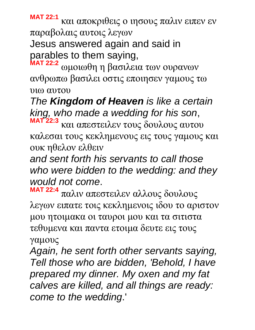**MAT 22:1** και αποκριθεις ο ιησους παλιν ειπεν εν παραβολαις αυτοις λεγων

Jesus answered again and said in parables to them saying,

**MAT 22:2** ωμοιωθη η βασιλεια των ουρανων ανθρωπω βασιλει οστις εποιησεν γαμους τω υιω αυτου

*The Kingdom of Heaven is like a certain king, who made a wedding for his son*,

**MAT 22:3** και απεστειλεν τους δουλους αυτου καλεσαι τους κεκλημενους εις τους γαμους και ουκ ηθελον ελθειν

*and sent forth his servants to call those who were bidden to the wedding: and they would not come*.

**MAT 22:4** παλιν απεστειλεν αλλους δουλους λεγων ειπατε τοις κεκλημενοις ιδου το αριστον μου ητοιμακα οι ταυροι μου και τα σιτιστα τεθυμενα και παντα ετοιμα δευτε εις τους γαμους

*Again, he sent forth other servants saying, Tell those who are bidden, 'Behold, I have prepared my dinner. My oxen and my fat calves are killed, and all things are ready: come to the wedding*.'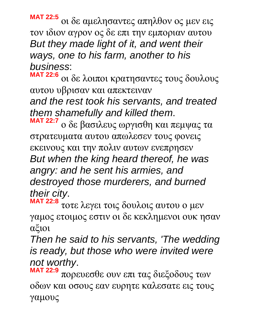**MAT 22:5** οι δε αμελησαντες απηλθον ος μεν εις τον ιδιον αγρον ος δε επι την εμποριαν αυτου *But they made light of it, and went their ways, one to his farm, another to his business*:

**MAT 22:6** οι δε λοιποι κρατησαντες τους δουλους αυτου υβρισαν και απεκτειναν *and the rest took his servants, and treated them shamefully and killed them*.

**MAT 22:7** ο δε βασιλευς ωργισθη και πεμψας τα στρατευματα αυτου απωλεσεν τους φονεις εκεινους και την πολιν αυτων ενεπρησεν *But when the king heard thereof, he was angry: and he sent his armies, and destroyed those murderers, and burned their city*.

**MAT 22:8** τοτε λεγει τοις δουλοις αυτου ο μεν γαμος ετοιμος εστιν οι δε κεκλημενοι ουκ ησαν αξιοι

*Then he said to his servants, 'The wedding is ready, but those who were invited were not worthy*.

**MAT 22:9** πορευεσθε ουν επι τας διεξοδους των οδων και οσους εαν ευρητε καλεσατε εις τους γαμους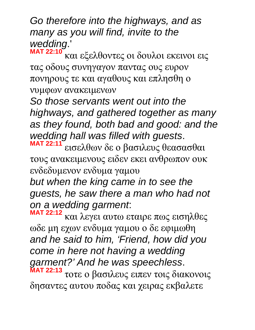*Go therefore into the highways, and as many as you will find, invite to the wedding*.'

**MAT 22:10** και εξελθοντες οι δουλοι εκεινοι εις τας οδους συνηγαγον παντας ους ευρον πονηρους τε και αγαθους και επλησθη ο νυμφων ανακειμενων

*So those servants went out into the highways, and gathered together as many as they found, both bad and good: and the wedding hall was filled with guests*. **MAT 22:11**

εισελθων δε ο βασιλευς θεασασθαι τους ανακειμενους ειδεν εκει ανθρωπον ουκ ενδεδυμενον ενδυμα γαμου

*but when the king came in to see the guests, he saw there a man who had not on a wedding garment*:

**MAT 22:12** και λεγει αυτω εταιρε πως εισηλθες ωδε μη εχων ενδυμα γαμου ο δε εφιμωθη *and he said to him, 'Friend, how did you come in here not having a wedding garment?' And he was speechless*.

**MAT 22:13** τοτε ο βασιλευς ειπεν τοις διακονοις δησαντες αυτου ποδας και χειρας εκβαλετε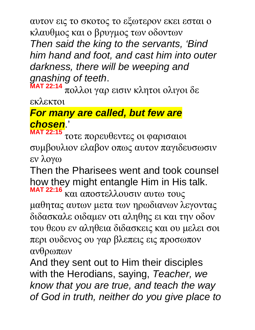αυτον εις το σκοτος το εξωτερον εκει εσται ο κλαυθμος και ο βρυγμος των οδοντων *Then said the king to the servants, 'Bind him hand and foot, and cast him into outer darkness, there will be weeping and gnashing of teeth*.

**MAT 22:14** πολλοι γαρ εισιν κλητοι ολιγοι δε

εκλεκτοι

#### *For many are called, but few are chosen*.' **MAT 22:15**

τοτε πορευθεντες οι φαρισαιοι συμβουλιον ελαβον οπως αυτον παγιδευσωσιν εν λογω

Then the Pharisees went and took counsel how they might entangle Him in His talk. **MAT 22:16**

και αποστελλουσιν αυτω τους μαθητας αυτων μετα των ηρωδιανων λεγοντας διδασκαλε οιδαμεν οτι αληθης ει και την οδον του θεου εν αληθεια διδασκεις και ου μελει σοι περι ουδενος ου γαρ βλεπεις εις προσωπον ανθρωπων

And they sent out to Him their disciples with the Herodians, saying, *Teacher, we know that you are true, and teach the way of God in truth, neither do you give place to*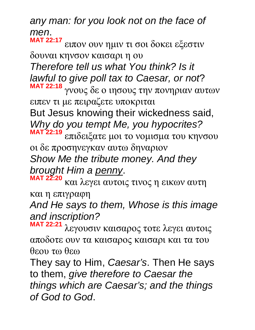*any man: for you look not on the face of men*. **MAT 22:17**

ειπον ουν ημιν τι σοι δοκει εξεστιν δουναι κηνσον καισαρι η ου *Therefore tell us what You think? Is it lawful to give poll tax to Caesar, or not*? **MAT 22:18**

γνους δε ο ιησους την πονηριαν αυτων ειπεν τι με πειραζετε υποκριται

But Jesus knowing their wickedness said, *Why do you tempt Me, you hypocrites?*

**MAT 22:19** επιδειξατε μοι το νομισμα του κηνσου οι δε προσηνεγκαν αυτω δηναριον *Show Me the tribute money. And they brought Him a penny*.

**MAT 22:20** και λεγει αυτοις τινος η εικων αυτη και η επιγραφη

*And He says to them, Whose is this image and inscription?*

**MAT 22:21** λεγουσιν καισαρος τοτε λεγει αυτοις αποδοτε ουν τα καισαρος καισαρι και τα του θεου τω θεω

They say to Him, *Caesar's*. Then He says to them, *give therefore to Caesar the things which are Caesar's; and the things of God to God*.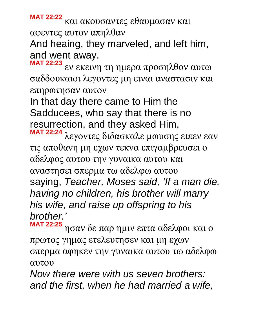**MAT 22:22** και ακουσαντες εθαυμασαν και αφεντες αυτον απηλθαν

And heaing, they marveled, and left him, and went away.

**MAT 22:23** εν εκεινη τη ημερα προσηλθον αυτω σαδδουκαιοι λεγοντες μη ειναι αναστασιν και επηρωτησαν αυτον

In that day there came to Him the Sadducees, who say that there is no resurrection, and they asked Him,

**MAT 22:24** λεγοντες διδασκαλε μωυσης ειπεν εαν τις αποθανη μη εχων τεκνα επιγαμβρευσει ο αδελφος αυτου την γυναικα αυτου και αναστησει σπερμα τω αδελφω αυτου saying, *Teacher, Moses said, 'If a man die, having no children, his brother will marry his wife, and raise up offspring to his brother.'*

**MAT 22:25** ησαν δε παρ ημιν επτα αδελφοι και ο πρωτος γημας ετελευτησεν και μη εχων σπερμα αφηκεν την γυναικα αυτου τω αδελφω αυτου

*Now there were with us seven brothers: and the first, when he had married a wife,*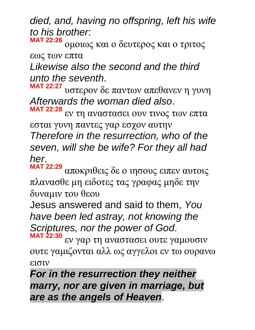*died, and, having no offspring, left his wife to his brother*: **MAT 22:26**

ομοιως και ο δευτερος και ο τριτος εως των επτα

*Likewise also the second and the third unto the seventh*.

**MAT 22:27** υστερον δε παντων απεθανεν η γυνη *Afterwards the woman died also*.

**MAT 22:28** εν τη αναστασει ουν τινος των επτα εσται γυνη παντες γαρ εσχον αυτην

*Therefore in the resurrection, who of the seven, will she be wife? For they all had her*.

**MAT 22:29** αποκριθεις δε ο ιησους ειπεν αυτοις πλανασθε μη ειδοτες τας γραφας μηδε την δυναμιν του θεου

Jesus answered and said to them, *You have been led astray, not knowing the Scriptures, nor the power of God*.

**MAT 22:30** εν γαρ τη αναστασει ουτε γαμουσιν ουτε γαμιζονται αλλ ως αγγελοι εν τω ουρανω εισιν

*For in the resurrection they neither marry, nor are given in marriage, but are as the angels of Heaven*.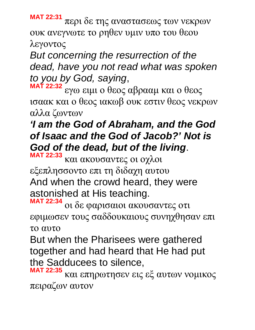**MAT 22:31** περι δε της αναστασεως των νεκρων ουκ ανεγνωτε το ρηθεν υμιν υπο του θεου λεγοντος

*But concerning the resurrection of the dead, have you not read what was spoken to you by God, saying*,

**MAT 22:32** εγω ειμι ο θεος αβρααμ και ο θεος ισαακ και ο θεος ιακωβ ουκ εστιν θεος νεκρων αλλα ζωντων

## *'I am the God of Abraham, and the God of Isaac and the God of Jacob?' Not is God of the dead, but of the living*.

**MAT 22:33** και ακουσαντες οι οχλοι εξεπλησσοντο επι τη διδαχη αυτου And when the crowd heard, they were astonished at His teaching. **MAT 22:34**

οι δε φαρισαιοι ακουσαντες οτι εφιμωσεν τους σαδδουκαιους συνηχθησαν επι το αυτο

But when the Pharisees were gathered together and had heard that He had put the Sadducees to silence,

**MAT 22:35** και επηρωτησεν εις εξ αυτων νομικος πειραζων αυτον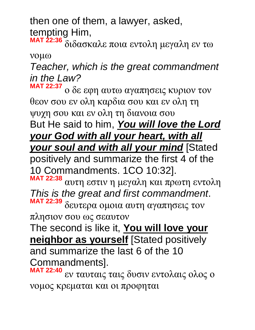then one of them, a lawyer, asked, tempting Him,

**MAT 22:36** διδασκαλε ποια εντολη μεγαλη εν τω νομω

*Teacher, which is the great commandment in the Law?*

**MAT 22:37** ο δε εφη αυτω αγαπησεις κυριον τον θεον σου εν ολη καρδια σου και εν ολη τη ψυχη σου και εν ολη τη διανοια σου

But He said to him, *You will love the Lord your God with all your heart, with all your soul and with all your mind* [Stated

positively and summarize the first 4 of the 10 Commandments. 1CO 10:32]. **MAT 22:38**

αυτη εστιν η μεγαλη και πρωτη εντολη *This is the great and first commandment*. **MAT 22:39** δευτερα ομοια αυτη αγαπησεις τον

πλησιον σου ως σεαυτον

The second is like it, **You will love your neighbor as yourself** [Stated positively and summarize the last 6 of the 10 Commandments].

**MAT 22:40** εν ταυταις ταις δυσιν εντολαις ολος ο νομος κρεμαται και οι προφηται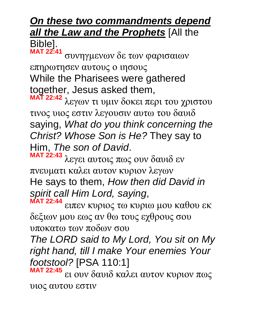#### *On these two commandments depend all the Law and the Prophets* [All the Bible]. **MAT 22:41**

συνηγμενων δε των φαρισαιων επηρωτησεν αυτους ο ιησους While the Pharisees were gathered together, Jesus asked them,

**MAT 22:42** λεγων τι υμιν δοκει περι του χριστου τινος υιος εστιν λεγουσιν αυτω του δαυιδ saying, *What do you think concerning the Christ? Whose Son is He?* They say to Him, *The son of David*.

**MAT 22:43** λεγει αυτοις πως ουν δαυιδ εν πνευματι καλει αυτον κυριον λεγων He says to them, *How then did David in spirit call Him Lord, saying*, **MAT 22:44**

ειπεν κυριος τω κυριω μου καθου εκ δεξιων μου εως αν θω τους εχθρους σου υποκατω των ποδων σου

*The LORD said to My Lord, You sit on My right hand, till I make Your enemies Your footstool?* [PSA 110:1]

**MAT 22:45** ει ουν δαυιδ καλει αυτον κυριον πως υιος αυτου εστιν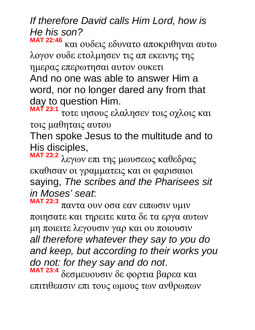# *If therefore David calls Him Lord, how is He his son?*

**MAT 22:46** και ουδεις εδυνατο αποκριθηναι αυτω λογον ουδε ετολμησεν τις απ εκεινης της ημερας επερωτησαι αυτον ουκετι And no one was able to answer Him a word, nor no longer dared any from that day to question Him.

**MAT 23:1** τοτε ιησους ελαλησεν τοις οχλοις και τοις μαθηταις αυτου

Then spoke Jesus to the multitude and to His disciples,

**MAT 23:2** λεγων επι της μωυσεως καθεδρας εκαθισαν οι γραμματεις και οι φαρισαιοι saying, *The scribes and the Pharisees sit in Moses' seat*:

**MAT 23:3** παντα ουν οσα εαν ειπωσιν υμιν ποιησατε και τηρειτε κατα δε τα εργα αυτων μη ποιειτε λεγουσιν γαρ και ου ποιουσιν *all therefore whatever they say to you do and keep, but according to their works you do not: for they say and do not*. **MAT 23:4** δεσμευουσιν δε φορτια βαρεα και επιτιθεασιν επι τους ωμους των ανθρωπων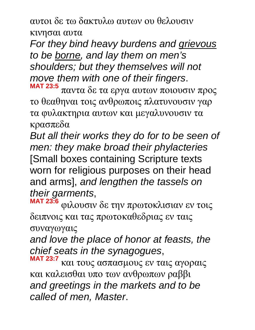αυτοι δε τω δακτυλω αυτων ου θελουσιν κινησαι αυτα

*For they bind heavy burdens and grievous to be borne, and lay them on men's shoulders; but they themselves will not move them with one of their fingers*.

**MAT 23:5** παντα δε τα εργα αυτων ποιουσιν προς το θεαθηναι τοις ανθρωποις πλατυνουσιν γαρ τα φυλακτηρια αυτων και μεγαλυνουσιν τα κρασπεδα

*But all their works they do for to be seen of men: they make broad their phylacteries* [Small boxes containing Scripture texts worn for religious purposes on their head and arms], *and lengthen the tassels on their garments*,

**MAT 23:6** φιλουσιν δε την πρωτοκλισιαν εν τοις δειπνοις και τας πρωτοκαθεδριας εν ταις συναγωγαις

*and love the place of honor at feasts, the chief seats in the synagogues*,

**MAT 23:7** και τους ασπασμους εν ταις αγοραις και καλεισθαι υπο των ανθρωπων ραββι *and greetings in the markets and to be called of men, Master*.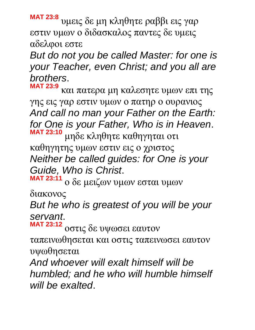**MAT 23:8** υμεις δε μη κληθητε ραββι εις γαρ εστιν υμων ο διδασκαλος παντες δε υμεις αδελφοι εστε

*But do not you be called Master: for one is your Teacher, even Christ; and you all are brothers*.

**MAT 23:9** και πατερα μη καλεσητε υμων επι της γης εις γαρ εστιν υμων ο πατηρ ο ουρανιος *And call no man your Father on the Earth: for One is your Father, Who is in Heaven*. **MAT 23:10** μηδε κληθητε καθηγηται οτι καθηγητης υμων εστιν εις ο χριστος

*Neither be called guides: for One is your Guide, Who is Christ*.

**MAT 23:11** ο δε μειζων υμων εσται υμων

διακονος

*But he who is greatest of you will be your servant*. **MAT 23:12**

οστις δε υψωσει εαυτον

ταπεινωθησεται και οστις ταπεινωσει εαυτον υψωθησεται

*And whoever will exalt himself will be humbled; and he who will humble himself will be exalted*.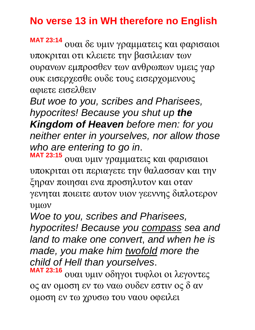## **No verse 13 in WH therefore no English**

**MAT 23:14** ουαι δε υμιν γραμματεις και φαρισαιοι υποκριται οτι κλειετε την βασιλειαν των ουρανων εμπροσθεν των ανθρωπων υμεις γαρ ουκ εισερχεσθε ουδε τους εισερχομενους αφιετε εισελθειν

*But woe to you, scribes and Pharisees, hypocrites! Because you shut up the Kingdom of Heaven before men: for you neither enter in yourselves, nor allow those who are entering to go in*. **MAT 23:15**

ουαι υμιν γραμματεις και φαρισαιοι υποκριται οτι περιαγετε την θαλασσαν και την ξηραν ποιησαι ενα προσηλυτον και οταν γενηται ποιειτε αυτον υιον γεεννης διπλοτερον υμων

*Woe to you, scribes and Pharisees, hypocrites! Because you compass sea and land to make one convert*, *and when he is made, you make him twofold more the child of Hell than yourselves*.

**MAT 23:16** ουαι υμιν οδηγοι τυφλοι οι λεγοντες ος αν ομοση εν τω ναω ουδεν εστιν ος δ αν ομοση εν τω χρυσω του ναου οφειλει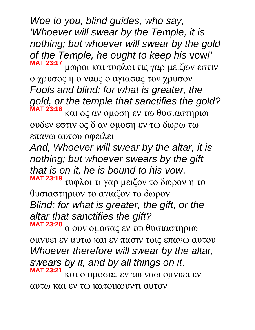*Woe to you, blind guides, who say, 'Whoever will swear by the Temple, it is nothing; but whoever will swear by the gold of the Temple, he ought to keep his* vow*!'* **MAT 23:17** μωροι και τυφλοι τις γαρ μειζων εστιν

ο χρυσος η ο ναος ο αγιασας τον χρυσον *Fools and blind: for what is greater, the gold, or the temple that sanctifies the gold?* **MAT 23:18**

και ος αν ομοση εν τω θυσιαστηριω ουδεν εστιν ος δ αν ομοση εν τω δωρω τω επανω αυτου οφειλει

*And, Whoever will swear by the altar, it is nothing; but whoever swears by the gift that is on it, he is bound to his vow*.

**MAT 23:19** τυφλοι τι γαρ μειζον το δωρον η το θυσιαστηριον το αγιαζον το δωρον *Blind: for what is greater, the gift, or the altar that sanctifies the gift?*

**MAT 23:20** ο ουν ομοσας εν τω θυσιαστηριω ομνυει εν αυτω και εν πασιν τοις επανω αυτου *Whoever therefore will swear by the altar, swears by it, and by all things on it*. **MAT 23:21** και ο ομοσας εν τω ναω ομνυει εν αυτω και εν τω κατοικουντι αυτον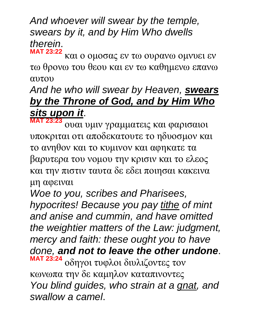*And whoever will swear by the temple, swears by it, and by Him Who dwells therein*. **MAT 23:22**

και ο ομοσας εν τω ουρανω ομνυει εν τω θρονω του θεου και εν τω καθημενω επανω αυτου

#### *And he who will swear by Heaven, swears by the Throne of God, and by Him Who sits upon it*.

**MAT 23:23** ουαι υμιν γραμματεις και φαρισαιοι υποκριται οτι αποδεκατουτε το ηδυοσμον και το ανηθον και το κυμινον και αφηκατε τα βαρυτερα του νομου την κρισιν και το ελεος και την πιστιν ταυτα δε εδει ποιησαι κακεινα μη αφειναι

*Woe to you, scribes and Pharisees, hypocrites! Because you pay tithe of mint and anise and cummin, and have omitted the weightier matters of the Law: judgment, mercy and faith: these ought you to have done, and not to leave the other undone*. **MAT 23:24** οδηγοι τυφλοι διυλιζοντες τον κωνωπα την δε καμηλον καταπινοντες *You blind guides, who strain at a gnat, and swallow a camel*.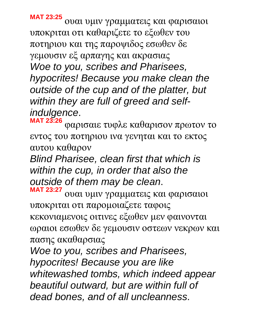**MAT 23:25** ουαι υμιν γραμματεις και φαρισαιοι υποκριται οτι καθαριζετε το εξωθεν του ποτηριου και της παροψιδος εσωθεν δε γεμουσιν εξ αρπαγης και ακρασιας *Woe to you, scribes and Pharisees, hypocrites! Because you make clean the outside of the cup and of the platter, but within they are full of greed and selfindulgence*.

**MAT 23:26** φαρισαιε τυφλε καθαρισον πρωτον το εντος του ποτηριου ινα γενηται και το εκτος αυτου καθαρον

*Blind Pharisee, clean first that which is within the cup, in order that also the outside of them may be clean*.

**MAT 23:27** ουαι υμιν γραμματεις και φαρισαιοι υποκριται οτι παρομοιαζετε ταφοις κεκονιαμενοις οιτινες εξωθεν μεν φαινονται ωραιοι εσωθεν δε γεμουσιν οστεων νεκρων και πασης ακαθαρσιας

*Woe to you, scribes and Pharisees, hypocrites! Because you are like whitewashed tombs, which indeed appear beautiful outward, but are within full of dead bones, and of all uncleanness*.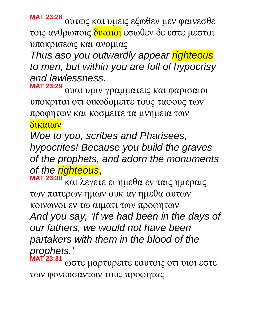**MAT 23:28** ουτως και υμεις εξωθεν μεν φαινεσθε τοις ανθρωποις δικαιοι εσωθεν δε εστε μεστοι υποκρισεως και ανομιας

*Thus aso you outwardly appear righteous to men, but within you are full of hypocrisy and lawlessness*.

**MAT 23:29** ουαι υμιν γραμματεις και φαρισαιοι υποκριται οτι οικοδομειτε τους ταφους των προφητων και κοσμειτε τα μνημεια των δικαιων

*Woe to you, scribes and Pharisees, hypocrites! Because you build the graves of the prophets, and adorn the monuments of the righteous*, **MAT 23:30**

και λεγετε ει ημεθα εν ταις ημεραις των πατερων ημων ουκ αν ημεθα αυτων κοινωνοι εν τω αιματι των προφητων *And you say, 'If we had been in the days of our fathers, we would not have been partakers with them in the blood of the prophets.'* **MAT 23:31**

ωστε μαρτυρειτε εαυτοις οτι υιοι εστε των φονευσαντων τους προφητας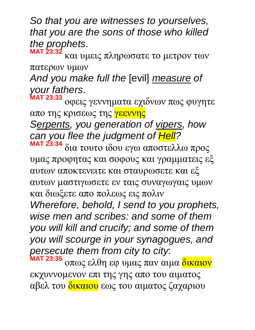*So that you are witnesses to yourselves, that you are the sons of those who killed the prophets*.

**MAT 23:32** και υμεις πληρωσατε το μετρον των πατερων υμων

*And you make full the* [evil] *measure of your fathers*.

**MAT 23:33** οφεις γεννηματα εχιδνων πως φυγητε απο της κρισεως της γεεννης *Serpents, you generation of vipers, how* 

*can you flee the judgment of Hell?*

**MAT 23:34** δια τουτο ιδου εγω αποστελλω προς υμας προφητας και σοφους και γραμματεις εξ αυτων αποκτενειτε και σταυρωσετε και εξ αυτων μαστιγωσετε εν ταις συναγωγαις υμων και διωξετε απο πολεως εις πολιν

*Wherefore, behold, I send to you prophets, wise men and scribes: and some of them you will kill and crucify; and some of them you will scourge in your synagogues, and persecute them from city to city*:

**MAT 23:35** οπως ελθη εφ υμας παν αιμα δικαιον εκχυννομενον επι της γης απο του αιματος αβελ του δικαιου εως του αιματος ζαχαριου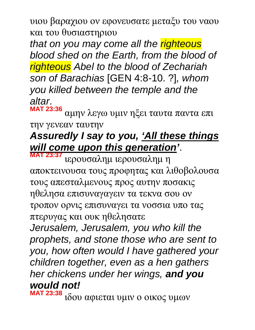υιου βαραχιου ον εφονευσατε μεταξυ του ναου και του θυσιαστηριου

*that on you may come all the righteous blood shed on the Earth, from the blood of righteous Abel to the blood of Zechariah son of Barachias* [GEN 4:8-10. ?]*, whom you killed between the temple and the altar*.

**MAT 23:36** αμην λεγω υμιν ηξει ταυτα παντα επι την γενεαν ταυτην

#### *Assuredly I say to you, 'All these things will come upon this generation'*.

**MAT 23:37** ιερουσαλημ ιερουσαλημ η αποκτεινουσα τους προφητας και λιθοβολουσα τους απεσταλμενους προς αυτην ποσακις ηθελησα επισυναγαγειν τα τεκνα σου ον τροπον ορνις επισυναγει τα νοσσια υπο τας πτερυγας και ουκ ηθελησατε

*Jerusalem, Jerusalem, you who kill the prophets, and stone those who are sent to you, how often would I have gathered your children together, even as a hen gathers her chickens under her wings, and you would not!*

**MAT 23:38** ιδου αφιεται υμιν ο οικος υμων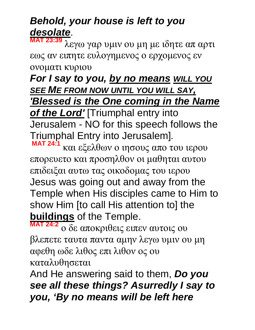# *Behold, your house is left to you desolate*.

**MAT 23:39** λεγω γαρ υμιν ου μη με ιδητε απ αρτι εως αν ειπητε ευλογημενος ο ερχομενος εν ονοματι κυριου

*For I say to you, by no means WILL YOU SEE ME FROM NOW UNTIL YOU WILL SAY, 'Blessed is the One coming in the Name* 

*of the Lord'* [Triumphal entry into Jerusalem - NO for this speech follows the Triumphal Entry into Jerusalem]*.* 

**MAT 24:1** και εξελθων ο ιησους απο του ιερου επορευετο και προσηλθον οι μαθηται αυτου επιδειξαι αυτω τας οικοδομας του ιερου Jesus was going out and away from the Temple when His disciples came to Him to show Him [to call His attention to] the **buildings** of the Temple.

**MAT 24:2** ο δε αποκριθεις ειπεν αυτοις ου βλεπετε ταυτα παντα αμην λεγω υμιν ου μη αφεθη ωδε λιθος επι λιθον ος ου καταλυθησεται

And He answering said to them, *Do you see all these things? Asurredly I say to you, 'By no means will be left here*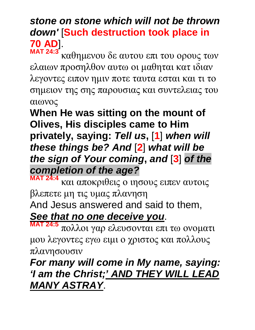#### *stone on stone which will not be thrown down'* [**Such destruction took place in 70 AD**]. **MAT 24:3**

καθημενου δε αυτου επι του ορους των ελαιων προσηλθον αυτω οι μαθηται κατ ιδιαν λεγοντες ειπον ημιν ποτε ταυτα εσται και τι το σημειον της σης παρουσιας και συντελειας του αιωνος

**When He was sitting on the mount of Olives, His disciples came to Him privately, saying:** *Tell us***,** [**1**] *when will these things be? And* [**2**] *what will be the sign of Your coming***,** *and* [**3**] *of the completion of the age?*

**MAT 24:4** και αποκριθεις ο ιησους ειπεν αυτοις βλεπετε μη τις υμας πλανηση And Jesus answered and said to them, *See that no one deceive you*.

**MAT 24:5** πολλοι γαρ ελευσονται επι τω ονοματι μου λεγοντες εγω ειμι ο χριστος και πολλους πλανησουσιν

## *For many will come in My name, saying: 'I am the Christ;' AND THEY WILL LEAD MANY ASTRAY*.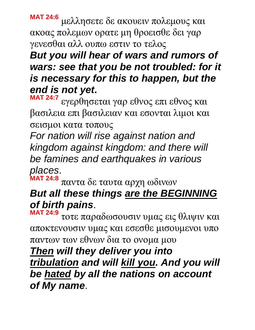**MAT 24:6** μελλησετε δε ακουειν πολεμους και ακοας πολεμων ορατε μη θροεισθε δει γαρ γενεσθαι αλλ ουπω εστιν το τελος

*But you will hear of wars and rumors of wars: see that you be not troubled: for it is necessary for this to happen, but the end is not yet***.** 

**MAT 24:7** εγερθησεται γαρ εθνος επι εθνος και βασιλεια επι βασιλειαν και εσονται λιμοι και σεισμοι κατα τοπους

*For nation will rise against nation and kingdom against kingdom: and there will be famines and earthquakes in various places*. **MAT 24:8**

#### παντα δε ταυτα αρχη ωδινων *But all these things are the BEGINNING of birth pains*.

**MAT 24:9** τοτε παραδωσουσιν υμας εις θλιψιν και αποκτενουσιν υμας και εσεσθε μισουμενοι υπο παντων των εθνων δια το ονομα μου

*Then will they deliver you into tribulation and will kill you. And you will be hated by all the nations on account of My name*.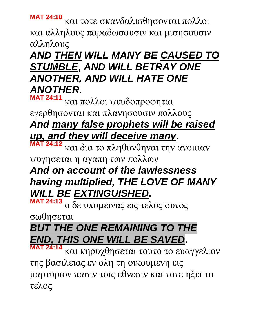**MAT 24:10** και τοτε σκανδαλισθησονται πολλοι και αλληλους παραδωσουσιν και μισησουσιν αλληλους

# *AND THEN WILL MANY BE CAUSED TO STUMBLE***,** *AND WILL BETRAY ONE ANOTHER, AND WILL HATE ONE ANOTHER***.**

**MAT 24:11** και πολλοι ψευδοπροφηται εγερθησονται και πλανησουσιν πολλους *And many false prophets will be raised up, and they will deceive many*.

**MAT 24:12** και δια το πληθυνθηναι την ανομιαν ψυγησεται η αγαπη των πολλων

# *And on account of the lawlessness having multiplied, THE LOVE OF MANY WILL BE EXTINGUISHED***.**

**MAT 24:13** ο δε υπομεινας εις τελος ουτος

σωθησεται

# *BUT THE ONE REMAINING TO THE END, THIS ONE WILL BE SAVED***.**

**MAT 24:14** και κηρυχθησεται τουτο το ευαγγελιον της βασιλειας εν ολη τη οικουμενη εις μαρτυριον πασιν τοις εθνεσιν και τοτε ηξει το τελος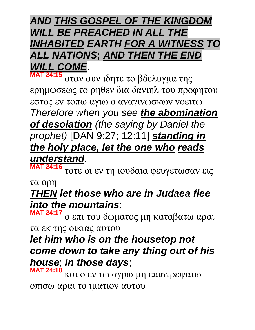## *AND THIS GOSPEL OF THE KINGDOM WILL BE PREACHED IN ALL THE INHABITED EARTH FOR A WITNESS TO ALL NATIONS***;** *AND THEN THE END WILL COME*.

**MAT 24:15** οταν ουν ιδητε το βδελυγμα της ερημωσεως το ρηθεν δια δανιηλ του προφητου εστος εν τοπω αγιω ο αναγινωσκων νοειτω *Therefore when you see the abomination of desolation (the saying by Daniel the prophet)* [DAN 9:27; 12:11] *standing in the holy place, let the one who reads* 

*understand.*  **MAT 24:16**

τοτε οι εν τη ιουδαια φευγετωσαν εις

τα ορη

### *THEN let those who are in Judaea flee into the mountains*;

**MAT 24:17** ο επι του δωματος μη καταβατω αραι τα εκ της οικιας αυτου

# *let him who is on the housetop not come down to take any thing out of his house*; *in those days*;

**MAT 24:18** και ο εν τω αγρω μη επιστρεψατω οπισω αραι το ιματιον αυτου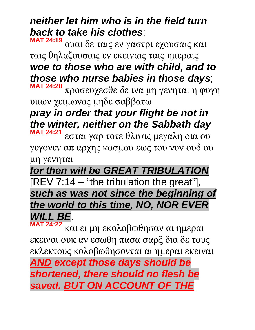## *neither let him who is in the field turn back to take his clothes*;

**MAT 24:19** ουαι δε ταις εν γαστρι εχουσαις και ταις θηλαζουσαις εν εκειναις ταις ημεραις *woe to those who are with child, and to those who nurse babies in those days*; **MAT 24:20**

προσευχεσθε δε ινα μη γενηται η φυγη υμων χειμωνος μηδε σαββατω

# *pray in order that your flight be not in the winter, neither on the Sabbath day*

**MAT 24:21** εσται γαρ τοτε θλιψις μεγαλη οια ου γεγονεν απ αρχης κοσμου εως του νυν ουδ ου μη γενηται

*for then will be GREAT TRIBULATION* [REV 7:14 – "the tribulation the great"]*, such as was not since the beginning of the world to this time, NO, NOR EVER WILL BE*. **MAT 24:22**

και ει μη εκολοβωθησαν αι ημεραι εκειναι ουκ αν εσωθη πασα σαρξ δια δε τους εκλεκτους κολοβωθησονται αι ημεραι εκειναι

*AND except those days should be shortened, there should no flesh be saved. BUT ON ACCOUNT OF THE*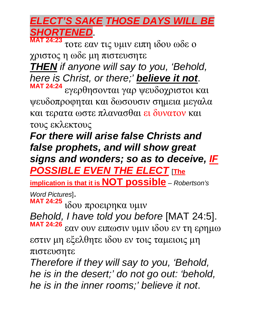#### *ELECT'S SAKE THOSE DAYS WILL BE SHORTENED*. **MAT 24:23**

τοτε εαν τις υμιν ειπη ιδου ωδε ο χριστος η ωδε μη πιστευσητε *THEN if anyone will say to you, 'Behold, here is Christ, or there;' believe it not*. **MAT 24:24** εγερθησονται γαρ ψευδοχριστοι και ψευδοπροφηται και δωσουσιν σημεια μεγαλα

και τερατα ωστε πλανασθαι ει δυνατον και τους εκλεκτους

*For there will arise false Christs and false prophets, and will show great signs and wonders; so as to deceive, IF POSSIBLE EVEN THE ELECT* [**The** 

**implication is that it is NOT possible** – *Robertson's* 

*Word Pictures*]. **MAT 24:25**

ιδου προειρηκα υμιν

*Behold, I have told you before* [MAT 24:5]. **MAT 24:26** εαν ουν ειπωσιν υμιν ιδου εν τη ερημω

εστιν μη εξελθητε ιδου εν τοις ταμειοις μη πιστευσητε

*Therefore if they will say to you, 'Behold, he is in the desert;' do not go out: 'behold, he is in the inner rooms;' believe it not*.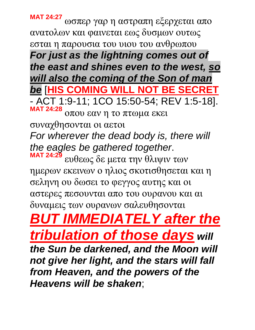**MAT 24:27** ωσπερ γαρ η αστραπη εξερχεται απο ανατολων και φαινεται εως δυσμων ουτως εσται η παρουσια του υιου του ανθρωπου *For just as the lightning comes out of the east and shines even to the west, so will also the coming of the Son of man be* [**HIS COMING WILL NOT BE SECRET** - ACT 1:9-11; 1CO 15:50-54; REV 1:5-18]. **MAT 24:28** οπου εαν η το πτωμα εκει συναχθησονται οι αετοι *For wherever the dead body is, there will the eagles be gathered together*. **MAT 24:29** ευθεως δε μετα την θλιψιν των ημερων εκεινων ο ηλιος σκοτισθησεται και η σεληνη ου δωσει το φεγγος αυτης και οι αστερες πεσουνται απο του ουρανου και αι δυναμεις των ουρανων σαλευθησονται *BUT IMMEDIATELY after the tribulation of those days will the Sun be darkened, and the Moon will not give her light, and the stars will fall from Heaven, and the powers of the* 

*Heavens will be shaken*;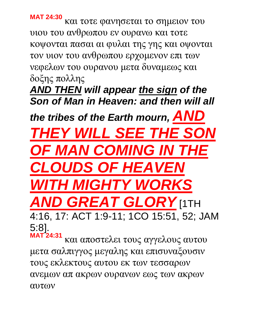**MAT 24:30** και τοτε φανησεται το σημειον του υιου του ανθρωπου εν ουρανω και τοτε κοψονται πασαι αι φυλαι της γης και οψονται τον υιον του ανθρωπου ερχομενον επι των νεφελων του ουρανου μετα δυναμεως και δοξης πολλης

*AND THEN will appear the sign of the Son of Man in Heaven: and then will all* 

*the tribes of the Earth mourn, AND* 

**THEY WILL SEE THE SO** *OF MAN COMING IN THE CLOUDS OF HEAVEN WITH MIGHTY WORKS AND GREAT GLORY* [1TH

4:16, 17: ACT 1:9-11; 1CO 15:51, 52; JAM 5:8]. **MAT 24:31**

και αποστελει τους αγγελους αυτου μετα σαλπιγγος μεγαλης και επισυναξουσιν τους εκλεκτους αυτου εκ των τεσσαρων ανεμων απ ακρων ουρανων εως των ακρων αυτων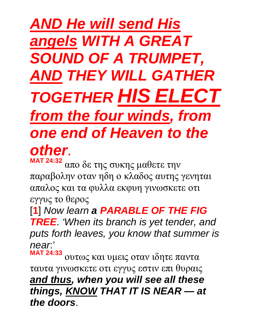# *AND He will send His angels WITH A GREAT SOUND OF A TRUMPET, AND THEY WILL GATHER TOGETHER HIS ELECT from the four winds, from one end of Heaven to the other*.

**MAT 24:32** απο δε της συκης μαθετε την παραβολην οταν ηδη ο κλαδος αυτης γενηται απαλος και τα φυλλα εκφυη γινωσκετε οτι εγγυς το θερος

[**1**] *Now learn a PARABLE OF THE FIG* 

*TREE*. *'When its branch is yet tender, and puts forth leaves, you know that summer is near*:'

**MAT 24:33** ουτως και υμεις οταν ιδητε παντα ταυτα γινωσκετε οτι εγγυς εστιν επι θυραις *and thus, when you will see all these things, KNOW THAT IT IS NEAR — at the doors*.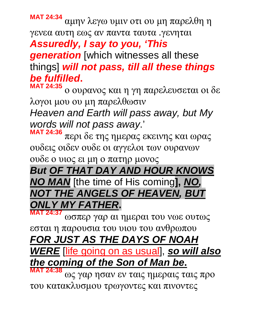**MAT 24:34** αμην λεγω υμιν οτι ου μη παρελθη η γενεα αυτη εως αν παντα ταυτα .γενηται *Assuredly, I say to you, 'This generation* [which witnesses all these things] *will not pass, till all these things be fulfilled***.**

**MAT 24:35** ο ουρανος και η γη παρελευσεται οι δε λογοι μου ου μη παρελθωσιν

*Heaven and Earth will pass away, but My words will not pass away*.'

**MAT 24:36** περι δε της ημερας εκεινης και ωρας ουδεις οιδεν ουδε οι αγγελοι των ουρανων

ουδε ο υιος ει μη ο πατηρ μονος

*But OF THAT DAY AND HOUR KNOWS NO MAN* [the time of His coming**],** *NO, NOT THE ANGELS OF HEAVEN, BUT ONLY MY FATHER***.**

**MAT 24:37** ωσπερ γαρ αι ημεραι του νωε ουτως

εσται η παρουσια του υιου του ανθρωπου

#### *FOR JUST AS THE DAYS OF NOAH*

*WERE* [life going on as usual], *so will also the coming of the Son of Man be***. MAT 24:38**

ως γαρ ησαν εν ταις ημεραις ταις προ του κατακλυσμου τρωγοντες και πινοντες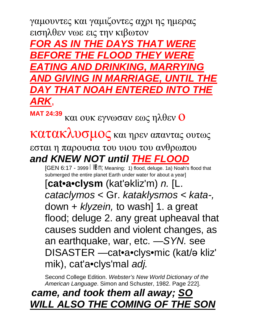γαμουντες και γαμιζοντες αχρι ης ημερας εισηλθεν νωε εις την κιβωτον *FOR AS IN THE DAYS THAT WERE BEFORE THE FLOOD THEY WERE EATING AND DRINKING, MARRYING AND GIVING IN MARRIAGE, UNTIL THE Y THAT NOAH FNTERE ARK*,

**MAT 24:39** και ουκ εγνωσαν εως ηλθεν Ο

κατακλυσμος και ηρεν απαντας ουτως

εσται η παρουσια του υιου του ανθρωπου *and KNEW NOT until THE FLOOD*

[GEN 6:17 - 3999 WBM; Meaning: 1) flood, deluge. 1a) Noah's flood that submerged the entire planet Earth under water for about a year]

[**cat•a•clysm** (kat'әkliz'm) *n.* [L. *cataclymos* < Gr. *kataklysmos < kata-,*  down + *klyzein,* to wash] 1. a great flood; deluge 2. any great upheaval that causes sudden and violent changes, as an earthquake, war, etc. *—SYN.* see DISASTER —cat•a•clys•mic (kat/ә kliz' mik), cat'a•clys'mal *adj.*

Second College Edition. *Webster's New World Dictionary of the American Language*. Simon and Schuster, 1982. Page 222].

*came, and took them all away; SO WILL ALSO THE COMING OF THE SON*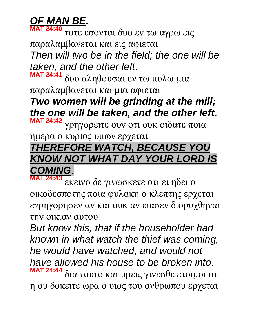# *OF MAN BE.*

**MAT 24:40** τοτε εσονται δυο εν τω αγρω εις παραλαμβανεται και εις αφιεται *Then will two be in the field; the one will be taken, and the other left*. **MAT 24:41** δυο αληθουσαι εν τω μυλω μια

παραλαμβανεται και μια αφιεται

*Two women will be grinding at the mill; the one will be taken, and the other left***. MAT 24:42** γρηγορειτε ουν οτι ουκ οιδατε ποια

ημερα ο κυριος υμων ερχεται

# *THEREFORE WATCH, BECAUSE YOU KNOW NOT WHAT DAY YOUR LORD IS COMING*.

**MAT 24:43** εκεινο δε γινωσκετε οτι ει ηδει ο οικοδεσποτης ποια φυλακη ο κλεπτης ερχεται εγρηγορησεν αν και ουκ αν ειασεν διορυχθηναι την οικιαν αυτου

*But know this, that if the householder had known in what watch the thief was coming, he would have watched, and would not have allowed his house to be broken into*. **MAT 24:44** δια τουτο και υμεις γινεσθε ετοιμοι οτι η ου δοκειτε ωρα ο υιος του ανθρωπου ερχεται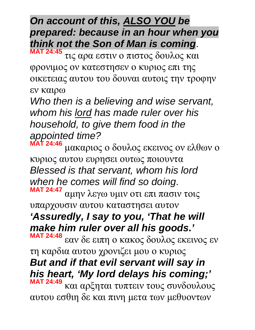*On account of this, ALSO YOU be prepared: because in an hour when you think not the Son of Man is coming*.

**MAT 24:45** τις αρα εστιν ο πιστος δουλος και φρονιμος ον κατεστησεν ο κυριος επι της οικετειας αυτου του δουναι αυτοις την τροφην εν καιρω

*Who then is a believing and wise servant, whom his lord has made ruler over his household, to give them food in the appointed time?*

**MAT 24:46** μακαριος ο δουλος εκεινος ον ελθων ο κυριος αυτου ευρησει ουτως ποιουντα *Blessed is that servant, whom his lord when he comes will find so doing*. **MAT 24:47** αμην λεγω υμιν οτι επι πασιν τοις υπαρχουσιν αυτου καταστησει αυτον *'Assuredly, I say to you, 'That he will make him ruler over all his goods.'* **MAT 24:48** εαν δε ειπη ο κακος δουλος εκεινος εν τη καρδια αυτου χρονιζει μου ο κυριος *But and if that evil servant will say in his heart, 'My lord delays his coming;'* **MAT 24:49** και αρξηται τυπτειν τους συνδουλους αυτου εσθιη δε και πινη μετα των μεθυοντων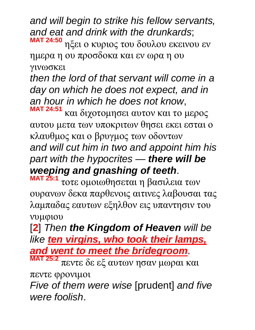*and will begin to strike his fellow servants, and eat and drink with the drunkards*; **MAT 24:50** ηξει ο κυριος του δουλου εκεινου εν

ημερα η ου προσδοκα και εν ωρα η ου γινωσκει

*then the lord of that servant will come in a day on which he does not expect, and in an hour in which he does not know*, **MAT 24:51**

και διχοτομησει αυτον και το μερος αυτου μετα των υποκριτων θησει εκει εσται ο κλαυθμος και ο βρυγμος των οδοντων *and will cut him in two and appoint him his part with the hypocrites* — *there will be weeping and gnashing of teeth*.

**MAT 25:1** τοτε ομοιωθησεται η βασιλεια των ουρανων δεκα παρθενοις αιτινες λαβουσαι τας λαμπαδας εαυτων εξηλθον εις υπαντησιν του νυμφιου

[**2**] *Then the Kingdom of Heaven will be like ten virgins, who took their lamps, and went to meet the bridegroom*.

**MAT 25:2** πεντε δε εξ αυτων ησαν μωραι και πεντε φρονιμοι

*Five of them were wise* [prudent] *and five were foolish*.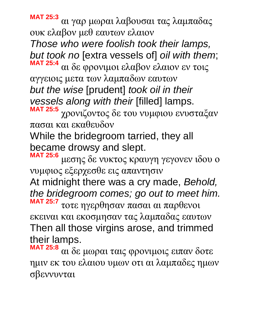**MAT 25:3** αι γαρ μωραι λαβουσαι τας λαμπαδας ουκ ελαβον μεθ εαυτων ελαιον

*Those who were foolish took their lamps, but took no* [extra vessels of] *oil with them*; **MAT 25:4** αι δε φρονιμοι ελαβον ελαιον εν τοις

αγγειοις μετα των λαμπαδων εαυτων *but the wise* [prudent] *took oil in their vessels along with their* [filled] lamps.

**MAT 25:5** χρονιζοντος δε του νυμφιου ενυσταξαν πασαι και εκαθευδον

While the bridegroom tarried, they all became drowsy and slept.

**MAT 25:6** μεσης δε νυκτος κραυγη γεγονεν ιδου ο νυμφιος εξερχεσθε εις απαντησιν

At midnight there was a cry made, *Behold, the bridegroom comes; go out to meet him.* **MAT 25:7** τοτε ηγερθησαν πασαι αι παρθενοι

εκειναι και εκοσμησαν τας λαμπαδας εαυτων Then all those virgins arose, and trimmed their lamps.

**MAT 25:8** αι δε μωραι ταις φρονιμοις ειπαν δοτε ημιν εκ του ελαιου υμων οτι αι λαμπαδες ημων σβεννυνται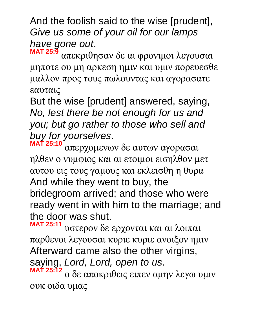And the foolish said to the wise [prudent], *Give us some of your oil for our lamps have gone out*.

**MAT 25:9** απεκριθησαν δε αι φρονιμοι λεγουσαι μηποτε ου μη αρκεση ημιν και υμιν πορευεσθε μαλλον προς τους πωλουντας και αγορασατε εαυταις

But the wise [prudent] answered, saying, *No, lest there be not enough for us and you; but go rather to those who sell and buy for yourselves*.

**MAT 25:10** απερχομενων δε αυτων αγορασαι ηλθεν ο νυμφιος και αι ετοιμοι εισηλθον μετ αυτου εις τους γαμους και εκλεισθη η θυρα And while they went to buy, the bridegroom arrived; and those who were ready went in with him to the marriage; and the door was shut.

**MAT 25:11** υστερον δε ερχονται και αι λοιπαι παρθενοι λεγουσαι κυριε κυριε ανοιξον ημιν Afterward came also the other virgins, saying, *Lord, Lord, open to us*.

**MAT 25:12** ο δε αποκριθεις ειπεν αμην λεγω υμιν ουκ οιδα υμας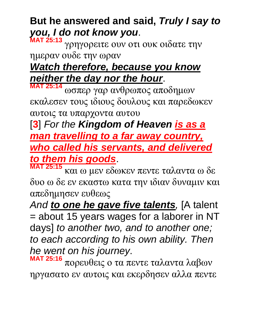# **But he answered and said,** *Truly I say to you, I do not know you*.

**MAT 25:13** γρηγορειτε ουν οτι ουκ οιδατε την ημεραν ουδε την ωραν

# *Watch therefore, because you know neither the day nor the hour*.

**MAT 25:14** ωσπερ γαρ ανθρωπος αποδημων εκαλεσεν τους ιδιους δουλους και παρεδωκεν αυτοις τα υπαρχοντα αυτου

[**3**] *For the Kingdom of Heaven is as a man travelling to a far away country, who called his servants, and delivered to them his goods*.

**MAT 25:15** και ω μεν εδωκεν πεντε ταλαντα ω δε δυο ω δε εν εκαστω κατα την ιδιαν δυναμιν και απεδημησεν ευθεως

*And to one he gave five talents,* [A talent = about 15 years wages for a laborer in NT days] *to another two, and to another one; to each according to his own ability. Then he went on his journey*.

**MAT 25:16** πορευθεις ο τα πεντε ταλαντα λαβων ηργασατο εν αυτοις και εκερδησεν αλλα πεντε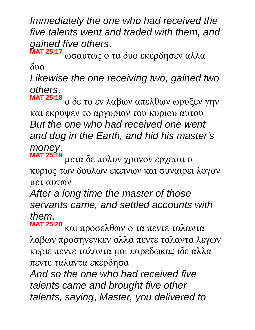*Immediately the one who had received the five talents went and traded with them, and gained five others*.

**MAT 25:17** ωσαυτως ο τα δυο εκερδησεν αλλα δυο

*Likewise the one receiving two, gained two others*.

**MAT 25:18** ο δε το εν λαβων απελθων ωρυξεν γην και εκρυψεν το αργυριον του κυριου αυτου *But the one who had received one went and dug in the Earth, and hid his master's money*.

**MAT 25:19** μετα δε πολυν χρονον ερχεται ο κυριος των δουλων εκεινων και συναιρει λογον μετ αυτων

*After a long time the master of those servants came, and settled accounts with them*.

**MAT 25:20** και προσελθων ο τα πεντε ταλαντα λαβων προσηνεγκεν αλλα πεντε ταλαντα λεγων κυριε πεντε ταλαντα μοι παρεδωκας ιδε αλλα πεντε ταλαντα εκερδησα

*And so the one who had received five talents came and brought five other talents, saying*, *Master, you delivered to*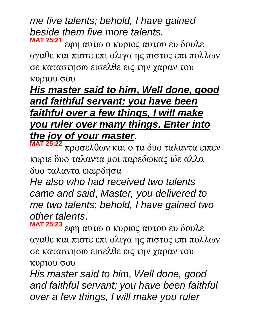*me five talents; behold, I have gained beside them five more talents*. **MAT 25:21**

εφη αυτω ο κυριος αυτου ευ δουλε αγαθε και πιστε επι ολιγα ης πιστος επι πολλων σε καταστησω εισελθε εις την χαραν του κυριου σου

#### *His master said to him***,** *Well done, good and faithful servant: you have been faithful over a few things, I will make you ruler over many things. Enter into the joy of your master*.

**MAT 25:22** προσελθων και ο τα δυο ταλαντα ειπεν κυριε δυο ταλαντα μοι παρεδωκας ιδε αλλα δυο ταλαντα εκερδησα

*He also who had received two talents came and said*, *Master, you delivered to me two talents*; *behold, I have gained two other talents*.

**MAT 25:23** εφη αυτω ο κυριος αυτου ευ δουλε αγαθε και πιστε επι ολιγα ης πιστος επι πολλων σε καταστησω εισελθε εις την χαραν του κυριου σου

*His master said to him*, *Well done, good and faithful servant; you have been faithful over a few things, I will make you ruler*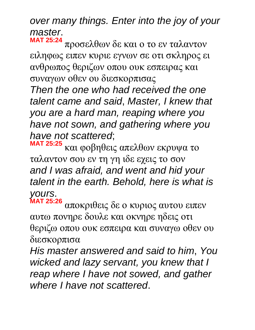# *over many things. Enter into the joy of your master*.

**MAT 25:24** προσελθων δε και ο το εν ταλαντον ειληφως ειπεν κυριε εγνων σε οτι σκληρος ει ανθρωπος θεριζων οπου ουκ εσπειρας και συναγων οθεν ου διεσκορπισας

*Then the one who had received the one talent came and said*, *Master, I knew that you are a hard man, reaping where you have not sown, and gathering where you have not scattered*;

**MAT 25:25** και φοβηθεις απελθων εκρυψα το ταλαντον σου εν τη γη ιδε εχεις το σον *and I was afraid, and went and hid your talent in the earth. Behold, here is what is yours*.

**MAT 25:26** αποκριθεις δε ο κυριος αυτου ειπεν αυτω πονηρε δουλε και οκνηρε ηδεις οτι θεριζω οπου ουκ εσπειρα και συναγω οθεν ου διεσκορπισα

*His master answered and said to him*, *You wicked and lazy servant, you knew that I reap where I have not sowed, and gather where I have not scattered*.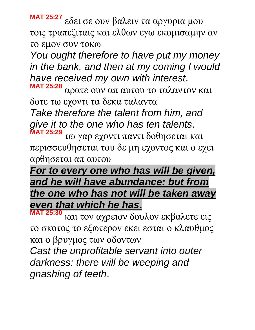**MAT 25:27** εδει σε ουν βαλειν τα αργυρια μου τοις τραπεζιταις και ελθων εγω εκομισαμην αν το εμον συν τοκω

*You ought therefore to have put my money in the bank, and then at my coming I would have received my own with interest*.

**MAT 25:28** αρατε ουν απ αυτου το ταλαντον και δοτε τω εχοντι τα δεκα ταλαντα

*Take therefore the talent from him, and give it to the one who has ten talents*.

**MAT 25:29** τω γαρ εχοντι παντι δοθησεται και περισσευθησεται του δε μη εχοντος και ο εχει αρθησεται απ αυτου

#### *For to every one who has will be given, and he will have abundance: but from the one who has not will be taken away even that which he has***.**

**MAT 25:30** και τον αχρειον δουλον εκβαλετε εις το σκοτος το εξωτερον εκει εσται ο κλαυθμος και ο βρυγμος των οδοντων *Cast the unprofitable servant into outer darkness: there will be weeping and gnashing of teeth*.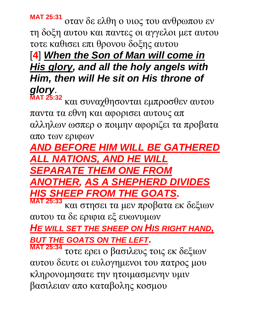**MAT 25:31** οταν δε ελθη ο υιος του ανθρωπου εν τη δοξη αυτου και παντες οι αγγελοι μετ αυτου τοτε καθισει επι θρονου δοξης αυτου

# [**4**] *When the Son of Man will come in His glory, and all the holy angels with Him, then will He sit on His throne of glory*.

**MAT 25:32** και συναχθησονται εμπροσθεν αυτου παντα τα εθνη και αφορισει αυτους απ αλληλων ωσπερ ο ποιμην αφοριζει τα προβατα απο των εριφων

*AND BEFORE HIM WILL BE GATHERED ALL NATIONS, AND HE WILL SEPARATE THEM ONE FROM ANOTHER, AS A SHEPHERD DIVIDES HIS SHEEP FROM THE GOATS***. MAT 25:33**

και στησει τα μεν προβατα εκ δεξιων αυτου τα δε εριφια εξ ευωνυμων

*HE WILL SET THE SHEEP ON HIS RIGHT HAND, BUT THE GOATS ON THE LEFT***.**

**MAT 25:34** τοτε ερει ο βασιλευς τοις εκ δεξιων αυτου δευτε οι ευλογημενοι του πατρος μου κληρονομησατε την ητοιμασμενην υμιν βασιλειαν απο καταβολης κοσμου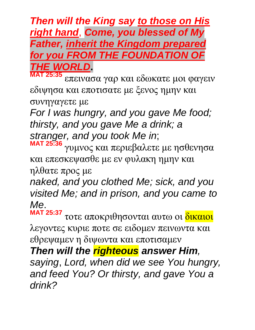#### *Then will the King say to those on His right hand*, *Come, you blessed of My Father, inherit the Kingdom prepared for you FROM THE FOUNDATION OF THE WORLD***.**

**MAT 25:35** επεινασα γαρ και εδωκατε μοι φαγειν εδιψησα και εποτισατε με ξενος ημην και συνηγαγετε με

*For I was hungry, and you gave Me food; thirsty, and you gave Me a drink; a stranger, and you took Me in*;

**MAT 25:36** γυμνος και περιεβαλετε με ησθενησα και επεσκεψασθε με εν φυλακη ημην και ηλθατε προς με

*naked, and you clothed Me; sick, and you visited Me; and in prison, and you came to Me*.

**MAT 25:37** τοτε αποκριθησονται αυτω οι δικαιοι λεγοντες κυριε ποτε σε ειδομεν πεινωντα και εθρεψαμεν η διψωντα και εποτισαμεν

*Then will the righteous answer Him,* 

*saying*, *Lord, when did we see You hungry, and feed You? Or thirsty, and gave You a drink?*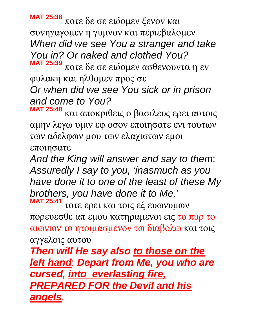**MAT 25:38** ποτε δε σε ειδομεν ξενον και συνηγαγομεν η γυμνον και περιεβαλομεν *When did we see You a stranger and take You in? Or naked and clothed You?* **MAT 25:39** ποτε δε σε ειδομεν ασθενουντα η εν

φυλακη και ηλθομεν προς σε *Or when did we see You sick or in prison and come to You?*

**MAT 25:40** και αποκριθεις ο βασιλευς ερει αυτοις αμην λεγω υμιν εφ οσον εποιησατε ενι τουτων των αδελφων μου των ελαχιστων εμοι εποιησατε

*And the King will answer and say to them*: *Assuredly I say to you, 'inasmuch as you have done it to one of the least of these My brothers, you have done it to Me*.' **MAT 25:41**

τοτε ερει και τοις εξ ευωνυμων πορευεσθε απ εμου κατηραμενοι εις το πυρ το αιωνιον το ητοιμασμενον τω διαβολω και τοις αγγελοις αυτου

*Then will He say also to those on the left hand*: *Depart from Me, you who are cursed, into everlasting fire, PREPARED FOR the Devil and his angels*.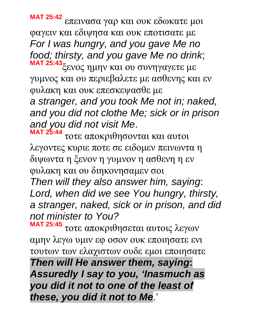**MAT 25:42** επεινασα γαρ και ουκ εδωκατε μοι φαγειν και εδιψησα και ουκ εποτισατε με *For I was hungry, and you gave Me no food; thirsty, and you gave Me no drink*;

**MAT 25:43**ξενος ημην και ου συνηγαγετε με γυμνος και ου περιεβαλετε με ασθενης και εν φυλακη και ουκ επεσκεψασθε με

*a stranger, and you took Me not in; naked, and you did not clothe Me; sick or in prison and you did not visit Me*.

**MAT 25:44** τοτε αποκριθησονται και αυτοι λεγοντες κυριε ποτε σε ειδομεν πεινωντα η διψωντα η ξενον η γυμνον η ασθενη η εν φυλακη και ου διηκονησαμεν σοι

*Then will they also answer him, saying*: *Lord, when did we see You hungry, thirsty, a stranger, naked, sick or in prison, and did not minister to You?*

**MAT 25:45** τοτε αποκριθησεται αυτοις λεγων αμην λεγω υμιν εφ οσον ουκ εποιησατε ενι τουτων των ελαχιστων ουδε εμοι εποιησατε

*Then will He answer them, saying***:**  *Assuredly I say to you, 'Inasmuch as you did it not to one of the least of these, you did it not to Me*.'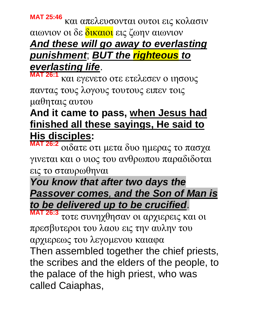#### **MAT 25:46** και απελευσονται ουτοι εις κολασιν αιωνιον οι δε δικαιοι εις ζωην αιωνιον *And these will go away to everlasting punishment*; *BUT the righteous to everlasting life*.

**MAT 26:1** και εγενετο οτε ετελεσεν ο ιησους παντας τους λογους τουτους ειπεν τοις μαθηταις αυτου

#### **And it came to pass, when Jesus had finished all these sayings, He said to His disciples:**

**MAT 26:2** οιδατε οτι μετα δυο ημερας το πασχα γινεται και ο υιος του ανθρωπου παραδιδοται εις το σταυρωθηναι

### *You know that after two days the Passover comes, and the Son of Man is to be delivered up to be crucified*.

**MAT 26:3** τοτε συνηχθησαν οι αρχιερεις και οι πρεσβυτεροι του λαου εις την αυλην του αρχιερεως του λεγομενου καιαφα

Then assembled together the chief priests, the scribes and the elders of the people, to the palace of the high priest, who was called Caiaphas,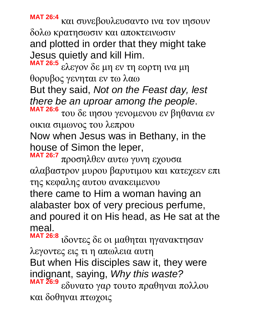**MAT 26:4** και συνεβουλευσαντο ινα τον ιησουν δολω κρατησωσιν και αποκτεινωσιν and plotted in order that they might take Jesus quietly and kill Him.

**MAT 26:5** ελεγον δε μη εν τη εορτη ινα μη θορυβος γενηται εν τω λαω But they said, *Not on the Feast day, lest there be an uproar among the people*.

**MAT 26:6** του δε ιησου γενομενου εν βηθανια εν οικια σιμωνος του λεπρου

Now when Jesus was in Bethany, in the house of Simon the leper,

**MAT 26:7** προσηλθεν αυτω γυνη εχουσα αλαβαστρον μυρου βαρυτιμου και κατεχεεν επι της κεφαλης αυτου ανακειμενου

there came to Him a woman having an alabaster box of very precious perfume, and poured it on His head, as He sat at the meal.

**MAT 26:8** ιδοντες δε οι μαθηται ηγανακτησαν λεγοντες εις τι η απωλεια αυτη

But when His disciples saw it, they were indignant, saying, *Why this waste?*

**MAT 26:9** εδυνατο γαρ τουτο πραθηναι πολλου και δοθηναι πτωχοις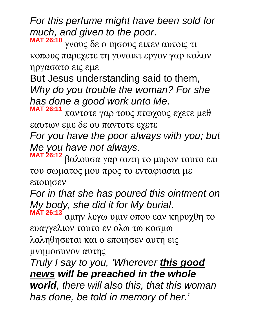*For this perfume might have been sold for much, and given to the poor*.

**MAT 26:10** γνους δε ο ιησους ειπεν αυτοις τι κοπους παρεχετε τη γυναικι εργον γαρ καλον ηργασατο εις εμε

But Jesus understanding said to them, *Why do you trouble the woman? For she has done a good work unto Me*. **MAT 26:11**

παντοτε γαρ τους πτωχους εχετε μεθ εαυτων εμε δε ου παντοτε εχετε

*For you have the poor always with you; but Me you have not always*.

**MAT 26:12** βαλουσα γαρ αυτη το μυρον τουτο επι του σωματος μου προς το ενταφιασαι με εποιησεν

*For in that she has poured this ointment on My body, she did it for My burial*.

**MAT 26:13** αμην λεγω υμιν οπου εαν κηρυχθη το ευαγγελιον τουτο εν ολω τω κοσμω λαληθησεται και ο εποιησεν αυτη εις μνημοσυνον αυτης

*Truly I say to you, 'Wherever this good news will be preached in the whole world, there will also this, that this woman has done, be told in memory of her.'*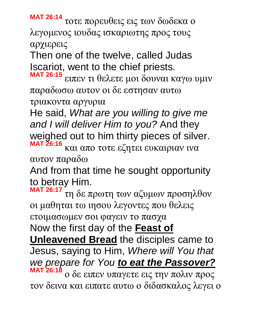**MAT 26:14** τοτε πορευθεις εις των δωδεκα ο λεγομενος ιουδας ισκαριωτης προς τους αρχιερεις

Then one of the twelve, called Judas Iscariot, went to the chief priests.

**MAT 26:15** ειπεν τι θελετε μοι δουναι καγω υμιν παραδωσω αυτον οι δε εστησαν αυτω τριακοντα αργυρια

He said, *What are you willing to give me and I will deliver Him to you?* And they weighed out to him thirty pieces of silver. **MAT 26:16** και απο τοτε εζητει ευκαιριαν ινα αυτον παραδω

And from that time he sought opportunity to betray Him.

**MAT 26:17** τη δε πρωτη των αζυμων προσηλθον οι μαθηται τω ιησου λεγοντες που θελεις ετοιμασωμεν σοι φαγειν το πασχα Now the first day of the **Feast of Unleavened Bread** the disciples came to Jesus, saying to Him, *Where will You that we prepare for You to eat the Passover?* **MAT 26:18** ο δε ειπεν υπαγετε εις την πολιν προς τον δεινα και ειπατε αυτω ο διδασκαλος λεγει ο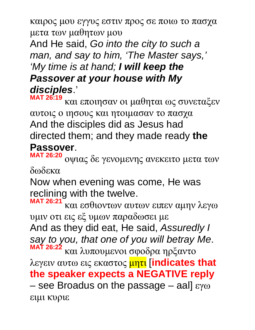καιρος μου εγγυς εστιν προς σε ποιω το πασχα μετα των μαθητων μου

And He said, *Go into the city to such a man, and say to him, 'The Master says,' 'My time is at hand; I will keep the Passover at your house with My disciples*.'

**MAT 26:19** και εποιησαν οι μαθηται ως συνεταξεν αυτοις ο ιησους και ητοιμασαν το πασχα And the disciples did as Jesus had directed them; and they made ready **the Passover**.

**MAT 26:20** οψιας δε γενομενης ανεκειτο μετα των δωδεκα

Now when evening was come, He was reclining with the twelve.

**MAT 26:21** και εσθιοντων αυτων ειπεν αμην λεγω υμιν οτι εις εξ υμων παραδωσει με And as they did eat, He said, *Assuredly I say to you, that one of you will betray Me*. **MAT 26:22** και λυπουμενοι σφοδρα ηρξαντο λεγειν αυτω εις εκαστος μητι [**indicates that the speaker expects a NEGATIVE reply**  – see Broadus on the passage – aal]  $\varepsilon\gamma\omega$ ειμι κυριε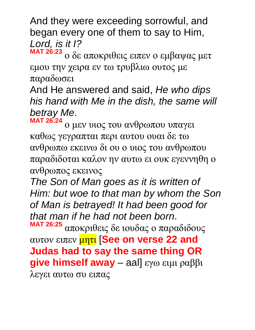And they were exceeding sorrowful, and began every one of them to say to Him, *Lord, is it I?*

**MAT 26:23** ο δε αποκριθεις ειπεν ο εμβαψας μετ εμου την χειρα εν τω τρυβλιω ουτος με παραδωσει

And He answered and said, *He who dips his hand with Me in the dish, the same will betray Me*.

**MAT 26:24** ο μεν υιος του ανθρωπου υπαγει καθως γεγραπται περι αυτου ουαι δε τω ανθρωπω εκεινω δι ου ο υιος του ανθρωπου παραδιδοται καλον ην αυτω ει ουκ εγεννηθη ο ανθρωπος εκεινος

*The Son of Man goes as it is written of Him: but woe to that man by whom the Son of Man is betrayed! It had been good for that man if he had not been born*. **MAT 26:25**

αποκριθεις δε ιουδας ο παραδιδους αυτον ειπεν μητι [**See on verse 22 and Judas had to say the same thing OR give himself away** – aal] εγω ειμι ραββι λεγει αυτω συ ειπας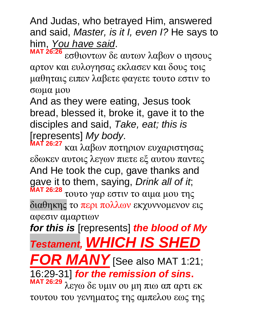And Judas, who betrayed Him, answered and said, *Master, is it I, even I?* He says to him, *You have said*.

**MAT 26:26** εσθιοντων δε αυτων λαβων ο ιησους αρτον και ευλογησας εκλασεν και δους τοις μαθηταις ειπεν λαβετε φαγετε τουτο εστιν το σωμα μου

And as they were eating, Jesus took bread, blessed it, broke it, gave it to the disciples and said, *Take, eat; this is* [represents] *My body*.

**MAT 26:27** και λαβων ποτηριον ευχαριστησας εδωκεν αυτοις λεγων πιετε εξ αυτου παντες And He took the cup, gave thanks and gave it to them, saying, *Drink all of it*; **MAT 26:28** τουτο γαρ εστιν το αιμα μου της

διαθηκης το περι πολλων εκχυννομενον εις αφεσιν αμαρτιων

*for this is* [represents] *the blood of My Testament, WHICH IS SHED* 

*R MANY* [See also MAT 1:21;

16:29-31] *for the remission of sins***.** 

**MAT 26:29** λεγω δε υμιν ου μη πιω απ αρτι εκ τουτου του γενηματος της αμπελου εως της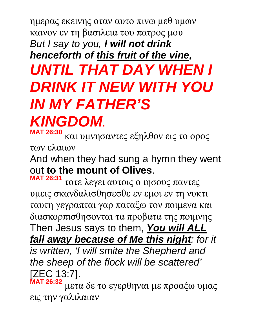# ημερας εκεινης οταν αυτο πινω μεθ υμων καινον εν τη βασιλεια του πατρος μου *But I say to you, I will not drink henceforth of this fruit of the vine, UNTIL THAT DAY WHEN I DRINK IT NEW WITH YOU IN MY FATHER'S KINGDOM***.**

**MAT 26:30** και υμνησαντες εξηλθον εις το ορος των ελαιων

And when they had sung a hymn they went out **to the mount of Olives**.

**MAT 26:31** τοτε λεγει αυτοις ο ιησους παντες υμεις σκανδαλισθησεσθε εν εμοι εν τη νυκτι ταυτη γεγραπται γαρ παταξω τον ποιμενα και διασκορπισθησονται τα προβατα της ποιμνης Then Jesus says to them, *You will ALL fall away because of Me this night: for it is written, 'I will smite the Shepherd and the sheep of the flock will be scattered'* [ZEC 13:7].

**MAT 26:32** μετα δε το εγερθηναι με προαξω υμας εις την γαλιλαιαν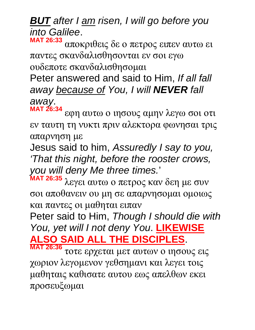*BUT after I am risen, I will go before you into Galilee*. **MAT 26:33**

αποκριθεις δε ο πετρος ειπεν αυτω ει παντες σκανδαλισθησονται εν σοι εγω ουδεποτε σκανδαλισθησομαι

Peter answered and said to Him, *If all fall away because of You, I will NEVER fall away*.

**MAT 26:34** εφη αυτω ο ιησους αμην λεγω σοι οτι εν ταυτη τη νυκτι πριν αλεκτορα φωνησαι τρις απαρνηση με

Jesus said to him, *Assuredly I say to you, 'That this night, before the rooster crows, you will deny Me three times.*'

**MAT 26:35** λεγει αυτω ο πετρος καν δεη με συν σοι αποθανειν ου μη σε απαρνησομαι ομοιως και παντες οι μαθηται ειπαν

Peter said to Him, *Though I should die with You, yet will I not deny You*. **LIKEWISE ALSO SAID ALL THE DISCIPLES**.

**MAT 26:36** τοτε ερχεται μετ αυτων ο ιησους εις χωριον λεγομενον γεθσημανι και λεγει τοις μαθηταις καθισατε αυτου εως απελθων εκει προσευξωμαι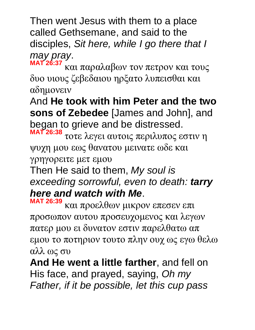Then went Jesus with them to a place called Gethsemane, and said to the disciples, *Sit here, while I go there that I may pray*. **MAT 26:37**

και παραλαβων τον πετρον και τους δυο υιους ζεβεδαιου ηρξατο λυπεισθαι και αδημονειν

And **He took with him Peter and the two sons of Zebedee** [James and John], and began to grieve and be distressed.

**MAT 26:38** τοτε λεγει αυτοις περιλυπος εστιν η ψυχη μου εως θανατου μεινατε ωδε και γρηγορειτε μετ εμου

Then He said to them, *My soul is exceeding sorrowful, even to death: tarry here and watch with Me*.

**MAT 26:39** και προελθων μικρον επεσεν επι προσωπον αυτου προσευχομενος και λεγων πατερ μου ει δυνατον εστιν παρελθατω απ εμου το ποτηριον τουτο πλην ουχ ως εγω θελω αλλ ως συ

**And He went a little farther**, and fell on His face, and prayed, saying, *Oh my Father, if it be possible, let this cup pass*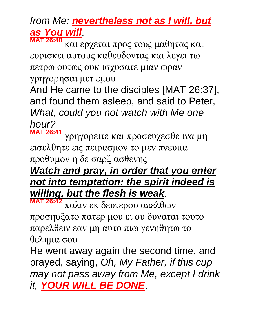## *from Me: nevertheless not as I will, but as You will*.

**MAT 26:40** και ερχεται προς τους μαθητας και ευρισκει αυτους καθευδοντας και λεγει τω πετρω ουτως ουκ ισχυσατε μιαν ωραν

γρηγορησαι μετ εμου

And He came to the disciples [MAT 26:37], and found them asleep, and said to Peter, *What, could you not watch with Me one hour?*

**MAT 26:41** γρηγορειτε και προσευχεσθε ινα μη εισελθητε εις πειρασμον το μεν πνευμα προθυμον η δε σαρξ ασθενης

#### *Watch and pray, in order that you enter not into temptation: the spirit indeed is willing, but the flesh is weak*.

**MAT 26:42** παλιν εκ δευτερου απελθων προσηυξατο πατερ μου ει ου δυναται τουτο παρελθειν εαν μη αυτο πιω γενηθητω το θελημα σου

He went away again the second time, and prayed, saying, *Oh, My Father, if this cup may not pass away from Me, except I drink it, YOUR WILL BE DONE*.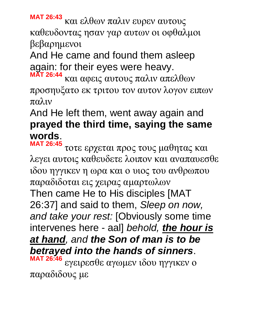**MAT 26:43** και ελθων παλιν ευρεν αυτους καθευδοντας ησαν γαρ αυτων οι οφθαλμοι βεβαρημενοι

And He came and found them asleep again: for their eyes were heavy. **MAT 26:44**

και αφεις αυτους παλιν απελθων προσηυξατο εκ τριτου τον αυτον λογον ειπων παλιν

#### And He left them, went away again and **prayed the third time, saying the same words**.

**MAT 26:45** τοτε ερχεται προς τους μαθητας και λεγει αυτοις καθευδετε λοιπον και αναπαυεσθε ιδου ηγγικεν η ωρα και ο υιος του ανθρωπου παραδιδοται εις χειρας αμαρτωλων Then came He to His disciples [MAT 26:37] and said to them, *Sleep on now, and take your rest:* [Obviously some time intervenes here - aal] *behold, the hour is at hand, and the Son of man is to be betrayed into the hands of sinners*. **MAT 26:46** εγειρεσθε αγωμεν ιδου ηγγικεν ο παραδιδους με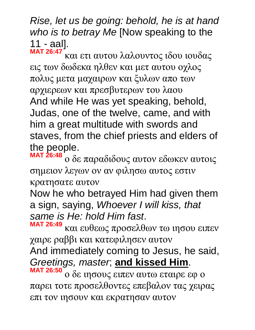*Rise, let us be going: behold, he is at hand who is to betray Me* [Now speaking to the 11 - aal].

**MAT 26:47** και ετι αυτου λαλουντος ιδου ιουδας εις των δωδεκα ηλθεν και μετ αυτου οχλος πολυς μετα μαχαιρων και ξυλων απο των αρχιερεων και πρεσβυτερων του λαου And while He was yet speaking, behold, Judas, one of the twelve, came, and with him a great multitude with swords and staves, from the chief priests and elders of the people.

**MAT 26:48** ο δε παραδιδους αυτον εδωκεν αυτοις σημειον λεγων ον αν φιλησω αυτος εστιν κρατησατε αυτον

Now he who betrayed Him had given them a sign, saying, *Whoever I will kiss, that same is He: hold Him fast*.

**MAT 26:49** και ευθεως προσελθων τω ιησου ειπεν χαιρε ραββι και κατεφιλησεν αυτον

And immediately coming to Jesus, he said, *Greetings, master*; **and kissed Him**.

**MAT 26:50** ο δε ιησους ειπεν αυτω εταιρε εφ ο παρει τοτε προσελθοντες επεβαλον τας χειρας επι τον ιησουν και εκρατησαν αυτον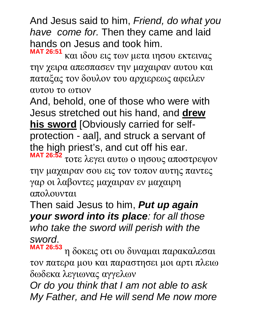And Jesus said to him, *Friend, do what you have come for.* Then they came and laid hands on Jesus and took him.

**MAT 26:51** και ιδου εις των μετα ιησου εκτεινας την χειρα απεσπασεν την μαχαιραν αυτου και παταξας τον δουλον του αρχιερεως αφειλεν αυτου το ωτιον

And, behold, one of those who were with Jesus stretched out his hand, and **drew his sword** [Obviously carried for selfprotection - aal], and struck a servant of the high priest's, and cut off his ear.

**MAT 26:52** τοτε λεγει αυτω ο ιησους αποστρεψον την μαχαιραν σου εις τον τοπον αυτης παντες γαρ οι λαβοντες μαχαιραν εν μαχαιρη απολουνται

Then said Jesus to him, *Put up again your sword into its place: for all those who take the sword will perish with the sword*.

**MAT 26:53** η δοκεις οτι ου δυναμαι παρακαλεσαι τον πατερα μου και παραστησει μοι αρτι πλειω δωδεκα λεγιωνας αγγελων

*Or do you think that I am not able to ask My Father, and He will send Me now more*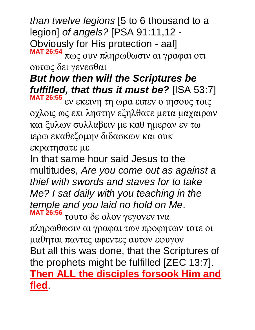*than twelve legions* [5 to 6 thousand to a legion] *of angels?* [PSA 91:11,12 - Obviously for His protection - aal] **MAT 26:54** πως ουν πληρωθωσιν αι γραφαι οτι

ουτως δει γενεσθαι

#### *But how then will the Scriptures be fulfilled, that thus it must be?* [ISA 53:7] **MAT 26:55**

εν εκεινη τη ωρα ειπεν ο ιησους τοις οχλοις ως επι ληστην εξηλθατε μετα μαχαιρων και ξυλων συλλαβειν με καθ ημεραν εν τω ιερω εκαθεζομην διδασκων και ουκ εκρατησατε με

In that same hour said Jesus to the multitudes, *Are you come out as against a thief with swords and staves for to take Me? I sat daily with you teaching in the temple and you laid no hold on Me*. **MAT 26:56** τουτο δε ολον γεγονεν ινα

πληρωθωσιν αι γραφαι των προφητων τοτε οι μαθηται παντες αφεντες αυτον εφυγον But all this was done, that the Scriptures of the prophets might be fulfilled [ZEC 13:7]. **Then ALL the disciples forsook Him and fled**.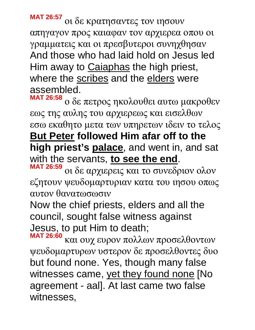**MAT 26:57** οι δε κρατησαντες τον ιησουν απηγαγον προς καιαφαν τον αρχιερεα οπου οι γραμματεις και οι πρεσβυτεροι συνηχθησαν And those who had laid hold on Jesus led Him away to Caiaphas the high priest, where the scribes and the elders were assembled.

**MAT 26:58** ο δε πετρος ηκολουθει αυτω μακροθεν εως της αυλης του αρχιερεως και εισελθων εσω εκαθητο μετα των υπηρετων ιδειν το τελος **But Peter followed Him afar off to the high priest's palace**, and went in, and sat with the servants, **to see the end**.

**MAT 26:59** οι δε αρχιερεις και το συνεδριον ολον εζητουν ψευδομαρτυριαν κατα του ιησου οπως αυτον θανατωσωσιν

Now the chief priests, elders and all the council, sought false witness against Jesus, to put Him to death;

**MAT 26:60** και ουχ ευρον πολλων προσελθοντων ψευδομαρτυρων υστερον δε προσελθοντες δυο but found none. Yes, though many false witnesses came, yet they found none [No agreement - aal]. At last came two false witnesses,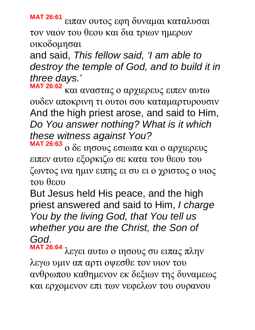**MAT 26:61** ειπαν ουτος εφη δυναμαι καταλυσαι τον ναον του θεου και δια τριων ημερων οικοδομησαι

and said, *This fellow said, 'I am able to destroy the temple of God, and to build it in three days.'*

**MAT 26:62** και αναστας ο αρχιερευς ειπεν αυτω ουδεν αποκρινη τι ουτοι σου καταμαρτυρουσιν And the high priest arose, and said to Him, *Do You answer nothing? What is it which these witness against You?*

**MAT 26:63** ο δε ιησους εσιωπα και ο αρχιερευς ειπεν αυτω εξορκιζω σε κατα του θεου του ζωντος ινα ημιν ειπης ει συ ει ο χριστος ο υιος του θεου

But Jesus held His peace, and the high priest answered and said to Him, *I charge You by the living God, that You tell us whether you are the Christ, the Son of God*.

**MAT 26:64** λεγει αυτω ο ιησους συ ειπας πλην λεγω υμιν απ αρτι οψεσθε τον υιον του ανθρωπου καθημενον εκ δεξιων της δυναμεως και ερχομενον επι των νεφελων του ουρανου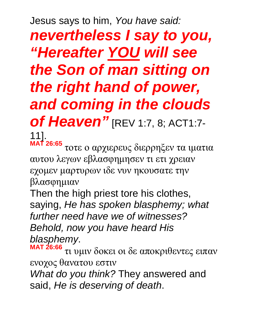Jesus says to him, *You have said: nevertheless I say to you, "Hereafter YOU will see the Son of man sitting on the right hand of power, and coming in the clouds of Heaven"* [REV 1:7, 8; ACT1:7-11].

**MAT 26:65** τοτε ο αρχιερευς διερρηξεν τα ιματια αυτου λεγων εβλασφημησεν τι ετι χρειαν εχομεν μαρτυρων ιδε νυν ηκουσατε την βλασφημιαν

Then the high priest tore his clothes, saying, *He has spoken blasphemy; what further need have we of witnesses? Behold, now you have heard His blasphemy*.

**MAT 26:66** τι υμιν δοκει οι δε αποκριθεντες ειπαν ενοχος θανατου εστιν *What do you think?* They answered and said, *He is deserving of death*.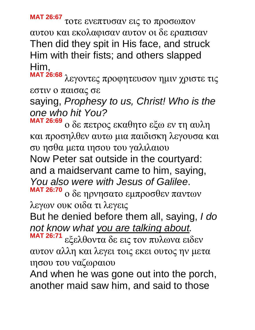**MAT 26:67** τοτε ενεπτυσαν εις το προσωπον αυτου και εκολαφισαν αυτον οι δε εραπισαν Then did they spit in His face, and struck Him with their fists; and others slapped Him,

**MAT 26:68** λεγοντες προφητευσον ημιν χριστε τις εστιν ο παισας σε

saying, *Prophesy to us, Christ! Who is the one who hit You?* 

**MAT 26:69** ο δε πετρος εκαθητο εξω εν τη αυλη και προσηλθεν αυτω μια παιδισκη λεγουσα και συ ησθα μετα ιησου του γαλιλαιου Now Peter sat outside in the courtyard: and a maidservant came to him, saying, *You also were with Jesus of Galilee*.

**MAT 26:70** ο δε ηρνησατο εμπροσθεν παντων λεγων ουκ οιδα τι λεγεις

But he denied before them all, saying, *I do not know what you are talking about.*

**MAT 26:71** εξελθοντα δε εις τον πυλωνα ειδεν αυτον αλλη και λεγει τοις εκει ουτος ην μετα ιησου του ναζωραιου

And when he was gone out into the porch, another maid saw him, and said to those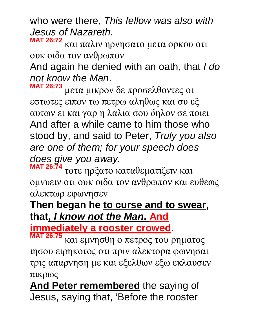who were there, *This fellow was also with Jesus of Nazareth*.

**MAT 26:72** και παλιν ηρνησατο μετα ορκου οτι ουκ οιδα τον ανθρωπον

And again he denied with an oath, that *I do not know the Man*.

**MAT 26:73** μετα μικρον δε προσελθοντες οι εστωτες ειπον τω πετρω αληθως και συ εξ αυτων ει και γαρ η λαλια σου δηλον σε ποιει And after a while came to him those who stood by, and said to Peter, *Truly you also are one of them; for your speech does does give you away.*

**MAT 26:74** τοτε ηρξατο καταθεματιζειν και ομνυειν οτι ουκ οιδα τον ανθρωπον και ευθεως αλεκτωρ εφωνησεν

#### **Then began he to curse and to swear, that,** *I know not the Man***. And**

**immediately a rooster crowed**.

**MAT 26:75** και εμνησθη ο πετρος του ρηματος ιησου ειρηκοτος οτι πριν αλεκτορα φωνησαι τρις απαρνηση με και εξελθων εξω εκλαυσεν πικρως

**And Peter remembered** the saying of Jesus, saying that, 'Before the rooster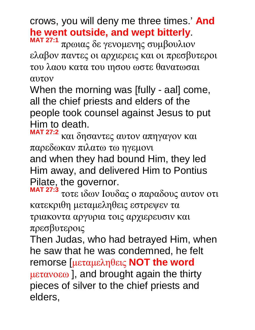crows, you will deny me three times.' **And he went outside, and wept bitterly**.

**MAT 27:1** πρωιας δε γενομενης συμβουλιον ελαβον παντες οι αρχιερεις και οι πρεσβυτεροι του λαου κατα του ιησου ωστε θανατωσαι αυτον

When the morning was [fully - aal] come, all the chief priests and elders of the people took counsel against Jesus to put Him to death.

**MAT 27:2** και δησαντες αυτον απηγαγον και παρεδωκαν πιλατω τω ηγεμονι and when they had bound Him, they led Him away, and delivered Him to Pontius Pilate, the governor.

**MAT 27:3** τοτε ιδων Iουδας ο παραδους αυτον οτι κατεκριθη μεταμεληθεις εστρεψεν τα τριακοντα αργυρια τοις αρχιερευσιν και πρεσβυτεροις

Then Judas, who had betrayed Him, when he saw that he was condemned, he felt remorse [μεταμεληθεις **NOT the word**  μετανοεω ], and brought again the thirty pieces of silver to the chief priests and elders,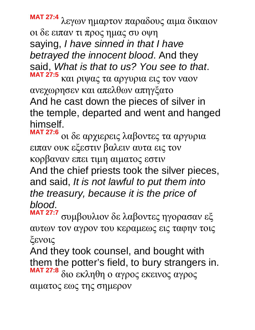**MAT 27:4** λεγων ημαρτον παραδους αιμα δικαιον οι δε ειπαν τι προς ημας συ οψη saying, *I have sinned in that I have betrayed the innocent blood*. And they said, *What is that to us? You see to that*. **MAT 27:5** και ριψας τα αργυρια εις τον ναον

ανεχωρησεν και απελθων απηγξατο And he cast down the pieces of silver in the temple, departed and went and hanged himself.

**MAT 27:6** οι δε αρχιερεις λαβοντες τα αργυρια ειπαν ουκ εξεστιν βαλειν αυτα εις τον κορβαναν επει τιμη αιματος εστιν And the chief priests took the silver pieces, and said, *It is not lawful to put them into the treasury, because it is the price of blood*.

**MAT 27:7** συμβουλιον δε λαβοντες ηγορασαν εξ αυτων τον αγρον του κεραμεως εις ταφην τοις ξενοις

And they took counsel, and bought with them the potter's field, to bury strangers in. **MAT 27:8** διο εκληθη ο αγρος εκεινος αγρος αιματος εως της σημερον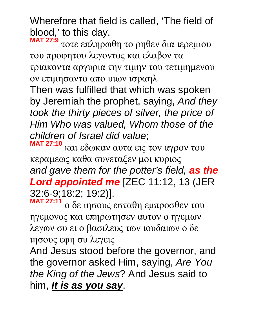Wherefore that field is called, 'The field of blood, ' to this day.

**MAT 27:9** τοτε επληρωθη το ρηθεν δια ιερεμιου του προφητου λεγοντος και ελαβον τα τριακοντα αργυρια την τιμην του τετιμημενου ον ετιμησαντο απο υιων ισραηλ

Then was fulfilled that which was spoken by Jeremiah the prophet, saying, *And they took the thirty pieces of silver, the price of Him Who was valued, Whom those of the children of Israel did value*;

**MAT 27:10** και εδωκαν αυτα εις τον αγρον του κεραμεως καθα συνεταξεν μοι κυριος *and gave them for the potter's field, as the Lord appointed me* [ZEC 11:12, 13 (JER 32:6-9;18:2; 19:2)]. **MAT 27:11**

ο δε ιησους εσταθη εμπροσθεν του ηγεμονος και επηρωτησεν αυτον ο ηγεμων λεγων συ ει ο βασιλευς των ιουδαιων ο δε ιησους εφη συ λεγεις

And Jesus stood before the governor, and the governor asked Him, saying, *Are You the King of the Jews*? And Jesus said to him, *It is as you say*.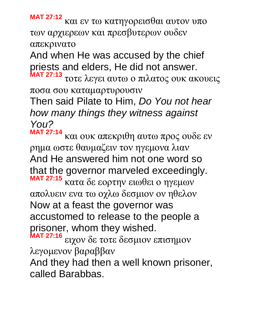**MAT 27:12**

και εν τω κατηγορεισθαι αυτον υπο των αρχιερεων και πρεσβυτερων ουδεν απεκρινατο

And when He was accused by the chief priests and elders, He did not answer.

**MAT 27:13** τοτε λεγει αυτω ο πιλατος ουκ ακουεις ποσα σου καταμαρτυρουσιν

Then said Pilate to Him, *Do You not hear how many things they witness against You?*

**MAT 27:14** και ουκ απεκριθη αυτω προς ουδε εν ρημα ωστε θαυμαζειν τον ηγεμονα λιαν And He answered him not one word so that the governor marveled exceedingly. **MAT 27:15**

κατα δε εορτην ειωθει ο ηγεμων απολυειν ενα τω οχλω δεσμιον ον ηθελον Now at a feast the governor was accustomed to release to the people a prisoner, whom they wished.

**MAT 27:16** ειχον δε τοτε δεσμιον επισημον λεγομενον βαραββαν

And they had then a well known prisoner, called Barabbas.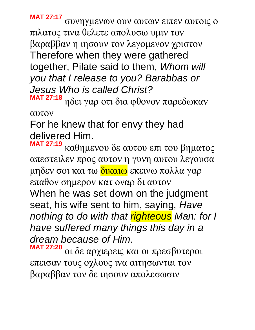**MAT 27:17** συνηγμενων ουν αυτων ειπεν αυτοις ο πιλατος τινα θελετε απολυσω υμιν τον βαραββαν η ιησουν τον λεγομενον χριστον Therefore when they were gathered together, Pilate said to them, *Whom will you that I release to you? Barabbas or Jesus Who is called Christ?*

**MAT 27:18** ηδει γαρ οτι δια φθονον παρεδωκαν αυτον

For he knew that for envy they had delivered Him.

**MAT 27:19** καθημενου δε αυτου επι του βηματος απεστειλεν προς αυτον η γυνη αυτου λεγουσα μηδεν σοι και τω <mark>δικαιω</mark> εκεινω πολλα γαρ επαθον σημερον κατ οναρ δι αυτον When he was set down on the judgment seat, his wife sent to him, saying, *Have nothing to do with that righteous Man: for I have suffered many things this day in a dream because of Him*.

**MAT 27:20** οι δε αρχιερεις και οι πρεσβυτεροι επεισαν τους οχλους ινα αιτησωνται τον βαραββαν τον δε ιησουν απολεσωσιν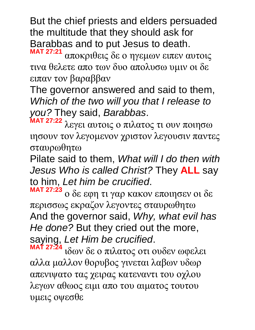But the chief priests and elders persuaded the multitude that they should ask for Barabbas and to put Jesus to death. **MAT 27:21**

αποκριθεις δε ο ηγεμων ειπεν αυτοις τινα θελετε απο των δυο απολυσω υμιν οι δε ειπαν τον βαραββαν

The governor answered and said to them, *Which of the two will you that I release to you?* They said, *Barabbas*.

**MAT 27:22** λεγει αυτοις ο πιλατος τι ουν ποιησω ιησουν τον λεγομενον χριστον λεγουσιν παντες σταυρωθητω

Pilate said to them, *What will I do then with Jesus Who is called Christ?* They **ALL** say to him, *Let him be crucified*.

**MAT 27:23** ο δε εφη τι γαρ κακον εποιησεν οι δε περισσως εκραζον λεγοντες σταυρωθητω And the governor said, *Why, what evil has He done?* But they cried out the more, saying, *Let Him be crucified*.

**MAT 27:24** ιδων δε ο πιλατος οτι ουδεν ωφελει αλλα μαλλον θορυβος γινεται λαβων υδωρ απενιψατο τας χειρας κατεναντι του οχλου λεγων αθωος ειμι απο του αιματος τουτου υμεις οψεσθε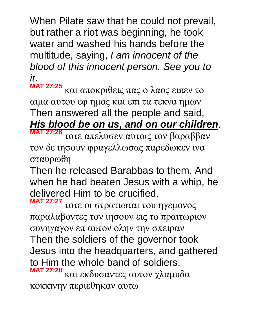When Pilate saw that he could not prevail, but rather a riot was beginning, he took water and washed his hands before the multitude, saying, *I am innocent of the blood of this innocent person. See you to it*.

**MAT 27:25** και αποκριθεις πας ο λαος ειπεν το αιμα αυτου εφ ημας και επι τα τεκνα ημων Then answered all the people and said, *His blood be on us, and on our children*.

**MAT 27:26** τοτε απελυσεν αυτοις τον βαραββαν τον δε ιησουν φραγελλωσας παρεδωκεν ινα σταυρωθη

Then he released Barabbas to them. And when he had beaten Jesus with a whip, he delivered Him to be crucified.

**MAT 27:27** τοτε οι στρατιωται του ηγεμονος παραλαβοντες τον ιησουν εις το πραιτωριον συνηγαγον επ αυτον ολην την σπειραν Then the soldiers of the governor took Jesus into the headquarters, and gathered to Him the whole band of soldiers. **MAT 27:28** και εκδυσαντες αυτον χλαμυδα κοκκινην περιεθηκαν αυτω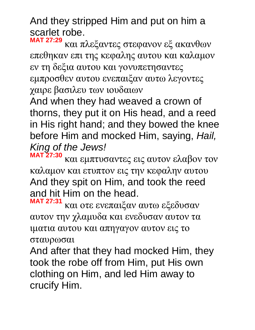And they stripped Him and put on him a scarlet robe.

**MAT 27:29** και πλεξαντες στεφανον εξ ακανθων επεθηκαν επι της κεφαλης αυτου και καλαμον εν τη δεξια αυτου και γονυπετησαντες εμπροσθεν αυτου ενεπαιξαν αυτω λεγοντες χαιρε βασιλευ των ιουδαιων

And when they had weaved a crown of thorns, they put it on His head, and a reed in His right hand; and they bowed the knee before Him and mocked Him, saying, *Hail, King of the Jews!* **MAT 27:30**

και εμπτυσαντες εις αυτον ελαβον τον καλαμον και ετυπτον εις την κεφαλην αυτου And they spit on Him, and took the reed and hit Him on the head.

**MAT 27:31** και οτε ενεπαιξαν αυτω εξεδυσαν αυτον την χλαμυδα και ενεδυσαν αυτον τα ιματια αυτου και απηγαγον αυτον εις το σταυρωσαι

And after that they had mocked Him, they took the robe off from Him, put His own clothing on Him, and led Him away to crucify Him.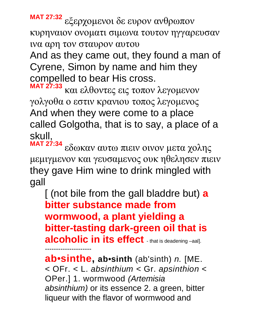**MAT 27:32** εξερχομενοι δε ευρον ανθρωπον κυρηναιον ονοματι σιμωνα τουτον ηγγαρευσαν ινα αρη τον σταυρον αυτου

And as they came out, they found a man of Cyrene, Simon by name and him they compelled to bear His cross.

**MAT 27:33** και ελθοντες εις τοπον λεγομενον γολγοθα ο εστιν κρανιου τοπος λεγομενος And when they were come to a place called Golgotha, that is to say, a place of a skull,

**MAT 27:34** εδωκαν αυτω πιειν οινον μετα χολης μεμιγμενον και γευσαμενος ουκ ηθελησεν πιειν they gave Him wine to drink mingled with gall

[ (not bile from the gall bladdre but) **a bitter substance made from wormwood, a plant yielding a bitter-tasting dark-green oil that is alcoholic in its effect** - that is deadening –aal].

**ab**•**sinthe, ab**•**sinth** (ab'sinth) *n.* [ME. < OFr. < L. *absinthium <* Gr. *apsinthion <*  OPer.] 1. wormwood *(Artemisia absinthium)* or its essence 2. a green, bitter liqueur with the flavor of wormwood and

---------------------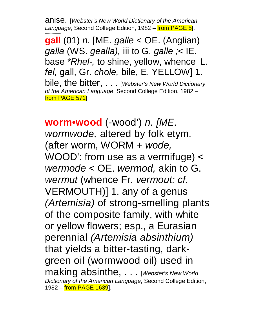anise. [*Webster's New World Dictionary of the American Language*, Second College Edition, 1982 – from PAGE 5]. ---------------

**gall** (01) *n.* [ME. *galle <* OE. (Anglian) *galla* (WS. *gealla),* iii to G. *galle ;<* IE. base *\*Rhel-,* to shine, yellow, whence L. *fel,* gall, Gr. *chole,* bile, E. YELLOW] 1. bile, the bitter, . . . [*Webster's New World Dictionary of the American Language*, Second College Edition, 1982 – from PAGE 571.

---------------------------------------------------

**worm•wood** (-wood') *n. [ME. wormwode,* altered by folk etym. (after worm, WORM + *wode,*  WOOD': from use as a vermifuge) < *wermode <* OE. *wermod,* akin to G. *wermut* (whence Fr. *vermout: cf.*  VERMOUTH)] 1. any of a genus *(Artemisia)* of strong-smelling plants of the composite family, with white or yellow flowers; esp., a Eurasian perennial *(Artemisia absinthium)*  that yields a bitter-tasting, darkgreen oil (wormwood oil) used in making absinthe, . . . [*Webster's New World Dictionary of the American Language*, Second College Edition, 1982 – from PAGE 1639.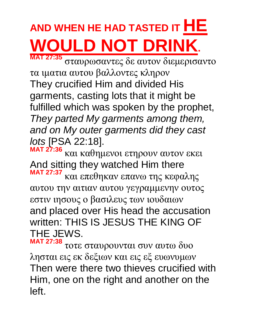# **AND WHEN HE HAD TASTED IT HE WOULD NOT DRINK.**

**MAT 27:35** σταυρωσαντες δε αυτον διεμερισαντο τα ιματια αυτου βαλλοντες κληρον They crucified Him and divided His garments, casting lots that it might be fulfilled which was spoken by the prophet, *They parted My garments among them, and on My outer garments did they cast lots* [PSA 22:18].

**MAT 27:36** και καθημενοι ετηρουν αυτον εκει And sitting they watched Him there **MAT 27:37** και επεθηκαν επανω της κεφαλης αυτου την αιτιαν αυτου γεγραμμενην ουτος εστιν ιησους ο βασιλευς των ιουδαιων and placed over His head the accusation written: THIS IS JESUS THE KING OF THE JEWS.

**MAT 27:38** τοτε σταυρουνται συν αυτω δυο λησται εις εκ δεξιων και εις εξ ευωνυμων Then were there two thieves crucified with Him, one on the right and another on the left.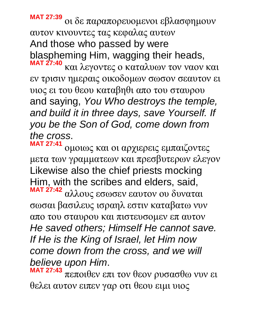**MAT 27:39** οι δε παραπορευομενοι εβλασφημουν αυτον κινουντες τας κεφαλας αυτων And those who passed by were blaspheming Him, wagging their heads, **MAT 27:40**

και λεγοντες ο καταλυων τον ναον και εν τρισιν ημεραις οικοδομων σωσον σεαυτον ει υιος ει του θεου καταβηθι απο του σταυρου and saying, *You Who destroys the temple, and build it in three days, save Yourself. If you be the Son of God, come down from the cross*.

**MAT 27:41** ομοιως και οι αρχιερεις εμπαιζοντες μετα των γραμματεων και πρεσβυτερων ελεγον Likewise also the chief priests mocking Him, with the scribes and elders, said, **MAT 27:42**

αλλους εσωσεν εαυτον ου δυναται σωσαι βασιλευς ισραηλ εστιν καταβατω νυν απο του σταυρου και πιστευσομεν επ αυτον *He saved others; Himself He cannot save. If He is the King of Israel, let Him now come down from the cross, and we will believe upon Him*.

**MAT 27:43** πεποιθεν επι τον θεον ρυσασθω νυν ει θελει αυτον ειπεν γαρ οτι θεου ειμι υιος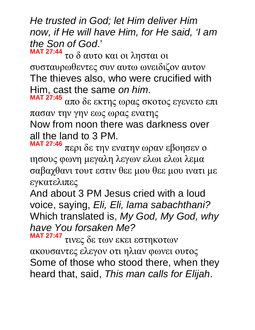*He trusted in God; let Him deliver Him now, if He will have Him, for He said, 'I am the Son of God*.' **MAT 27:44**

το δ αυτο και οι λησται οι συσταυρωθεντες συν αυτω ωνειδιζον αυτον The thieves also, who were crucified with Him, cast the same *on him*.

**MAT 27:45** απο δε εκτης ωρας σκοτος εγενετο επι πασαν την γην εως ωρας ενατης Now from noon there was darkness over all the land to 3 PM.

**MAT 27:46** περι δε την ενατην ωραν εβοησεν ο ιησους φωνη μεγαλη λεγων ελωι ελωι λεμα σαβαχθανι τουτ εστιν θεε μου θεε μου ινατι με εγκατελιπες

And about 3 PM Jesus cried with a loud voice, saying, *Eli, Eli, lama sabachthani?* Which translated is, *My God, My God, why have You forsaken Me?*

**MAT 27:47** τινες δε των εκει εστηκοτων ακουσαντες ελεγον οτι ηλιαν φωνει ουτος Some of those who stood there, when they heard that, said, *This man calls for Elijah*.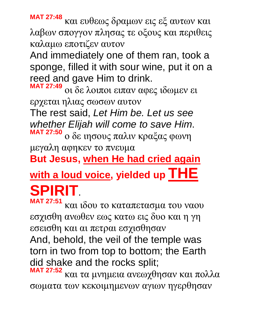**MAT 27:48** και ευθεως δραμων εις εξ αυτων και λαβων σπογγον πλησας τε οξους και περιθεις καλαμω εποτιζεν αυτον

And immediately one of them ran, took a sponge, filled it with sour wine, put it on a reed and gave Him to drink.

**MAT 27:49** οι δε λοιποι ειπαν αφες ιδωμεν ει ερχεται ηλιας σωσων αυτον

The rest said, *Let Him be. Let us see whether Elijah will come to save Him*. **MAT 27:50** ο δε ιησους παλιν κραξας φωνη

μεγαλη αφηκεν το πνευμα

**But Jesus, when He had cried again** 

**with a loud voice, yielded up THE SPIRIT**.

**MAT 27:51** και ιδου το καταπετασμα του ναου εσχισθη ανωθεν εως κατω εις δυο και η γη εσεισθη και αι πετραι εσχισθησαν And, behold, the veil of the temple was torn in two from top to bottom; the Earth did shake and the rocks split;

**MAT 27:52** και τα μνημεια ανεωχθησαν και πολλα σωματα των κεκοιμημενων αγιων ηγερθησαν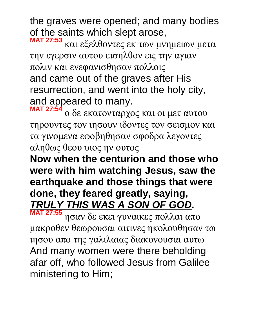the graves were opened; and many bodies of the saints which slept arose,

**MAT 27:53** και εξελθοντες εκ των μνημειων μετα την εγερσιν αυτου εισηλθον εις την αγιαν πολιν και ενεφανισθησαν πολλοις and came out of the graves after His resurrection, and went into the holy city, and appeared to many.

**MAT 27:54** ο δε εκατονταρχος και οι μετ αυτου τηρουντες τον ιησουν ιδοντες τον σεισμον και τα γινομενα εφοβηθησαν σφοδρα λεγοντες αληθως θεου υιος ην ουτος

**Now when the centurion and those who were with him watching Jesus, saw the earthquake and those things that were done, they feared greatly, saying,**  *TRULY THIS WAS A SON OF GOD***.** 

**MAT 27:55** ησαν δε εκει γυναικες πολλαι απο μακροθεν θεωρουσαι αιτινες ηκολουθησαν τω ιησου απο της γαλιλαιας διακονουσαι αυτω And many women were there beholding afar off, who followed Jesus from Galilee ministering to Him;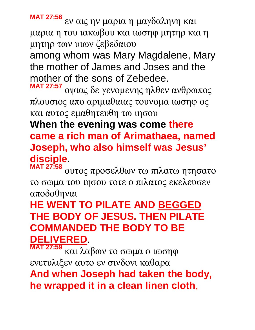**MAT 27:56** εν αις ην μαρια η μαγδαληνη και μαρια η του ιακωβου και ιωσηφ μητηρ και η μητηρ των υιων ζεβεδαιου

among whom was Mary Magdalene, Mary the mother of James and Joses and the mother of the sons of Zebedee.

**MAT 27:57** οψιας δε γενομενης ηλθεν ανθρωπος πλουσιος απο αριμαθαιας τουνομα ιωσηφ ος και αυτος εμαθητευθη τω ιησου

#### **When the evening was come there came a rich man of Arimathaea, named Joseph, who also himself was Jesus' disciple.**

**MAT 27:58** ουτος προσελθων τω πιλατω ητησατο το σωμα του ιησου τοτε ο πιλατος εκελευσεν αποδοθηναι

# **HE WENT TO PILATE AND BEGGED THE BODY OF JESUS. THEN PILATE COMMANDED THE BODY TO BE DELIVERED**.

**MAT 27:59** και λαβων το σωμα ο ιωσηφ ενετυλιξεν αυτο εν σινδονι καθαρα **And when Joseph had taken the body, he wrapped it in a clean linen cloth**,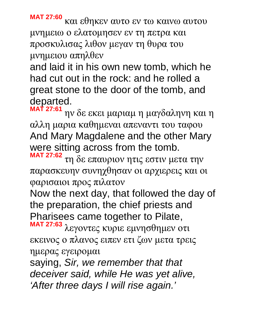**MAT 27:60** και εθηκεν αυτο εν τω καινω αυτου μνημειω ο ελατομησεν εν τη πετρα και προσκυλισας λιθον μεγαν τη θυρα του μνημειου απηλθεν

and laid it in his own new tomb, which he had cut out in the rock: and he rolled a great stone to the door of the tomb, and departed.

**MAT 27:61** ην δε εκει μαριαμ η μαγδαληνη και η αλλη μαρια καθημεναι απεναντι του ταφου And Mary Magdalene and the other Mary were sitting across from the tomb.

**MAT 27:62** τη δε επαυριον ητις εστιν μετα την παρασκευην συνηχθησαν οι αρχιερεις και οι φαρισαιοι προς πιλατον

Now the next day, that followed the day of the preparation, the chief priests and Pharisees came together to Pilate,

**MAT 27:63** λεγοντες κυριε εμνησθημεν οτι εκεινος ο πλανος ειπεν ετι ζων μετα τρεις ημερας εγειρομαι

saying, *Sir, we remember that that deceiver said, while He was yet alive, 'After three days I will rise again.'*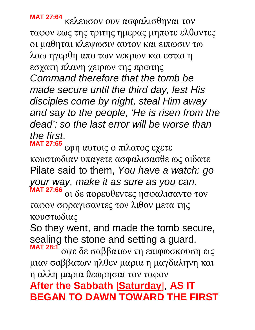**MAT 27:64** κελευσον ουν ασφαλισθηναι τον ταφον εως της τριτης ημερας μηποτε ελθοντες οι μαθηται κλεψωσιν αυτον και ειπωσιν τω λαω ηγερθη απο των νεκρων και εσται η εσχατη πλανη χειρων της πρωτης *Command therefore that the tomb be made secure until the third day, lest His disciples come by night, steal Him away and say to the people, 'He is risen from the dead'; so the last error will be worse than the first*.

**MAT 27:65** εφη αυτοις ο πιλατος εχετε κουστωδιαν υπαγετε ασφαλισασθε ως οιδατε Pilate said to them, *You have a watch: go your way, make it as sure as you can*. **MAT 27:66** οι δε πορευθεντες ησφαλισαντο τον

ταφον σφραγισαντες τον λιθον μετα της κουστωδιας

So they went, and made the tomb secure, sealing the stone and setting a guard.

**ΜΑΤ 28:1** οψε δε σαββατων τη επιφωσκουση εις μιαν σαββατων ηλθεν μαρια η μαγδαληνη και η αλλη μαρια θεωρησαι τον ταφον

# **After the Sabbath** [**Saturday**], **AS IT BEGAN TO DAWN TOWARD THE FIRST**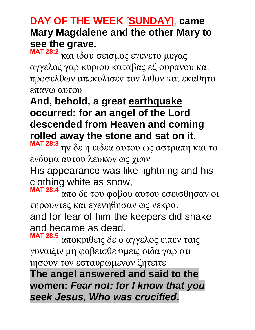### **DAY OF THE WEEK** [**SUNDAY**], **came Mary Magdalene and the other Mary to see the grave.**

**ΜΑΤ 28:2** και ιδου σεισμος εγενετο μεγας αγγελος γαρ κυριου καταβας εξ ουρανου και προσελθων απεκυλισεν τον λιθον και εκαθητο επανω αυτου

# **And, behold, a great earthquake occurred: for an angel of the Lord descended from Heaven and coming rolled away the stone and sat on it.**

**ΜΑΤ 28:3** ην δε η ειδεα αυτου ως αστραπη και το ενδυμα αυτου λευκον ως χιων

His appearance was like lightning and his clothing white as snow,

**ΜΑΤ 28:4** απο δε του φοβου αυτου εσεισθησαν οι τηρουντες και εγενηθησαν ως νεκροι and for fear of him the keepers did shake and became as dead.

**ΜΑΤ 28:5** αποκριθεις δε ο αγγελος ειπεν ταις γυναιξιν μη φοβεισθε υμεις οιδα γαρ οτι ιησουν τον εσταυρωμενον ζητειτε

**The angel answered and said to the women:** *Fear not: for I know that you seek Jesus, Who was crucified***.**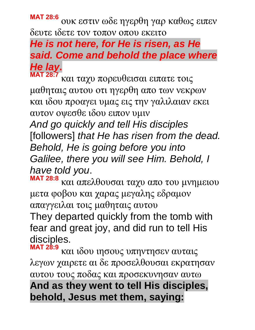**ΜΑΤ 28:6** ουκ εστιν ωδε ηγερθη γαρ καθως ειπεν δευτε ιδετε τον τοπον οπου εκειτο

#### *He is not here, for He is risen, as He said. Come and behold the place where He lay***. ΜΑΤ 28:7**

και ταχυ πορευθεισαι ειπατε τοις μαθηταις αυτου οτι ηγερθη απο των νεκρων και ιδου προαγει υμας εις την γαλιλαιαν εκει αυτον οψεσθε ιδου ειπον υμιν

*And go quickly and tell His disciples* [followers] *that He has risen from the dead. Behold, He is going before you into Galilee, there you will see Him. Behold, I have told you*.

**ΜΑΤ 28:8** και απελθουσαι ταχυ απο του μνημειου μετα φοβου και χαρας μεγαλης εδραμον απαγγειλαι τοις μαθηταις αυτου

They departed quickly from the tomb with fear and great joy, and did run to tell His disciples.

**ΜΑΤ 28:9** και ιδου ιησους υπηντησεν αυταις λεγων χαιρετε αι δε προσελθουσαι εκρατησαν αυτου τους ποδας και προσεκυνησαν αυτω **And as they went to tell His disciples, behold, Jesus met them, saying:**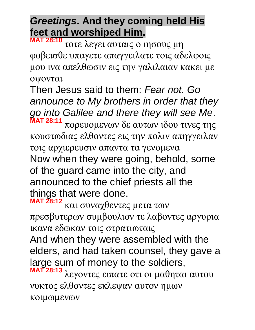# *Greetings***. And they coming held His feet and worshiped Him.**

**ΜΑΤ 28:10** τοτε λεγει αυταις ο ιησους μη φοβεισθε υπαγετε απαγγειλατε τοις αδελφοις μου ινα απελθωσιν εις την γαλιλαιαν κακει με οψονται

Then Jesus said to them: *Fear not. Go announce to My brothers in order that they go into Galilee and there they will see Me*. **ΜΑΤ 28:11**

πορευομενων δε αυτων ιδου τινες της κουστωδιας ελθοντες εις την πολιν απηγγειλαν τοις αρχιερευσιν απαντα τα γενομενα Now when they were going, behold, some of the guard came into the city, and announced to the chief priests all the things that were done.

**ΜΑΤ 28:12** και συναχθεντες μετα των πρεσβυτερων συμβουλιον τε λαβοντες αργυρια ικανα εδωκαν τοις στρατιωταις And when they were assembled with the elders, and had taken counsel, they gave a large sum of money to the soldiers, **ΜΑΤ 28:13** λεγοντες ειπατε οτι οι μαθηται αυτου νυκτος ελθοντες εκλεψαν αυτον ημων κοιμωμενων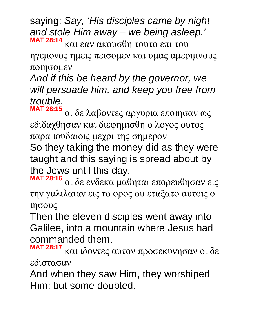saying: *Say, 'His disciples came by night and stole Him away – we being asleep.'* **ΜΑΤ 28:14** και εαν ακουσθη τουτο επι του

ηγεμονος ημεις πεισομεν και υμας αμεριμνους ποιησομεν

*And if this be heard by the governor, we will persuade him, and keep you free from trouble*.

**ΜΑΤ 28:15** οι δε λαβοντες αργυρια εποιησαν ως εδιδαχθησαν και διεφημισθη ο λογος ουτος παρα ιουδαιοις μεχρι της σημερον

So they taking the money did as they were taught and this saying is spread about by the Jews until this day.

**ΜΑΤ 28:16** οι δε ενδεκα μαθηται επορευθησαν εις την γαλιλαιαν εις το ορος ου εταξατο αυτοις ο ιησους

Then the eleven disciples went away into Galilee, into a mountain where Jesus had commanded them.

**MAT 28:17** και ιδοντες αυτον προσεκυνησαν οι δε εδιστασαν

And when they saw Him, they worshiped Him: but some doubted.